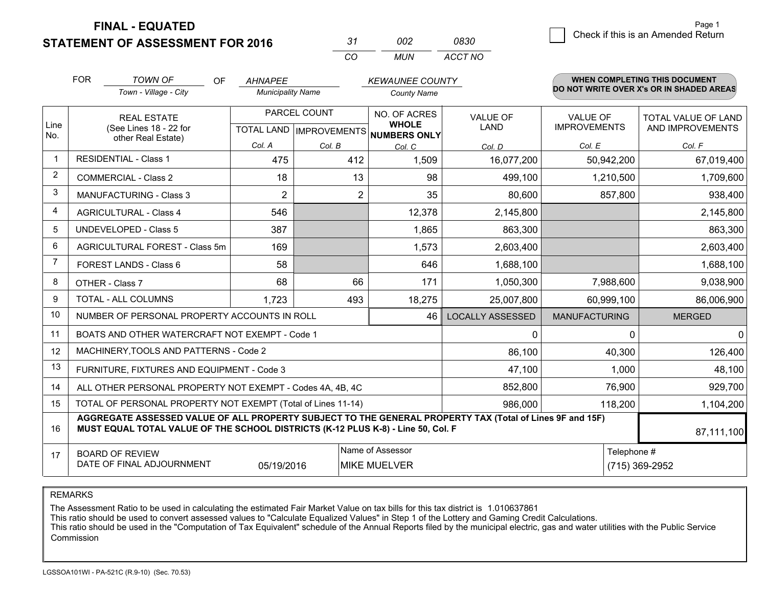**STATEMENT OF ASSESSMENT FOR 2016** 

*CO MUN <sup>31</sup> <sup>002</sup> ACCT NO0830*

|                | <b>FOR</b>                                                                                                                                                                                   | <b>TOWN OF</b><br><b>OF</b>                               | <b>AHNAPEE</b>           |                | <b>KEWAUNEE COUNTY</b>              |                         |                                        | <b>WHEN COMPLETING THIS DOCUMENT</b>     |
|----------------|----------------------------------------------------------------------------------------------------------------------------------------------------------------------------------------------|-----------------------------------------------------------|--------------------------|----------------|-------------------------------------|-------------------------|----------------------------------------|------------------------------------------|
|                |                                                                                                                                                                                              | Town - Village - City                                     | <b>Municipality Name</b> |                | <b>County Name</b>                  |                         |                                        | DO NOT WRITE OVER X's OR IN SHADED AREAS |
| Line           |                                                                                                                                                                                              | <b>REAL ESTATE</b><br>(See Lines 18 - 22 for              |                          | PARCEL COUNT   | NO. OF ACRES<br><b>WHOLE</b>        | <b>VALUE OF</b><br>LAND | <b>VALUE OF</b><br><b>IMPROVEMENTS</b> | TOTAL VALUE OF LAND<br>AND IMPROVEMENTS  |
| No.            |                                                                                                                                                                                              | other Real Estate)                                        | Col. A                   |                | TOTAL LAND MPROVEMENTS NUMBERS ONLY |                         |                                        |                                          |
|                |                                                                                                                                                                                              | <b>RESIDENTIAL - Class 1</b>                              | 475                      | Col. B<br>412  | Col. C<br>1,509                     | Col. D<br>16,077,200    | Col. E<br>50,942,200                   | Col. F<br>67,019,400                     |
| 2              |                                                                                                                                                                                              |                                                           |                          |                |                                     |                         |                                        |                                          |
|                |                                                                                                                                                                                              | <b>COMMERCIAL - Class 2</b>                               | 18                       | 13             | 98                                  | 499,100                 | 1,210,500                              | 1,709,600                                |
| 3              |                                                                                                                                                                                              | <b>MANUFACTURING - Class 3</b>                            | 2                        | $\overline{2}$ | 35                                  | 80,600                  | 857,800                                | 938,400                                  |
| 4              |                                                                                                                                                                                              | <b>AGRICULTURAL - Class 4</b>                             | 546                      |                | 12,378                              | 2,145,800               |                                        | 2,145,800                                |
| 5              |                                                                                                                                                                                              | UNDEVELOPED - Class 5                                     | 387                      |                | 1,865                               | 863,300                 |                                        | 863,300                                  |
| 6              |                                                                                                                                                                                              | AGRICULTURAL FOREST - Class 5m                            | 169                      |                | 1,573                               | 2,603,400               |                                        | 2,603,400                                |
| $\overline{7}$ |                                                                                                                                                                                              | FOREST LANDS - Class 6                                    | 58                       |                | 646                                 | 1,688,100               |                                        | 1,688,100                                |
| 8              |                                                                                                                                                                                              | OTHER - Class 7                                           | 68                       | 66             | 171                                 | 1,050,300               | 7,988,600                              | 9,038,900                                |
| 9              |                                                                                                                                                                                              | TOTAL - ALL COLUMNS                                       | 1,723                    | 493            | 18,275                              | 25,007,800              | 60,999,100                             | 86,006,900                               |
| 10             |                                                                                                                                                                                              | NUMBER OF PERSONAL PROPERTY ACCOUNTS IN ROLL              |                          |                | 46                                  | <b>LOCALLY ASSESSED</b> | <b>MANUFACTURING</b>                   | <b>MERGED</b>                            |
| 11             |                                                                                                                                                                                              | BOATS AND OTHER WATERCRAFT NOT EXEMPT - Code 1            |                          |                |                                     | 0                       | 0                                      | $\overline{0}$                           |
| 12             |                                                                                                                                                                                              | MACHINERY, TOOLS AND PATTERNS - Code 2                    |                          |                |                                     | 86,100                  | 40,300                                 | 126,400                                  |
| 13             |                                                                                                                                                                                              | FURNITURE, FIXTURES AND EQUIPMENT - Code 3                |                          |                |                                     | 47,100                  | 1,000                                  | 48,100                                   |
| 14             |                                                                                                                                                                                              | ALL OTHER PERSONAL PROPERTY NOT EXEMPT - Codes 4A, 4B, 4C |                          |                |                                     | 852,800                 | 76,900                                 | 929,700                                  |
| 15             | TOTAL OF PERSONAL PROPERTY NOT EXEMPT (Total of Lines 11-14)                                                                                                                                 |                                                           |                          |                |                                     | 986,000                 | 118,200                                | 1,104,200                                |
| 16             | AGGREGATE ASSESSED VALUE OF ALL PROPERTY SUBJECT TO THE GENERAL PROPERTY TAX (Total of Lines 9F and 15F)<br>MUST EQUAL TOTAL VALUE OF THE SCHOOL DISTRICTS (K-12 PLUS K-8) - Line 50, Col. F |                                                           |                          |                |                                     |                         | 87,111,100                             |                                          |
| 17             | Name of Assessor<br><b>BOARD OF REVIEW</b><br>DATE OF FINAL ADJOURNMENT<br>05/19/2016<br><b>MIKE MUELVER</b>                                                                                 |                                                           |                          |                |                                     |                         | Telephone #                            | (715) 369-2952                           |

REMARKS

The Assessment Ratio to be used in calculating the estimated Fair Market Value on tax bills for this tax district is 1.010637861<br>This ratio should be used to convert assessed values to "Calculate Equalized Values" in Step Commission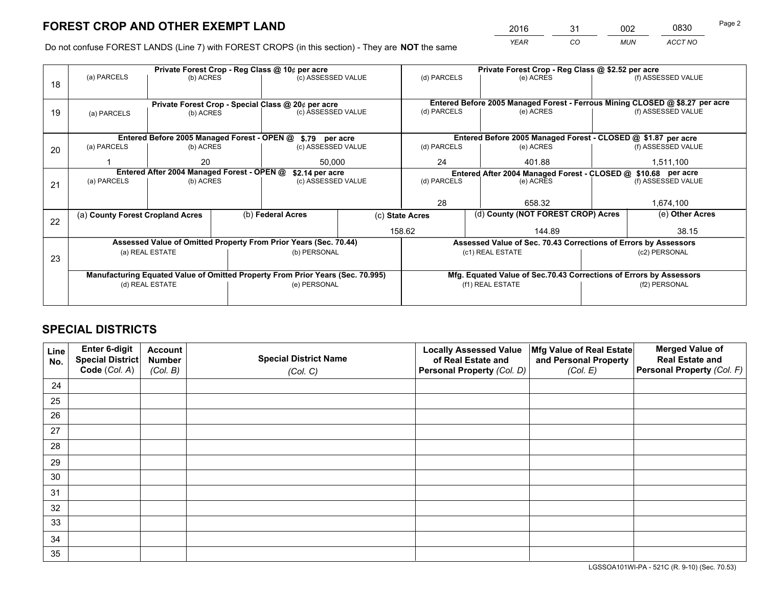*YEAR CO MUN ACCT NO* <sup>2016</sup> <sup>31</sup> <sup>002</sup> <sup>0830</sup>

Do not confuse FOREST LANDS (Line 7) with FOREST CROPS (in this section) - They are **NOT** the same

| Private Forest Crop - Reg Class @ 10¢ per acre                                 |                            |                                                                        |                                                               |                   | Private Forest Crop - Reg Class @ \$2.52 per acre                                                                                                                                                                        |                                                                              |                               |                                                                                                                                                                                                                                              |  |
|--------------------------------------------------------------------------------|----------------------------|------------------------------------------------------------------------|---------------------------------------------------------------|-------------------|--------------------------------------------------------------------------------------------------------------------------------------------------------------------------------------------------------------------------|------------------------------------------------------------------------------|-------------------------------|----------------------------------------------------------------------------------------------------------------------------------------------------------------------------------------------------------------------------------------------|--|
|                                                                                |                            |                                                                        |                                                               |                   | (d) PARCELS                                                                                                                                                                                                              | (e) ACRES                                                                    |                               | (f) ASSESSED VALUE                                                                                                                                                                                                                           |  |
|                                                                                |                            |                                                                        |                                                               |                   |                                                                                                                                                                                                                          |                                                                              |                               |                                                                                                                                                                                                                                              |  |
|                                                                                |                            |                                                                        |                                                               |                   |                                                                                                                                                                                                                          | Entered Before 2005 Managed Forest - Ferrous Mining CLOSED @ \$8.27 per acre |                               |                                                                                                                                                                                                                                              |  |
| (a) PARCELS                                                                    |                            |                                                                        |                                                               |                   | (d) PARCELS                                                                                                                                                                                                              | (e) ACRES                                                                    |                               | (f) ASSESSED VALUE                                                                                                                                                                                                                           |  |
|                                                                                |                            |                                                                        |                                                               |                   |                                                                                                                                                                                                                          |                                                                              |                               |                                                                                                                                                                                                                                              |  |
|                                                                                |                            |                                                                        |                                                               |                   |                                                                                                                                                                                                                          |                                                                              |                               |                                                                                                                                                                                                                                              |  |
| (a) PARCELS                                                                    |                            |                                                                        |                                                               |                   | (d) PARCELS                                                                                                                                                                                                              | (e) ACRES                                                                    |                               | (f) ASSESSED VALUE                                                                                                                                                                                                                           |  |
|                                                                                | 20                         |                                                                        | 50.000                                                        |                   | 24<br>401.88                                                                                                                                                                                                             |                                                                              |                               | 1,511,100                                                                                                                                                                                                                                    |  |
| Entered After 2004 Managed Forest - OPEN @<br>\$2.14 per acre                  |                            |                                                                        | Entered After 2004 Managed Forest - CLOSED @ \$10.68 per acre |                   |                                                                                                                                                                                                                          |                                                                              |                               |                                                                                                                                                                                                                                              |  |
|                                                                                |                            |                                                                        |                                                               |                   |                                                                                                                                                                                                                          |                                                                              |                               | (f) ASSESSED VALUE                                                                                                                                                                                                                           |  |
|                                                                                |                            |                                                                        |                                                               |                   |                                                                                                                                                                                                                          |                                                                              |                               |                                                                                                                                                                                                                                              |  |
|                                                                                |                            |                                                                        |                                                               |                   |                                                                                                                                                                                                                          | 658.32                                                                       |                               | 1,674,100                                                                                                                                                                                                                                    |  |
|                                                                                |                            |                                                                        |                                                               |                   |                                                                                                                                                                                                                          |                                                                              |                               | (e) Other Acres                                                                                                                                                                                                                              |  |
|                                                                                |                            |                                                                        |                                                               |                   |                                                                                                                                                                                                                          | 144.89                                                                       |                               | 38.15                                                                                                                                                                                                                                        |  |
| Assessed Value of Omitted Property From Prior Years (Sec. 70.44)               |                            |                                                                        |                                                               |                   |                                                                                                                                                                                                                          |                                                                              |                               |                                                                                                                                                                                                                                              |  |
|                                                                                | (b) PERSONAL               |                                                                        |                                                               | (c1) REAL ESTATE  |                                                                                                                                                                                                                          |                                                                              | (c2) PERSONAL                 |                                                                                                                                                                                                                                              |  |
|                                                                                |                            |                                                                        |                                                               |                   |                                                                                                                                                                                                                          |                                                                              |                               |                                                                                                                                                                                                                                              |  |
| Manufacturing Equated Value of Omitted Property From Prior Years (Sec. 70.995) |                            |                                                                        |                                                               |                   |                                                                                                                                                                                                                          |                                                                              |                               |                                                                                                                                                                                                                                              |  |
|                                                                                |                            |                                                                        |                                                               |                   |                                                                                                                                                                                                                          |                                                                              |                               | (f2) PERSONAL                                                                                                                                                                                                                                |  |
|                                                                                |                            |                                                                        |                                                               |                   |                                                                                                                                                                                                                          |                                                                              |                               |                                                                                                                                                                                                                                              |  |
|                                                                                | (a) PARCELS<br>(a) PARCELS | (a) County Forest Cropland Acres<br>(a) REAL ESTATE<br>(d) REAL ESTATE | (b) ACRES<br>(b) ACRES<br>(b) ACRES<br>(b) ACRES              | (b) Federal Acres | (c) ASSESSED VALUE<br>Private Forest Crop - Special Class @ 20¢ per acre<br>(c) ASSESSED VALUE<br>Entered Before 2005 Managed Forest - OPEN @ \$.79 per acre<br>(c) ASSESSED VALUE<br>(c) ASSESSED VALUE<br>(e) PERSONAL | (d) PARCELS<br>28<br>(c) State Acres<br>158.62                               | (e) ACRES<br>(f1) REAL ESTATE | Entered Before 2005 Managed Forest - CLOSED @ \$1.87 per acre<br>(d) County (NOT FOREST CROP) Acres<br>Assessed Value of Sec. 70.43 Corrections of Errors by Assessors<br>Mfg. Equated Value of Sec.70.43 Corrections of Errors by Assessors |  |

## **SPECIAL DISTRICTS**

| Line<br>No. | Enter 6-digit<br><b>Special District</b> | <b>Account</b><br><b>Number</b> | <b>Special District Name</b> | <b>Locally Assessed Value</b><br>of Real Estate and | Mfg Value of Real Estate<br>and Personal Property | <b>Merged Value of</b><br><b>Real Estate and</b> |
|-------------|------------------------------------------|---------------------------------|------------------------------|-----------------------------------------------------|---------------------------------------------------|--------------------------------------------------|
|             | Code (Col. A)                            | (Col. B)                        | (Col. C)                     | Personal Property (Col. D)                          | (Col. E)                                          | Personal Property (Col. F)                       |
| 24          |                                          |                                 |                              |                                                     |                                                   |                                                  |
| 25          |                                          |                                 |                              |                                                     |                                                   |                                                  |
| 26          |                                          |                                 |                              |                                                     |                                                   |                                                  |
| 27          |                                          |                                 |                              |                                                     |                                                   |                                                  |
| 28          |                                          |                                 |                              |                                                     |                                                   |                                                  |
| 29          |                                          |                                 |                              |                                                     |                                                   |                                                  |
| 30          |                                          |                                 |                              |                                                     |                                                   |                                                  |
| 31          |                                          |                                 |                              |                                                     |                                                   |                                                  |
| 32          |                                          |                                 |                              |                                                     |                                                   |                                                  |
| 33          |                                          |                                 |                              |                                                     |                                                   |                                                  |
| 34          |                                          |                                 |                              |                                                     |                                                   |                                                  |
| 35          |                                          |                                 |                              |                                                     |                                                   |                                                  |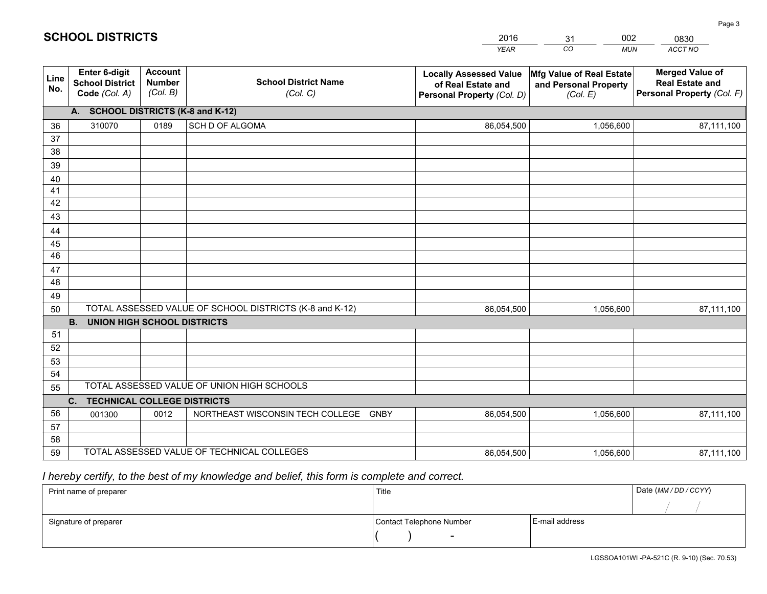| <b>Account</b><br><b>Merged Value of</b><br><b>Enter 6-digit</b><br>Mfg Value of Real Estate<br><b>Locally Assessed Value</b><br>Line<br><b>School District Name</b><br><b>Number</b><br><b>School District</b><br><b>Real Estate and</b><br>of Real Estate and<br>and Personal Property<br>No.<br>(Col. B)<br>Code (Col. A)<br>Personal Property (Col. F)<br>(Col. C)<br>Personal Property (Col. D)<br>(Col. E)<br>A. SCHOOL DISTRICTS (K-8 and K-12)<br>SCH D OF ALGOMA<br>310070<br>0189<br>86,054,500<br>1,056,600<br>36<br>87,111,100<br>37<br>38<br>39<br>40 |  |
|--------------------------------------------------------------------------------------------------------------------------------------------------------------------------------------------------------------------------------------------------------------------------------------------------------------------------------------------------------------------------------------------------------------------------------------------------------------------------------------------------------------------------------------------------------------------|--|
|                                                                                                                                                                                                                                                                                                                                                                                                                                                                                                                                                                    |  |
|                                                                                                                                                                                                                                                                                                                                                                                                                                                                                                                                                                    |  |
|                                                                                                                                                                                                                                                                                                                                                                                                                                                                                                                                                                    |  |
|                                                                                                                                                                                                                                                                                                                                                                                                                                                                                                                                                                    |  |
|                                                                                                                                                                                                                                                                                                                                                                                                                                                                                                                                                                    |  |
|                                                                                                                                                                                                                                                                                                                                                                                                                                                                                                                                                                    |  |
|                                                                                                                                                                                                                                                                                                                                                                                                                                                                                                                                                                    |  |
| 41<br>42                                                                                                                                                                                                                                                                                                                                                                                                                                                                                                                                                           |  |
| 43                                                                                                                                                                                                                                                                                                                                                                                                                                                                                                                                                                 |  |
| 44                                                                                                                                                                                                                                                                                                                                                                                                                                                                                                                                                                 |  |
| 45                                                                                                                                                                                                                                                                                                                                                                                                                                                                                                                                                                 |  |
| 46                                                                                                                                                                                                                                                                                                                                                                                                                                                                                                                                                                 |  |
| 47                                                                                                                                                                                                                                                                                                                                                                                                                                                                                                                                                                 |  |
| 48                                                                                                                                                                                                                                                                                                                                                                                                                                                                                                                                                                 |  |
| 49                                                                                                                                                                                                                                                                                                                                                                                                                                                                                                                                                                 |  |
| TOTAL ASSESSED VALUE OF SCHOOL DISTRICTS (K-8 and K-12)<br>50<br>86,054,500<br>1,056,600<br>87,111,100                                                                                                                                                                                                                                                                                                                                                                                                                                                             |  |
| <b>B.</b><br><b>UNION HIGH SCHOOL DISTRICTS</b>                                                                                                                                                                                                                                                                                                                                                                                                                                                                                                                    |  |
| 51                                                                                                                                                                                                                                                                                                                                                                                                                                                                                                                                                                 |  |
| 52                                                                                                                                                                                                                                                                                                                                                                                                                                                                                                                                                                 |  |
| 53                                                                                                                                                                                                                                                                                                                                                                                                                                                                                                                                                                 |  |
| 54<br>TOTAL ASSESSED VALUE OF UNION HIGH SCHOOLS                                                                                                                                                                                                                                                                                                                                                                                                                                                                                                                   |  |
| 55                                                                                                                                                                                                                                                                                                                                                                                                                                                                                                                                                                 |  |
| C.<br><b>TECHNICAL COLLEGE DISTRICTS</b><br>56<br>NORTHEAST WISCONSIN TECH COLLEGE<br><b>GNBY</b><br>1,056,600<br>0012                                                                                                                                                                                                                                                                                                                                                                                                                                             |  |
| 86,054,500<br>87,111,100<br>001300<br>57                                                                                                                                                                                                                                                                                                                                                                                                                                                                                                                           |  |
| 58                                                                                                                                                                                                                                                                                                                                                                                                                                                                                                                                                                 |  |
| TOTAL ASSESSED VALUE OF TECHNICAL COLLEGES<br>59<br>1,056,600<br>86,054,500<br>87,111,100                                                                                                                                                                                                                                                                                                                                                                                                                                                                          |  |

31

002

## *I hereby certify, to the best of my knowledge and belief, this form is complete and correct.*

**SCHOOL DISTRICTS**

| Print name of preparer | Title                    |                | Date (MM / DD / CCYY) |
|------------------------|--------------------------|----------------|-----------------------|
|                        |                          |                |                       |
| Signature of preparer  | Contact Telephone Number | E-mail address |                       |
|                        | $\overline{\phantom{0}}$ |                |                       |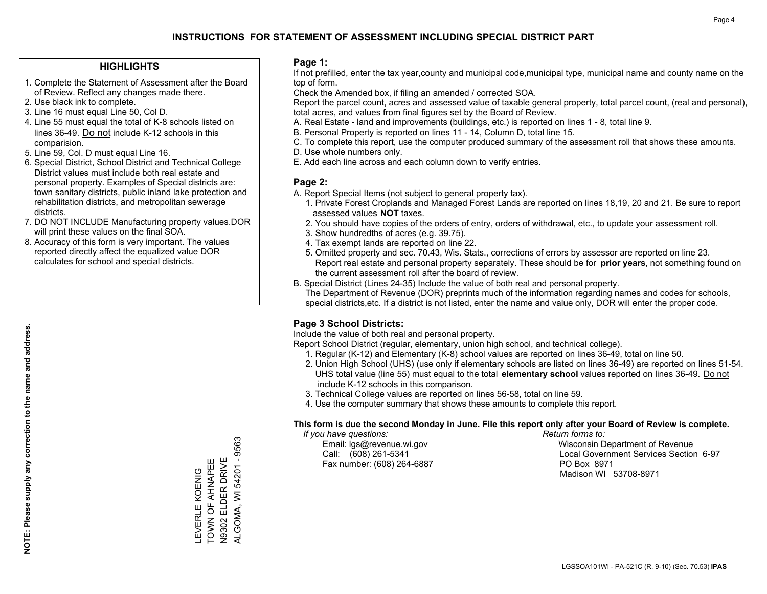## **HIGHLIGHTS**

- 1. Complete the Statement of Assessment after the Board of Review. Reflect any changes made there.
- 2. Use black ink to complete.
- 3. Line 16 must equal Line 50, Col D.
- 4. Line 55 must equal the total of K-8 schools listed on lines 36-49. Do not include K-12 schools in this comparision.
- 5. Line 59, Col. D must equal Line 16.
- 6. Special District, School District and Technical College District values must include both real estate and personal property. Examples of Special districts are: town sanitary districts, public inland lake protection and rehabilitation districts, and metropolitan sewerage districts.
- 7. DO NOT INCLUDE Manufacturing property values.DOR will print these values on the final SOA.

LEVERLE KOENIG TOWN OF AHNAPEE N9302 ELDER DRIVE ALGOMA, WI 54201 - 9563

ALGOMA, WI 54201 - 9563 N9302 ELDER DRIVE LEVERLE KOENIG<br>TOWN OF AHNAPEE

 8. Accuracy of this form is very important. The values reported directly affect the equalized value DOR calculates for school and special districts.

### **Page 1:**

 If not prefilled, enter the tax year,county and municipal code,municipal type, municipal name and county name on the top of form.

Check the Amended box, if filing an amended / corrected SOA.

 Report the parcel count, acres and assessed value of taxable general property, total parcel count, (real and personal), total acres, and values from final figures set by the Board of Review.

- A. Real Estate land and improvements (buildings, etc.) is reported on lines 1 8, total line 9.
- B. Personal Property is reported on lines 11 14, Column D, total line 15.
- C. To complete this report, use the computer produced summary of the assessment roll that shows these amounts.
- D. Use whole numbers only.
- E. Add each line across and each column down to verify entries.

## **Page 2:**

- A. Report Special Items (not subject to general property tax).
- 1. Private Forest Croplands and Managed Forest Lands are reported on lines 18,19, 20 and 21. Be sure to report assessed values **NOT** taxes.
- 2. You should have copies of the orders of entry, orders of withdrawal, etc., to update your assessment roll.
	- 3. Show hundredths of acres (e.g. 39.75).
- 4. Tax exempt lands are reported on line 22.
- 5. Omitted property and sec. 70.43, Wis. Stats., corrections of errors by assessor are reported on line 23. Report real estate and personal property separately. These should be for **prior years**, not something found on the current assessment roll after the board of review.
- B. Special District (Lines 24-35) Include the value of both real and personal property.

 The Department of Revenue (DOR) preprints much of the information regarding names and codes for schools, special districts,etc. If a district is not listed, enter the name and value only, DOR will enter the proper code.

## **Page 3 School Districts:**

Include the value of both real and personal property.

Report School District (regular, elementary, union high school, and technical college).

- 1. Regular (K-12) and Elementary (K-8) school values are reported on lines 36-49, total on line 50.
- 2. Union High School (UHS) (use only if elementary schools are listed on lines 36-49) are reported on lines 51-54. UHS total value (line 55) must equal to the total **elementary school** values reported on lines 36-49. Do notinclude K-12 schools in this comparison.
- 3. Technical College values are reported on lines 56-58, total on line 59.
- 4. Use the computer summary that shows these amounts to complete this report.

#### **This form is due the second Monday in June. File this report only after your Board of Review is complete.**

 *If you have questions: Return forms to:*

Fax number: (608) 264-6887 PO Box 8971

 Email: lgs@revenue.wi.gov Wisconsin Department of Revenue Call: (608) 261-5341 Local Government Services Section 6-97Madison WI 53708-8971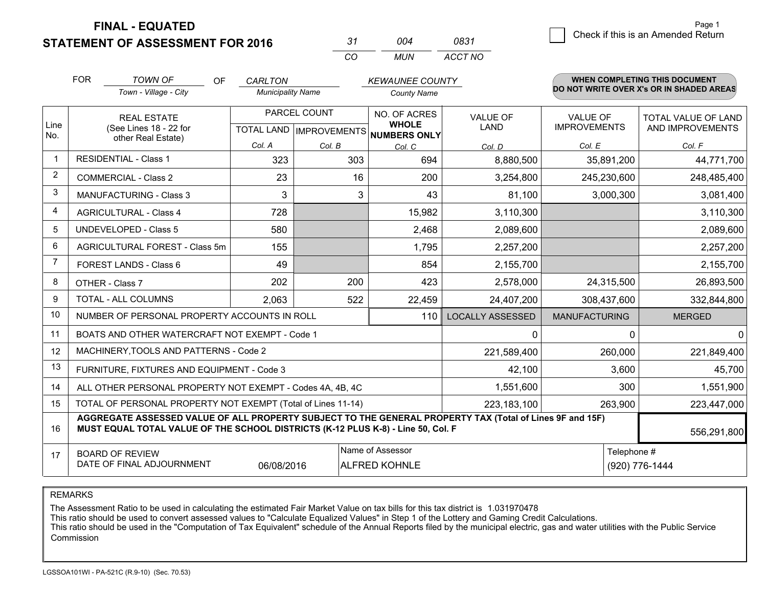**STATEMENT OF ASSESSMENT FOR 2016** 

| -31 | ∩∩⊿ | 0831    |
|-----|-----|---------|
| ΩO  | MUN | ACCT NO |

|                | <b>FOR</b>                                                                  | <b>TOWN OF</b><br><b>OF</b>                                                                                                                                                                  | <b>CARLTON</b>           |              | <b>KEWAUNEE COUNTY</b>               |                                |                                        | WHEN COMPLETING THIS DOCUMENT            |
|----------------|-----------------------------------------------------------------------------|----------------------------------------------------------------------------------------------------------------------------------------------------------------------------------------------|--------------------------|--------------|--------------------------------------|--------------------------------|----------------------------------------|------------------------------------------|
|                |                                                                             | Town - Village - City                                                                                                                                                                        | <b>Municipality Name</b> |              | <b>County Name</b>                   |                                |                                        | DO NOT WRITE OVER X's OR IN SHADED AREAS |
| Line           |                                                                             | <b>REAL ESTATE</b>                                                                                                                                                                           |                          | PARCEL COUNT | NO. OF ACRES<br><b>WHOLE</b>         | <b>VALUE OF</b><br><b>LAND</b> | <b>VALUE OF</b><br><b>IMPROVEMENTS</b> | TOTAL VALUE OF LAND                      |
| No.            |                                                                             | (See Lines 18 - 22 for<br>other Real Estate)                                                                                                                                                 |                          |              | TOTAL LAND IMPROVEMENTS NUMBERS ONLY |                                |                                        | AND IMPROVEMENTS                         |
|                |                                                                             |                                                                                                                                                                                              | Col. A                   | Col. B       | Col. C                               | Col. D                         | Col. E                                 | Col. F                                   |
| $\mathbf 1$    |                                                                             | <b>RESIDENTIAL - Class 1</b>                                                                                                                                                                 | 323                      | 303          | 694                                  | 8,880,500                      | 35,891,200                             | 44,771,700                               |
| 2              |                                                                             | <b>COMMERCIAL - Class 2</b>                                                                                                                                                                  | 23                       | 16           | 200                                  | 3,254,800                      | 245,230,600                            | 248,485,400                              |
| 3              |                                                                             | <b>MANUFACTURING - Class 3</b>                                                                                                                                                               | 3                        | 3            | 43                                   | 81,100                         | 3,000,300                              | 3,081,400                                |
| 4              |                                                                             | <b>AGRICULTURAL - Class 4</b>                                                                                                                                                                | 728                      |              | 15,982                               | 3,110,300                      |                                        | 3,110,300                                |
| 5              |                                                                             | <b>UNDEVELOPED - Class 5</b>                                                                                                                                                                 | 580                      |              | 2,468                                | 2,089,600                      |                                        | 2,089,600                                |
| 6              |                                                                             | AGRICULTURAL FOREST - Class 5m                                                                                                                                                               | 155                      |              | 1,795                                | 2,257,200                      |                                        | 2,257,200                                |
| $\overline{7}$ |                                                                             | FOREST LANDS - Class 6                                                                                                                                                                       | 49                       |              | 854                                  | 2,155,700                      |                                        | 2,155,700                                |
| 8              |                                                                             | OTHER - Class 7                                                                                                                                                                              | 202                      | 200          | 423                                  | 2,578,000                      | 24,315,500                             | 26,893,500                               |
| 9              |                                                                             | TOTAL - ALL COLUMNS                                                                                                                                                                          | 2,063                    | 522          | 22,459                               | 24,407,200                     | 308,437,600                            | 332,844,800                              |
| 10             |                                                                             | NUMBER OF PERSONAL PROPERTY ACCOUNTS IN ROLL                                                                                                                                                 |                          |              | 110                                  | <b>LOCALLY ASSESSED</b>        | <b>MANUFACTURING</b>                   | <b>MERGED</b>                            |
| 11             |                                                                             | BOATS AND OTHER WATERCRAFT NOT EXEMPT - Code 1                                                                                                                                               |                          |              |                                      | $\mathbf{0}$                   |                                        | $\Omega$<br>$\Omega$                     |
| 12             |                                                                             | MACHINERY, TOOLS AND PATTERNS - Code 2                                                                                                                                                       |                          |              |                                      | 221,589,400                    | 260,000                                | 221,849,400                              |
| 13             |                                                                             | FURNITURE, FIXTURES AND EQUIPMENT - Code 3                                                                                                                                                   |                          |              |                                      | 42,100                         | 3,600                                  | 45,700                                   |
| 14             |                                                                             | ALL OTHER PERSONAL PROPERTY NOT EXEMPT - Codes 4A, 4B, 4C                                                                                                                                    |                          | 1,551,600    | 300                                  | 1,551,900                      |                                        |                                          |
| 15             | TOTAL OF PERSONAL PROPERTY NOT EXEMPT (Total of Lines 11-14)<br>223,183,100 |                                                                                                                                                                                              |                          |              |                                      |                                | 263,900                                | 223,447,000                              |
| 16             |                                                                             | AGGREGATE ASSESSED VALUE OF ALL PROPERTY SUBJECT TO THE GENERAL PROPERTY TAX (Total of Lines 9F and 15F)<br>MUST EQUAL TOTAL VALUE OF THE SCHOOL DISTRICTS (K-12 PLUS K-8) - Line 50, Col. F |                          |              |                                      |                                |                                        | 556,291,800                              |
| 17             |                                                                             | <b>BOARD OF REVIEW</b>                                                                                                                                                                       |                          |              | Name of Assessor                     |                                | Telephone #                            |                                          |
|                | DATE OF FINAL ADJOURNMENT<br>06/08/2016<br><b>ALFRED KOHNLE</b>             |                                                                                                                                                                                              |                          |              |                                      |                                |                                        | (920) 776-1444                           |

REMARKS

The Assessment Ratio to be used in calculating the estimated Fair Market Value on tax bills for this tax district is 1.031970478

This ratio should be used to convert assessed values to "Calculate Equalized Values" in Step 1 of the Lottery and Gaming Credit Calculations.<br>This ratio should be used in the "Computation of Tax Equivalent" schedule of the Commission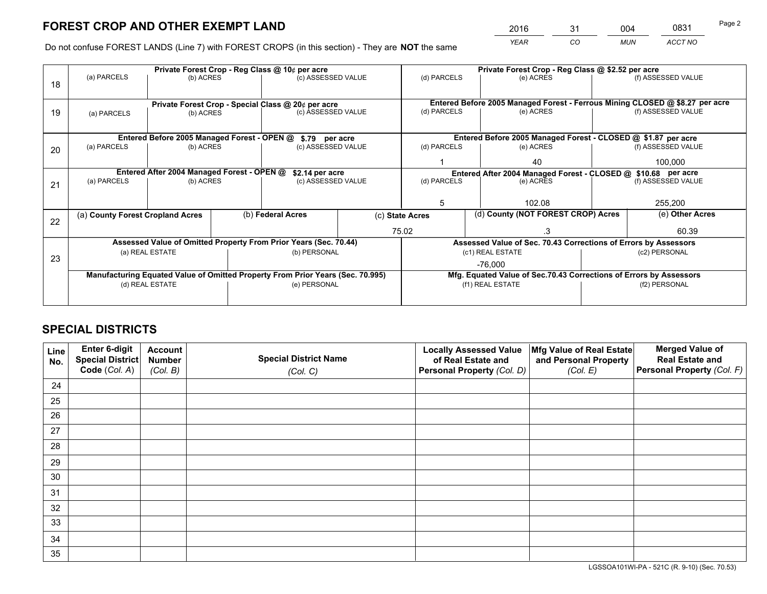*YEAR CO MUN ACCT NO* <sup>2016</sup> <sup>31</sup> <sup>004</sup> <sup>0831</sup>

Do not confuse FOREST LANDS (Line 7) with FOREST CROPS (in this section) - They are **NOT** the same

|    |                                                                                |                                 |  | Private Forest Crop - Reg Class @ 10¢ per acre                  |  | Private Forest Crop - Reg Class @ \$2.52 per acre |                                                                              |                                                               |                    |                    |
|----|--------------------------------------------------------------------------------|---------------------------------|--|-----------------------------------------------------------------|--|---------------------------------------------------|------------------------------------------------------------------------------|---------------------------------------------------------------|--------------------|--------------------|
| 18 | (a) PARCELS                                                                    | (b) ACRES                       |  | (c) ASSESSED VALUE                                              |  | (d) PARCELS                                       |                                                                              | (e) ACRES                                                     |                    | (f) ASSESSED VALUE |
|    |                                                                                |                                 |  |                                                                 |  |                                                   |                                                                              |                                                               |                    |                    |
|    |                                                                                |                                 |  | Private Forest Crop - Special Class @ 20¢ per acre              |  |                                                   | Entered Before 2005 Managed Forest - Ferrous Mining CLOSED @ \$8.27 per acre |                                                               |                    |                    |
| 19 | (a) PARCELS                                                                    | (b) ACRES                       |  | (c) ASSESSED VALUE                                              |  | (d) PARCELS                                       |                                                                              | (e) ACRES                                                     |                    | (f) ASSESSED VALUE |
|    |                                                                                |                                 |  |                                                                 |  |                                                   |                                                                              |                                                               |                    |                    |
|    |                                                                                |                                 |  | Entered Before 2005 Managed Forest - OPEN @ \$.79 per acre      |  |                                                   |                                                                              | Entered Before 2005 Managed Forest - CLOSED @ \$1.87 per acre |                    |                    |
| 20 | (a) PARCELS                                                                    | (b) ACRES                       |  | (c) ASSESSED VALUE                                              |  | (d) PARCELS                                       |                                                                              | (e) ACRES                                                     |                    | (f) ASSESSED VALUE |
|    |                                                                                |                                 |  |                                                                 |  |                                                   |                                                                              | 40                                                            |                    | 100.000            |
|    | Entered After 2004 Managed Forest - OPEN @<br>\$2.14 per acre                  |                                 |  | Entered After 2004 Managed Forest - CLOSED @ \$10.68 per acre   |  |                                                   |                                                                              |                                                               |                    |                    |
| 21 | (a) PARCELS                                                                    | (b) ACRES                       |  | (c) ASSESSED VALUE                                              |  | (d) PARCELS                                       |                                                                              | (e) ACRES                                                     | (f) ASSESSED VALUE |                    |
|    |                                                                                |                                 |  |                                                                 |  |                                                   |                                                                              |                                                               |                    |                    |
|    |                                                                                |                                 |  |                                                                 |  | 5                                                 |                                                                              | 102.08                                                        |                    | 255,200            |
| 22 | (a) County Forest Cropland Acres                                               |                                 |  | (b) Federal Acres                                               |  | (c) State Acres                                   |                                                                              | (d) County (NOT FOREST CROP) Acres                            |                    | (e) Other Acres    |
|    |                                                                                |                                 |  |                                                                 |  | 75.02                                             |                                                                              | .3                                                            |                    | 60.39              |
|    | Assessed Value of Omitted Property From Prior Years (Sec. 70.44)               |                                 |  | Assessed Value of Sec. 70.43 Corrections of Errors by Assessors |  |                                                   |                                                                              |                                                               |                    |                    |
| 23 |                                                                                | (a) REAL ESTATE<br>(b) PERSONAL |  | (c1) REAL ESTATE                                                |  |                                                   | (c2) PERSONAL                                                                |                                                               |                    |                    |
|    |                                                                                |                                 |  |                                                                 |  |                                                   |                                                                              | $-76.000$                                                     |                    |                    |
|    | Manufacturing Equated Value of Omitted Property From Prior Years (Sec. 70.995) |                                 |  |                                                                 |  |                                                   | Mfg. Equated Value of Sec.70.43 Corrections of Errors by Assessors           |                                                               |                    |                    |
|    |                                                                                | (d) REAL ESTATE                 |  | (e) PERSONAL                                                    |  |                                                   |                                                                              | (f1) REAL ESTATE                                              |                    | (f2) PERSONAL      |
|    |                                                                                |                                 |  |                                                                 |  |                                                   |                                                                              |                                                               |                    |                    |

## **SPECIAL DISTRICTS**

| Line<br>No. | Enter 6-digit<br>Special District<br>Code (Col. A) | <b>Account</b><br><b>Number</b> | <b>Special District Name</b> | <b>Locally Assessed Value</b><br>of Real Estate and | Mfg Value of Real Estate<br>and Personal Property | <b>Merged Value of</b><br><b>Real Estate and</b><br>Personal Property (Col. F) |
|-------------|----------------------------------------------------|---------------------------------|------------------------------|-----------------------------------------------------|---------------------------------------------------|--------------------------------------------------------------------------------|
|             |                                                    | (Col. B)                        | (Col. C)                     | Personal Property (Col. D)                          | (Col. E)                                          |                                                                                |
| 24          |                                                    |                                 |                              |                                                     |                                                   |                                                                                |
| 25          |                                                    |                                 |                              |                                                     |                                                   |                                                                                |
| 26          |                                                    |                                 |                              |                                                     |                                                   |                                                                                |
| 27          |                                                    |                                 |                              |                                                     |                                                   |                                                                                |
| 28          |                                                    |                                 |                              |                                                     |                                                   |                                                                                |
| 29          |                                                    |                                 |                              |                                                     |                                                   |                                                                                |
| 30          |                                                    |                                 |                              |                                                     |                                                   |                                                                                |
| 31          |                                                    |                                 |                              |                                                     |                                                   |                                                                                |
| 32          |                                                    |                                 |                              |                                                     |                                                   |                                                                                |
| 33          |                                                    |                                 |                              |                                                     |                                                   |                                                                                |
| 34          |                                                    |                                 |                              |                                                     |                                                   |                                                                                |
| 35          |                                                    |                                 |                              |                                                     |                                                   |                                                                                |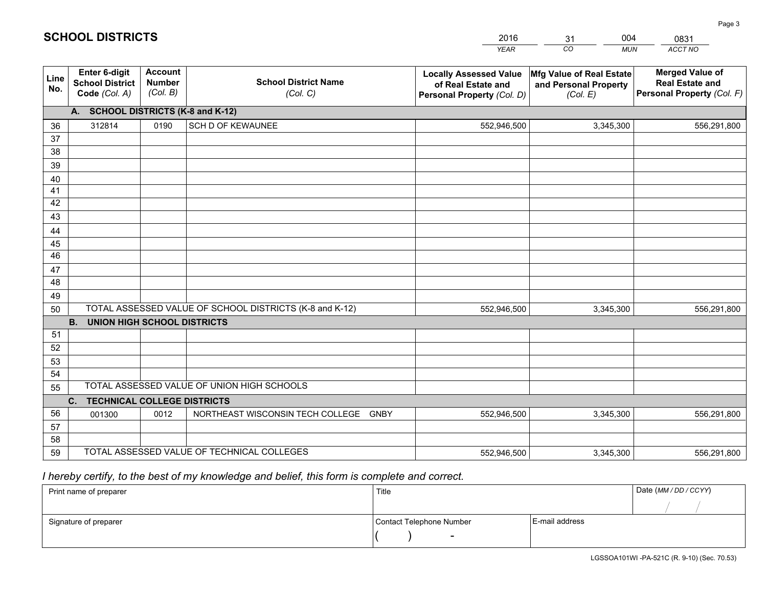|             |                                                                 |                                             |                                                         | <b>YEAR</b>                                                                       | CO<br><b>MUN</b>                                              | ACCT NO                                                                        |
|-------------|-----------------------------------------------------------------|---------------------------------------------|---------------------------------------------------------|-----------------------------------------------------------------------------------|---------------------------------------------------------------|--------------------------------------------------------------------------------|
| Line<br>No. | <b>Enter 6-digit</b><br><b>School District</b><br>Code (Col. A) | <b>Account</b><br><b>Number</b><br>(Col. B) | <b>School District Name</b><br>(Col. C)                 | <b>Locally Assessed Value</b><br>of Real Estate and<br>Personal Property (Col. D) | Mfg Value of Real Estate<br>and Personal Property<br>(Col. E) | <b>Merged Value of</b><br><b>Real Estate and</b><br>Personal Property (Col. F) |
|             | A. SCHOOL DISTRICTS (K-8 and K-12)                              |                                             |                                                         |                                                                                   |                                                               |                                                                                |
| 36          | 312814                                                          | 0190                                        | SCH D OF KEWAUNEE                                       | 552,946,500                                                                       | 3,345,300                                                     | 556,291,800                                                                    |
| 37          |                                                                 |                                             |                                                         |                                                                                   |                                                               |                                                                                |
| 38          |                                                                 |                                             |                                                         |                                                                                   |                                                               |                                                                                |
| 39          |                                                                 |                                             |                                                         |                                                                                   |                                                               |                                                                                |
| 40          |                                                                 |                                             |                                                         |                                                                                   |                                                               |                                                                                |
| 41          |                                                                 |                                             |                                                         |                                                                                   |                                                               |                                                                                |
| 42          |                                                                 |                                             |                                                         |                                                                                   |                                                               |                                                                                |
| 43          |                                                                 |                                             |                                                         |                                                                                   |                                                               |                                                                                |
| 44<br>45    |                                                                 |                                             |                                                         |                                                                                   |                                                               |                                                                                |
| 46          |                                                                 |                                             |                                                         |                                                                                   |                                                               |                                                                                |
| 47          |                                                                 |                                             |                                                         |                                                                                   |                                                               |                                                                                |
| 48          |                                                                 |                                             |                                                         |                                                                                   |                                                               |                                                                                |
| 49          |                                                                 |                                             |                                                         |                                                                                   |                                                               |                                                                                |
| 50          |                                                                 |                                             | TOTAL ASSESSED VALUE OF SCHOOL DISTRICTS (K-8 and K-12) | 552,946,500                                                                       | 3,345,300                                                     | 556,291,800                                                                    |
|             | <b>B.</b><br>UNION HIGH SCHOOL DISTRICTS                        |                                             |                                                         |                                                                                   |                                                               |                                                                                |
| 51          |                                                                 |                                             |                                                         |                                                                                   |                                                               |                                                                                |
| 52          |                                                                 |                                             |                                                         |                                                                                   |                                                               |                                                                                |
| 53          |                                                                 |                                             |                                                         |                                                                                   |                                                               |                                                                                |
| 54          |                                                                 |                                             |                                                         |                                                                                   |                                                               |                                                                                |
| 55          |                                                                 |                                             | TOTAL ASSESSED VALUE OF UNION HIGH SCHOOLS              |                                                                                   |                                                               |                                                                                |
|             | C.<br><b>TECHNICAL COLLEGE DISTRICTS</b>                        |                                             |                                                         |                                                                                   |                                                               |                                                                                |
| 56          | 001300                                                          | 0012                                        | NORTHEAST WISCONSIN TECH COLLEGE<br><b>GNBY</b>         | 552,946,500                                                                       | 3,345,300                                                     | 556,291,800                                                                    |
| 57          |                                                                 |                                             |                                                         |                                                                                   |                                                               |                                                                                |
| 58          |                                                                 |                                             |                                                         |                                                                                   |                                                               |                                                                                |
| 59          |                                                                 |                                             | TOTAL ASSESSED VALUE OF TECHNICAL COLLEGES              | 552,946,500                                                                       | 3,345,300                                                     | 556,291,800                                                                    |

31

004

 *I hereby certify, to the best of my knowledge and belief, this form is complete and correct.*

**SCHOOL DISTRICTS**

| Print name of preparer | Title                    |                | Date (MM / DD / CCYY) |
|------------------------|--------------------------|----------------|-----------------------|
|                        |                          |                |                       |
| Signature of preparer  | Contact Telephone Number | E-mail address |                       |
|                        |                          |                |                       |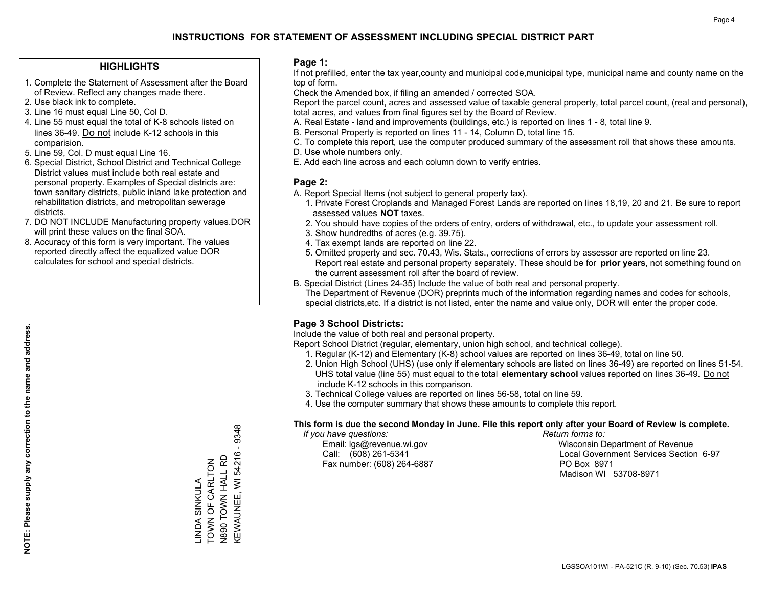## **HIGHLIGHTS**

- 1. Complete the Statement of Assessment after the Board of Review. Reflect any changes made there.
- 2. Use black ink to complete.
- 3. Line 16 must equal Line 50, Col D.
- 4. Line 55 must equal the total of K-8 schools listed on lines 36-49. Do not include K-12 schools in this comparision.
- 5. Line 59, Col. D must equal Line 16.
- 6. Special District, School District and Technical College District values must include both real estate and personal property. Examples of Special districts are: town sanitary districts, public inland lake protection and rehabilitation districts, and metropolitan sewerage districts.
- 7. DO NOT INCLUDE Manufacturing property values.DOR will print these values on the final SOA.
- 8. Accuracy of this form is very important. The values reported directly affect the equalized value DOR calculates for school and special districts.

### **Page 1:**

 If not prefilled, enter the tax year,county and municipal code,municipal type, municipal name and county name on the top of form.

Check the Amended box, if filing an amended / corrected SOA.

 Report the parcel count, acres and assessed value of taxable general property, total parcel count, (real and personal), total acres, and values from final figures set by the Board of Review.

- A. Real Estate land and improvements (buildings, etc.) is reported on lines 1 8, total line 9.
- B. Personal Property is reported on lines 11 14, Column D, total line 15.
- C. To complete this report, use the computer produced summary of the assessment roll that shows these amounts.
- D. Use whole numbers only.
- E. Add each line across and each column down to verify entries.

## **Page 2:**

- A. Report Special Items (not subject to general property tax).
- 1. Private Forest Croplands and Managed Forest Lands are reported on lines 18,19, 20 and 21. Be sure to report assessed values **NOT** taxes.
- 2. You should have copies of the orders of entry, orders of withdrawal, etc., to update your assessment roll.
	- 3. Show hundredths of acres (e.g. 39.75).
- 4. Tax exempt lands are reported on line 22.
- 5. Omitted property and sec. 70.43, Wis. Stats., corrections of errors by assessor are reported on line 23. Report real estate and personal property separately. These should be for **prior years**, not something found on the current assessment roll after the board of review.
- B. Special District (Lines 24-35) Include the value of both real and personal property.
- The Department of Revenue (DOR) preprints much of the information regarding names and codes for schools, special districts,etc. If a district is not listed, enter the name and value only, DOR will enter the proper code.

## **Page 3 School Districts:**

Include the value of both real and personal property.

Report School District (regular, elementary, union high school, and technical college).

- 1. Regular (K-12) and Elementary (K-8) school values are reported on lines 36-49, total on line 50.
- 2. Union High School (UHS) (use only if elementary schools are listed on lines 36-49) are reported on lines 51-54. UHS total value (line 55) must equal to the total **elementary school** values reported on lines 36-49. Do notinclude K-12 schools in this comparison.
- 3. Technical College values are reported on lines 56-58, total on line 59.
- 4. Use the computer summary that shows these amounts to complete this report.

#### **This form is due the second Monday in June. File this report only after your Board of Review is complete.**

 *If you have questions: Return forms to:*

Fax number: (608) 264-6887 PO Box 8971

 Email: lgs@revenue.wi.gov Wisconsin Department of Revenue Call: (608) 261-5341 Local Government Services Section 6-97Madison WI 53708-8971

9348 KEWAUNEE, WI 54216 - 9348  $\mathbf{I}$ KEWAUNEE, WI 54216 N890 TOWN HALL RD N890 TOWN HALL RD TOWN OF CARLTON LINDA SINKULA<br>TOWN OF CARLTON LINDA SINKULA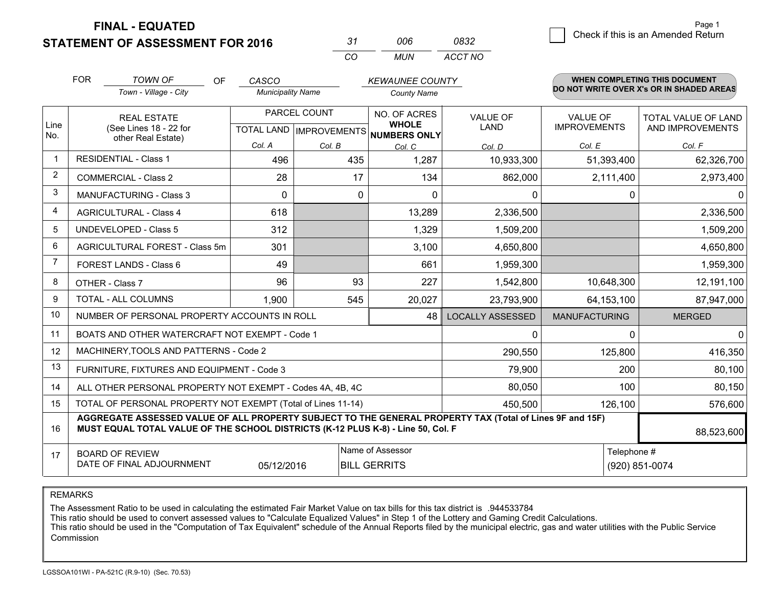**STATEMENT OF ASSESSMENT FOR 2016** 

| -31 | nnr   | 0832    |
|-----|-------|---------|
| CO. | MI IN | ACCT NO |

|                | <b>FOR</b><br><b>TOWN OF</b><br><b>OF</b>                                                                                                                                                                  | CASCO                    |                              | <b>KEWAUNEE COUNTY</b>              |                                 |                                         | <b>WHEN COMPLETING THIS DOCUMENT</b>     |
|----------------|------------------------------------------------------------------------------------------------------------------------------------------------------------------------------------------------------------|--------------------------|------------------------------|-------------------------------------|---------------------------------|-----------------------------------------|------------------------------------------|
|                | Town - Village - City                                                                                                                                                                                      | <b>Municipality Name</b> |                              | <b>County Name</b>                  |                                 |                                         | DO NOT WRITE OVER X's OR IN SHADED AREAS |
| Line           | PARCEL COUNT<br><b>REAL ESTATE</b>                                                                                                                                                                         |                          | NO. OF ACRES<br><b>WHOLE</b> | <b>VALUE OF</b><br><b>LAND</b>      | VALUE OF<br><b>IMPROVEMENTS</b> | TOTAL VALUE OF LAND<br>AND IMPROVEMENTS |                                          |
| No.            | (See Lines 18 - 22 for<br>other Real Estate)                                                                                                                                                               |                          |                              | TOTAL LAND MPROVEMENTS NUMBERS ONLY |                                 |                                         |                                          |
|                |                                                                                                                                                                                                            | Col. A                   | Col. B                       | Col. C                              | Col. D                          | Col. E                                  | Col. F                                   |
| $\mathbf 1$    | <b>RESIDENTIAL - Class 1</b>                                                                                                                                                                               | 496                      | 435                          | 1,287                               | 10,933,300                      | 51,393,400                              | 62,326,700                               |
| $\overline{2}$ | <b>COMMERCIAL - Class 2</b>                                                                                                                                                                                | 28                       | 17                           | 134                                 | 862,000                         | 2,111,400                               | 2,973,400                                |
| 3              | MANUFACTURING - Class 3                                                                                                                                                                                    | $\Omega$                 | $\Omega$                     | $\Omega$                            | $\mathbf 0$                     | $\mathbf 0$                             | 0                                        |
| 4              | <b>AGRICULTURAL - Class 4</b>                                                                                                                                                                              | 618                      |                              | 13,289                              | 2,336,500                       |                                         | 2,336,500                                |
| 5              | UNDEVELOPED - Class 5                                                                                                                                                                                      | 312                      |                              | 1,329                               | 1,509,200                       |                                         | 1,509,200                                |
| 6              | AGRICULTURAL FOREST - Class 5m                                                                                                                                                                             | 301                      |                              | 3,100                               | 4,650,800                       |                                         | 4,650,800                                |
| $\overline{7}$ | FOREST LANDS - Class 6                                                                                                                                                                                     | 49                       |                              | 661                                 | 1,959,300                       |                                         | 1,959,300                                |
| 8              | OTHER - Class 7                                                                                                                                                                                            | 96                       | 93                           | 227                                 | 1,542,800                       | 10,648,300                              | 12,191,100                               |
| 9              | TOTAL - ALL COLUMNS                                                                                                                                                                                        | 1,900                    | 545                          | 20,027                              | 23,793,900                      | 64, 153, 100                            | 87,947,000                               |
| 10             | NUMBER OF PERSONAL PROPERTY ACCOUNTS IN ROLL                                                                                                                                                               |                          |                              | 48                                  | <b>LOCALLY ASSESSED</b>         | <b>MANUFACTURING</b>                    | <b>MERGED</b>                            |
| 11             | BOATS AND OTHER WATERCRAFT NOT EXEMPT - Code 1                                                                                                                                                             |                          |                              |                                     | $\mathbf{0}$                    | 0                                       | 0                                        |
| 12             | MACHINERY, TOOLS AND PATTERNS - Code 2                                                                                                                                                                     |                          |                              |                                     | 290,550                         | 125,800                                 | 416,350                                  |
| 13             | FURNITURE, FIXTURES AND EQUIPMENT - Code 3                                                                                                                                                                 |                          |                              |                                     | 79,900                          | 200                                     | 80,100                                   |
| 14             | ALL OTHER PERSONAL PROPERTY NOT EXEMPT - Codes 4A, 4B, 4C                                                                                                                                                  |                          | 80,050                       | 100                                 | 80,150                          |                                         |                                          |
| 15             | TOTAL OF PERSONAL PROPERTY NOT EXEMPT (Total of Lines 11-14)                                                                                                                                               |                          |                              | 450,500                             | 126,100                         | 576,600                                 |                                          |
| 16             | AGGREGATE ASSESSED VALUE OF ALL PROPERTY SUBJECT TO THE GENERAL PROPERTY TAX (Total of Lines 9F and 15F)<br>MUST EQUAL TOTAL VALUE OF THE SCHOOL DISTRICTS (K-12 PLUS K-8) - Line 50, Col. F<br>88,523,600 |                          |                              |                                     |                                 |                                         |                                          |
| 17             | <b>BOARD OF REVIEW</b>                                                                                                                                                                                     |                          |                              | Name of Assessor                    |                                 | Telephone #                             |                                          |
|                | DATE OF FINAL ADJOURNMENT                                                                                                                                                                                  | 05/12/2016               |                              | <b>BILL GERRITS</b>                 |                                 |                                         | (920) 851-0074                           |

REMARKS

The Assessment Ratio to be used in calculating the estimated Fair Market Value on tax bills for this tax district is .944533784

This ratio should be used to convert assessed values to "Calculate Equalized Values" in Step 1 of the Lottery and Gaming Credit Calculations.<br>This ratio should be used in the "Computation of Tax Equivalent" schedule of the Commission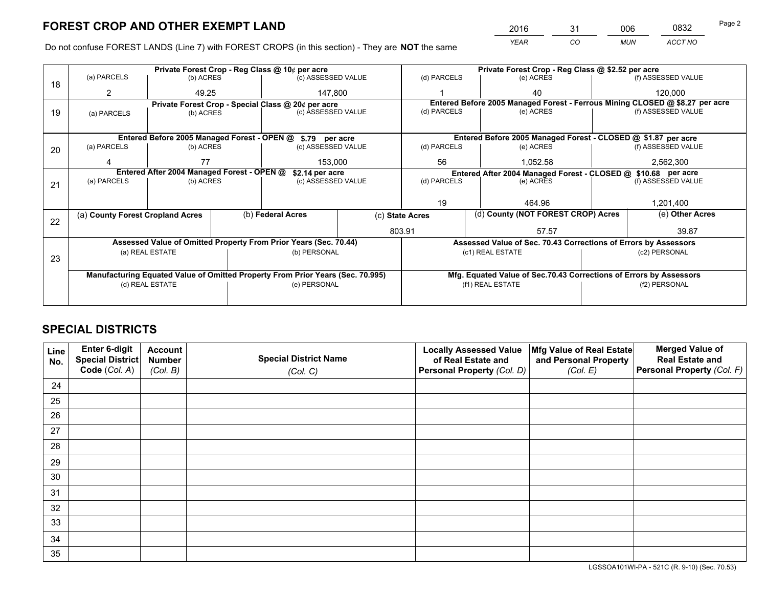*YEAR CO MUN ACCT NO* <sup>2016</sup> <sup>31</sup> <sup>006</sup> <sup>0832</sup> Page 2

Do not confuse FOREST LANDS (Line 7) with FOREST CROPS (in this section) - They are **NOT** the same

|    |                                                                                |                 |                                                               | Private Forest Crop - Reg Class @ 10¢ per acre                   |                                                                    | Private Forest Crop - Reg Class @ \$2.52 per acre |                                                                              |               |                    |  |
|----|--------------------------------------------------------------------------------|-----------------|---------------------------------------------------------------|------------------------------------------------------------------|--------------------------------------------------------------------|---------------------------------------------------|------------------------------------------------------------------------------|---------------|--------------------|--|
| 18 | (a) PARCELS                                                                    | (b) ACRES       |                                                               | (c) ASSESSED VALUE                                               |                                                                    | (d) PARCELS                                       | (e) ACRES                                                                    |               | (f) ASSESSED VALUE |  |
|    | 2                                                                              | 49.25           |                                                               | 147,800                                                          |                                                                    |                                                   | 40                                                                           |               | 120,000            |  |
|    |                                                                                |                 |                                                               | Private Forest Crop - Special Class @ 20¢ per acre               |                                                                    |                                                   | Entered Before 2005 Managed Forest - Ferrous Mining CLOSED @ \$8.27 per acre |               |                    |  |
| 19 | (a) PARCELS                                                                    | (b) ACRES       |                                                               | (c) ASSESSED VALUE                                               |                                                                    | (d) PARCELS                                       | (e) ACRES                                                                    |               | (f) ASSESSED VALUE |  |
|    |                                                                                |                 |                                                               |                                                                  |                                                                    |                                                   |                                                                              |               |                    |  |
|    |                                                                                |                 |                                                               | Entered Before 2005 Managed Forest - OPEN @ \$.79 per acre       |                                                                    |                                                   | Entered Before 2005 Managed Forest - CLOSED @ \$1.87 per acre                |               |                    |  |
| 20 | (a) PARCELS                                                                    | (b) ACRES       |                                                               | (c) ASSESSED VALUE                                               |                                                                    | (d) PARCELS                                       | (e) ACRES                                                                    |               | (f) ASSESSED VALUE |  |
|    |                                                                                | 77              |                                                               | 153,000                                                          |                                                                    | 56<br>1,052.58                                    |                                                                              |               | 2,562,300          |  |
|    |                                                                                |                 | Entered After 2004 Managed Forest - OPEN @<br>\$2.14 per acre |                                                                  |                                                                    |                                                   | Entered After 2004 Managed Forest - CLOSED @ \$10.68 per acre                |               |                    |  |
| 21 | (a) PARCELS                                                                    | (b) ACRES       |                                                               | (c) ASSESSED VALUE                                               |                                                                    | (d) PARCELS<br>(e) ACRES                          |                                                                              |               | (f) ASSESSED VALUE |  |
|    |                                                                                |                 |                                                               |                                                                  |                                                                    |                                                   |                                                                              |               |                    |  |
|    |                                                                                |                 |                                                               |                                                                  |                                                                    | 19                                                | 464.96                                                                       |               | 1,201,400          |  |
|    | (a) County Forest Cropland Acres                                               |                 |                                                               | (b) Federal Acres                                                |                                                                    | (c) State Acres                                   | (d) County (NOT FOREST CROP) Acres                                           |               | (e) Other Acres    |  |
| 22 |                                                                                |                 |                                                               |                                                                  |                                                                    | 803.91                                            | 57.57                                                                        |               | 39.87              |  |
|    |                                                                                |                 |                                                               | Assessed Value of Omitted Property From Prior Years (Sec. 70.44) |                                                                    |                                                   | Assessed Value of Sec. 70.43 Corrections of Errors by Assessors              |               |                    |  |
|    |                                                                                | (a) REAL ESTATE |                                                               | (b) PERSONAL                                                     |                                                                    |                                                   | (c1) REAL ESTATE                                                             |               | (c2) PERSONAL      |  |
| 23 |                                                                                |                 |                                                               |                                                                  |                                                                    |                                                   |                                                                              |               |                    |  |
|    | Manufacturing Equated Value of Omitted Property From Prior Years (Sec. 70.995) |                 |                                                               |                                                                  | Mfg. Equated Value of Sec.70.43 Corrections of Errors by Assessors |                                                   |                                                                              |               |                    |  |
|    |                                                                                | (d) REAL ESTATE | (e) PERSONAL                                                  |                                                                  |                                                                    | (f1) REAL ESTATE                                  |                                                                              | (f2) PERSONAL |                    |  |
|    |                                                                                |                 |                                                               |                                                                  |                                                                    |                                                   |                                                                              |               |                    |  |

## **SPECIAL DISTRICTS**

| Line<br>No. | Enter 6-digit<br>Special District | <b>Account</b><br><b>Number</b> | <b>Special District Name</b> | <b>Locally Assessed Value</b><br>of Real Estate and | Mfg Value of Real Estate<br>and Personal Property | <b>Merged Value of</b><br><b>Real Estate and</b> |
|-------------|-----------------------------------|---------------------------------|------------------------------|-----------------------------------------------------|---------------------------------------------------|--------------------------------------------------|
|             | Code (Col. A)                     | (Col. B)                        | (Col. C)                     | Personal Property (Col. D)                          | (Col. E)                                          | Personal Property (Col. F)                       |
| 24          |                                   |                                 |                              |                                                     |                                                   |                                                  |
| 25          |                                   |                                 |                              |                                                     |                                                   |                                                  |
| 26          |                                   |                                 |                              |                                                     |                                                   |                                                  |
| 27          |                                   |                                 |                              |                                                     |                                                   |                                                  |
| 28          |                                   |                                 |                              |                                                     |                                                   |                                                  |
| 29          |                                   |                                 |                              |                                                     |                                                   |                                                  |
| 30          |                                   |                                 |                              |                                                     |                                                   |                                                  |
| 31          |                                   |                                 |                              |                                                     |                                                   |                                                  |
| 32          |                                   |                                 |                              |                                                     |                                                   |                                                  |
| 33          |                                   |                                 |                              |                                                     |                                                   |                                                  |
| 34          |                                   |                                 |                              |                                                     |                                                   |                                                  |
| 35          |                                   |                                 |                              |                                                     |                                                   |                                                  |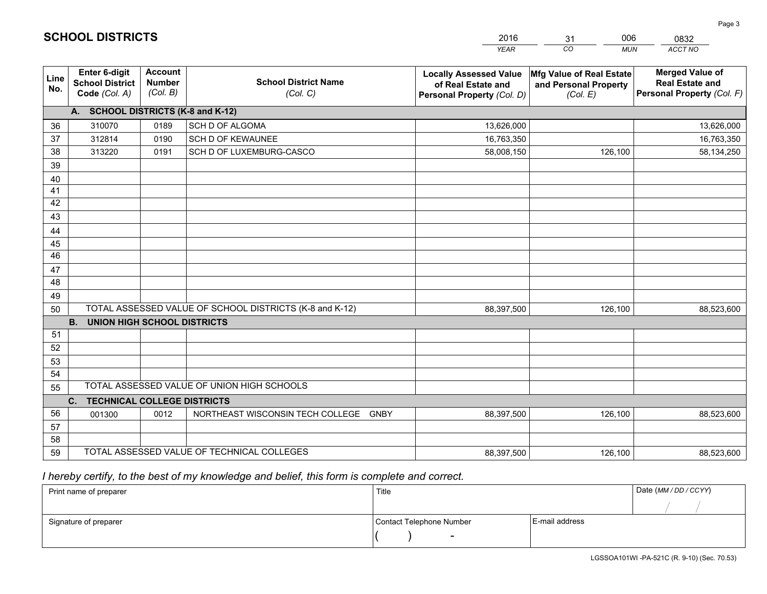|             |                                                          |                                             |                                                         | <b>YEAR</b>                                                                       | CO<br><b>MUN</b>                                              | ACCT NO                                                                        |
|-------------|----------------------------------------------------------|---------------------------------------------|---------------------------------------------------------|-----------------------------------------------------------------------------------|---------------------------------------------------------------|--------------------------------------------------------------------------------|
| Line<br>No. | Enter 6-digit<br><b>School District</b><br>Code (Col. A) | <b>Account</b><br><b>Number</b><br>(Col. B) | <b>School District Name</b><br>(Col. C)                 | <b>Locally Assessed Value</b><br>of Real Estate and<br>Personal Property (Col. D) | Mfg Value of Real Estate<br>and Personal Property<br>(Col. E) | <b>Merged Value of</b><br><b>Real Estate and</b><br>Personal Property (Col. F) |
|             | A. SCHOOL DISTRICTS (K-8 and K-12)                       |                                             |                                                         |                                                                                   |                                                               |                                                                                |
| 36          | 310070                                                   | 0189                                        | SCH D OF ALGOMA                                         | 13,626,000                                                                        |                                                               | 13,626,000                                                                     |
| 37          | 312814                                                   | 0190                                        | <b>SCH D OF KEWAUNEE</b>                                | 16,763,350                                                                        |                                                               | 16,763,350                                                                     |
| 38          | 313220                                                   | 0191                                        | SCH D OF LUXEMBURG-CASCO                                | 58,008,150                                                                        | 126,100                                                       | 58,134,250                                                                     |
| 39          |                                                          |                                             |                                                         |                                                                                   |                                                               |                                                                                |
| 40          |                                                          |                                             |                                                         |                                                                                   |                                                               |                                                                                |
| 41          |                                                          |                                             |                                                         |                                                                                   |                                                               |                                                                                |
| 42          |                                                          |                                             |                                                         |                                                                                   |                                                               |                                                                                |
| 43          |                                                          |                                             |                                                         |                                                                                   |                                                               |                                                                                |
| 44          |                                                          |                                             |                                                         |                                                                                   |                                                               |                                                                                |
| 45          |                                                          |                                             |                                                         |                                                                                   |                                                               |                                                                                |
| 46          |                                                          |                                             |                                                         |                                                                                   |                                                               |                                                                                |
| 47          |                                                          |                                             |                                                         |                                                                                   |                                                               |                                                                                |
| 48          |                                                          |                                             |                                                         |                                                                                   |                                                               |                                                                                |
| 49          |                                                          |                                             |                                                         |                                                                                   |                                                               |                                                                                |
| 50          |                                                          |                                             | TOTAL ASSESSED VALUE OF SCHOOL DISTRICTS (K-8 and K-12) | 88,397,500                                                                        | 126,100                                                       | 88,523,600                                                                     |
|             | <b>UNION HIGH SCHOOL DISTRICTS</b><br><b>B.</b>          |                                             |                                                         |                                                                                   |                                                               |                                                                                |
| 51          |                                                          |                                             |                                                         |                                                                                   |                                                               |                                                                                |
| 52          |                                                          |                                             |                                                         |                                                                                   |                                                               |                                                                                |
| 53          |                                                          |                                             |                                                         |                                                                                   |                                                               |                                                                                |
| 54          |                                                          |                                             | TOTAL ASSESSED VALUE OF UNION HIGH SCHOOLS              |                                                                                   |                                                               |                                                                                |
| 55          |                                                          |                                             |                                                         |                                                                                   |                                                               |                                                                                |
|             | C.<br><b>TECHNICAL COLLEGE DISTRICTS</b>                 |                                             |                                                         |                                                                                   |                                                               |                                                                                |
| 56          | 001300                                                   | 0012                                        | NORTHEAST WISCONSIN TECH COLLEGE GNBY                   | 88,397,500                                                                        | 126,100                                                       | 88,523,600                                                                     |
| 57<br>58    |                                                          |                                             |                                                         |                                                                                   |                                                               |                                                                                |
| 59          |                                                          |                                             | TOTAL ASSESSED VALUE OF TECHNICAL COLLEGES              | 88,397,500                                                                        | 126,100                                                       | 88,523,600                                                                     |
|             |                                                          |                                             |                                                         |                                                                                   |                                                               |                                                                                |

31

006

 *I hereby certify, to the best of my knowledge and belief, this form is complete and correct.*

**SCHOOL DISTRICTS**

| Print name of preparer | Title                    |                | Date (MM / DD / CCYY) |
|------------------------|--------------------------|----------------|-----------------------|
|                        |                          |                |                       |
| Signature of preparer  | Contact Telephone Number | E-mail address |                       |
|                        | $\overline{\phantom{0}}$ |                |                       |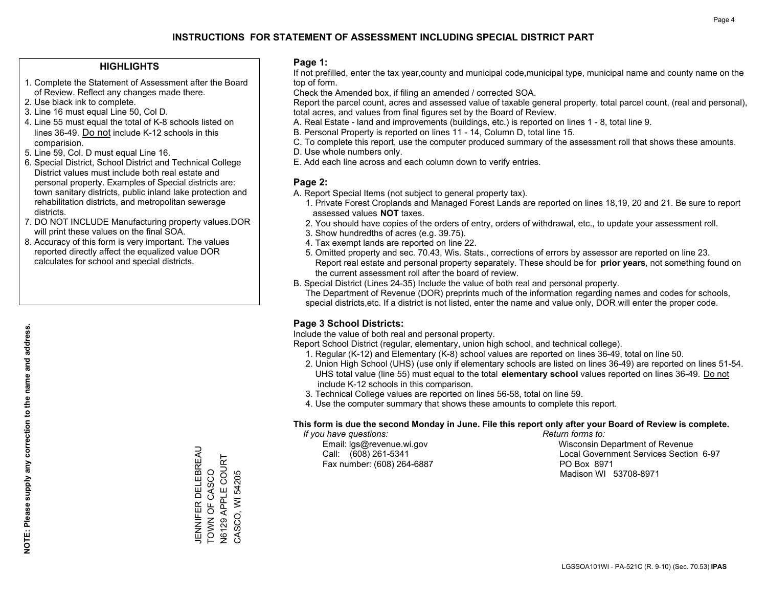## **HIGHLIGHTS**

- 1. Complete the Statement of Assessment after the Board of Review. Reflect any changes made there.
- 2. Use black ink to complete.

**NOTE: Please supply any correction to the name and address.**

NOTE: Please supply any correction to the name and address.

- 3. Line 16 must equal Line 50, Col D.
- 4. Line 55 must equal the total of K-8 schools listed on lines 36-49. Do not include K-12 schools in this comparision.
- 5. Line 59, Col. D must equal Line 16.
- 6. Special District, School District and Technical College District values must include both real estate and personal property. Examples of Special districts are: town sanitary districts, public inland lake protection and rehabilitation districts, and metropolitan sewerage districts.
- 7. DO NOT INCLUDE Manufacturing property values.DOR will print these values on the final SOA.
- 8. Accuracy of this form is very important. The values reported directly affect the equalized value DOR calculates for school and special districts.

#### **Page 1:**

 If not prefilled, enter the tax year,county and municipal code,municipal type, municipal name and county name on the top of form.

Check the Amended box, if filing an amended / corrected SOA.

 Report the parcel count, acres and assessed value of taxable general property, total parcel count, (real and personal), total acres, and values from final figures set by the Board of Review.

- A. Real Estate land and improvements (buildings, etc.) is reported on lines 1 8, total line 9.
- B. Personal Property is reported on lines 11 14, Column D, total line 15.
- C. To complete this report, use the computer produced summary of the assessment roll that shows these amounts.
- D. Use whole numbers only.
- E. Add each line across and each column down to verify entries.

### **Page 2:**

- A. Report Special Items (not subject to general property tax).
- 1. Private Forest Croplands and Managed Forest Lands are reported on lines 18,19, 20 and 21. Be sure to report assessed values **NOT** taxes.
- 2. You should have copies of the orders of entry, orders of withdrawal, etc., to update your assessment roll.
	- 3. Show hundredths of acres (e.g. 39.75).
- 4. Tax exempt lands are reported on line 22.
- 5. Omitted property and sec. 70.43, Wis. Stats., corrections of errors by assessor are reported on line 23. Report real estate and personal property separately. These should be for **prior years**, not something found on the current assessment roll after the board of review.
- B. Special District (Lines 24-35) Include the value of both real and personal property.
- The Department of Revenue (DOR) preprints much of the information regarding names and codes for schools, special districts,etc. If a district is not listed, enter the name and value only, DOR will enter the proper code.

## **Page 3 School Districts:**

Include the value of both real and personal property.

Report School District (regular, elementary, union high school, and technical college).

- 1. Regular (K-12) and Elementary (K-8) school values are reported on lines 36-49, total on line 50.
- 2. Union High School (UHS) (use only if elementary schools are listed on lines 36-49) are reported on lines 51-54. UHS total value (line 55) must equal to the total **elementary school** values reported on lines 36-49. Do notinclude K-12 schools in this comparison.
- 3. Technical College values are reported on lines 56-58, total on line 59.
- 4. Use the computer summary that shows these amounts to complete this report.

#### **This form is due the second Monday in June. File this report only after your Board of Review is complete.**

 *If you have questions: Return forms to:*

Fax number: (608) 264-6887 PO Box 8971

 Email: lgs@revenue.wi.gov Wisconsin Department of Revenue Call: (608) 261-5341 Local Government Services Section 6-97Madison WI 53708-8971

JENNIFER DELEBREAU TOWN OF CASCO N6129 APPLE COURT CASCO, WI 54205

CASCO, WI 54205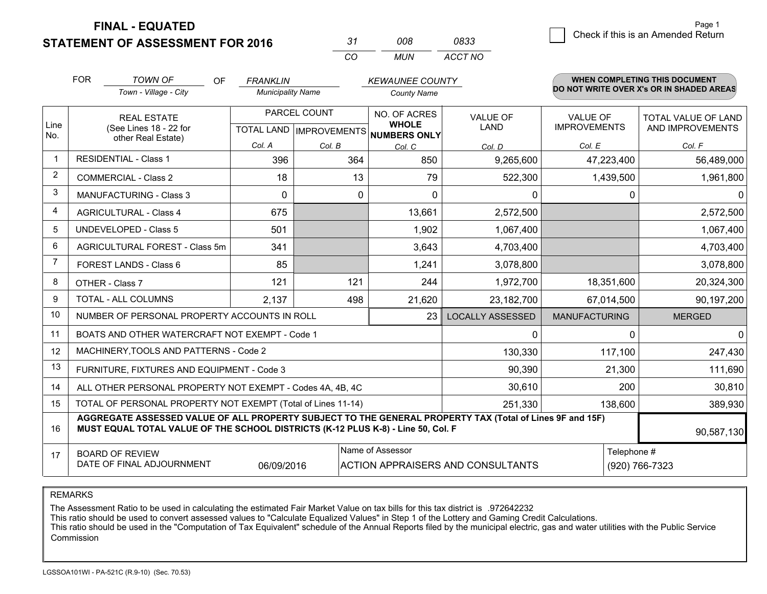**STATEMENT OF ASSESSMENT FOR 2016** 

| -37      | nnr | 0833    |
|----------|-----|---------|
| $\cdots$ | MUN | ACCT NO |

|             | <b>FOR</b>                                                                                                                                                                                   | <b>TOWN OF</b><br>OF<br>Town - Village - City                      | <b>FRANKLIN</b><br><b>Municipality Name</b> |              | <b>KEWAUNEE COUNTY</b><br><b>County Name</b>                             |                                          |                                        | <b>WHEN COMPLETING THIS DOCUMENT</b><br>DO NOT WRITE OVER X's OR IN SHADED AREAS |
|-------------|----------------------------------------------------------------------------------------------------------------------------------------------------------------------------------------------|--------------------------------------------------------------------|---------------------------------------------|--------------|--------------------------------------------------------------------------|------------------------------------------|----------------------------------------|----------------------------------------------------------------------------------|
| Line<br>No. |                                                                                                                                                                                              | <b>REAL ESTATE</b><br>(See Lines 18 - 22 for<br>other Real Estate) |                                             | PARCEL COUNT | NO. OF ACRES<br><b>WHOLE</b><br>TOTAL LAND   IMPROVEMENTS   NUMBERS ONLY | <b>VALUE OF</b><br>LAND                  | <b>VALUE OF</b><br><b>IMPROVEMENTS</b> | <b>TOTAL VALUE OF LAND</b><br>AND IMPROVEMENTS                                   |
|             |                                                                                                                                                                                              |                                                                    | Col. A                                      | Col. B       | Col. C                                                                   | Col. D                                   | Col. E                                 | Col. F                                                                           |
|             |                                                                                                                                                                                              | <b>RESIDENTIAL - Class 1</b>                                       | 396                                         | 364          | 850                                                                      | 9,265,600                                | 47,223,400                             | 56,489,000                                                                       |
| 2           |                                                                                                                                                                                              | <b>COMMERCIAL - Class 2</b>                                        | 18                                          | 13           | 79                                                                       | 522,300                                  | 1,439,500                              | 1,961,800                                                                        |
| 3           |                                                                                                                                                                                              | <b>MANUFACTURING - Class 3</b>                                     | $\Omega$                                    | 0            | $\Omega$                                                                 | 0                                        | 0                                      | $\overline{0}$                                                                   |
| 4           |                                                                                                                                                                                              | <b>AGRICULTURAL - Class 4</b>                                      | 675                                         |              | 13,661                                                                   | 2,572,500                                |                                        | 2,572,500                                                                        |
| 5           |                                                                                                                                                                                              | UNDEVELOPED - Class 5                                              | 501                                         |              | 1,902                                                                    | 1,067,400                                |                                        | 1,067,400                                                                        |
| 6           |                                                                                                                                                                                              | AGRICULTURAL FOREST - Class 5m                                     | 341                                         |              | 3,643                                                                    | 4,703,400                                |                                        | 4,703,400                                                                        |
| 7           |                                                                                                                                                                                              | FOREST LANDS - Class 6                                             | 85                                          |              | 1,241                                                                    | 3,078,800                                |                                        | 3,078,800                                                                        |
| 8           |                                                                                                                                                                                              | OTHER - Class 7                                                    | 121                                         | 121          | 244                                                                      | 1,972,700                                | 18,351,600                             | 20,324,300                                                                       |
| 9           |                                                                                                                                                                                              | TOTAL - ALL COLUMNS                                                | 2,137                                       | 498          | 21,620                                                                   | 23,182,700                               | 67,014,500                             | 90,197,200                                                                       |
| 10          |                                                                                                                                                                                              | NUMBER OF PERSONAL PROPERTY ACCOUNTS IN ROLL                       |                                             |              | 23                                                                       | <b>LOCALLY ASSESSED</b>                  | <b>MANUFACTURING</b>                   | <b>MERGED</b>                                                                    |
| 11          |                                                                                                                                                                                              | BOATS AND OTHER WATERCRAFT NOT EXEMPT - Code 1                     |                                             |              |                                                                          | 0                                        | $\Omega$                               | $\Omega$                                                                         |
| 12          |                                                                                                                                                                                              | MACHINERY, TOOLS AND PATTERNS - Code 2                             |                                             |              |                                                                          | 130,330                                  | 117,100                                | 247,430                                                                          |
| 13          |                                                                                                                                                                                              | FURNITURE, FIXTURES AND EQUIPMENT - Code 3                         |                                             |              |                                                                          | 90,390                                   | 21,300                                 | 111,690                                                                          |
| 14          |                                                                                                                                                                                              | ALL OTHER PERSONAL PROPERTY NOT EXEMPT - Codes 4A, 4B, 4C          |                                             |              |                                                                          | 30,610                                   | 200                                    | 30,810                                                                           |
| 15          |                                                                                                                                                                                              | TOTAL OF PERSONAL PROPERTY NOT EXEMPT (Total of Lines 11-14)       |                                             |              | 251,330                                                                  | 138,600                                  | 389,930                                |                                                                                  |
| 16          | AGGREGATE ASSESSED VALUE OF ALL PROPERTY SUBJECT TO THE GENERAL PROPERTY TAX (Total of Lines 9F and 15F)<br>MUST EQUAL TOTAL VALUE OF THE SCHOOL DISTRICTS (K-12 PLUS K-8) - Line 50, Col. F |                                                                    |                                             |              |                                                                          |                                          |                                        | 90,587,130                                                                       |
| 17          | Name of Assessor<br><b>BOARD OF REVIEW</b><br>DATE OF FINAL ADJOURNMENT<br>06/09/2016                                                                                                        |                                                                    |                                             |              |                                                                          | <b>ACTION APPRAISERS AND CONSULTANTS</b> | Telephone #                            | (920) 766-7323                                                                   |

REMARKS

The Assessment Ratio to be used in calculating the estimated Fair Market Value on tax bills for this tax district is .972642232

This ratio should be used to convert assessed values to "Calculate Equalized Values" in Step 1 of the Lottery and Gaming Credit Calculations.<br>This ratio should be used in the "Computation of Tax Equivalent" schedule of the Commission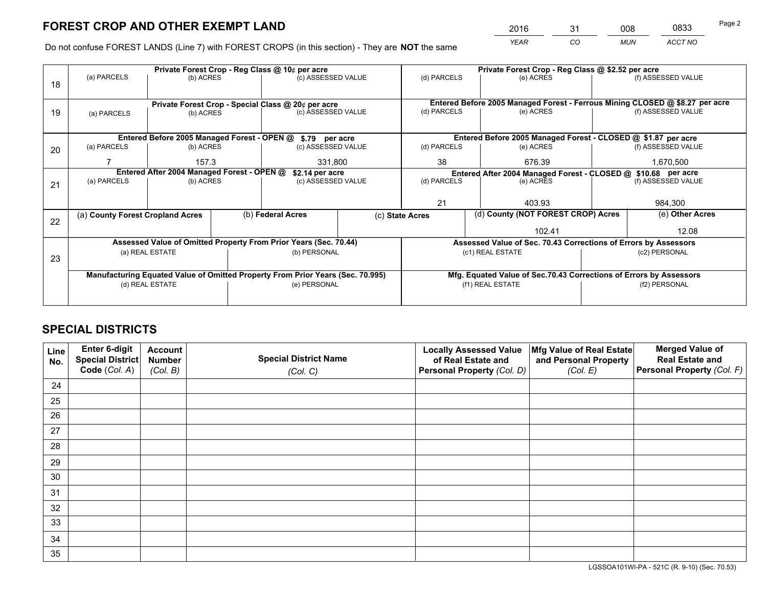*YEAR CO MUN ACCT NO* <sup>2016</sup> <sup>31</sup> <sup>008</sup> <sup>0833</sup>

Do not confuse FOREST LANDS (Line 7) with FOREST CROPS (in this section) - They are **NOT** the same

|    |                                                                                |                 |  | Private Forest Crop - Reg Class @ 10¢ per acre                   |  | Private Forest Crop - Reg Class @ \$2.52 per acre |                                                                              |  |                    |  |
|----|--------------------------------------------------------------------------------|-----------------|--|------------------------------------------------------------------|--|---------------------------------------------------|------------------------------------------------------------------------------|--|--------------------|--|
| 18 | (a) PARCELS                                                                    | (b) ACRES       |  | (c) ASSESSED VALUE                                               |  | (d) PARCELS                                       | (e) ACRES                                                                    |  | (f) ASSESSED VALUE |  |
|    |                                                                                |                 |  | Private Forest Crop - Special Class @ 20¢ per acre               |  |                                                   | Entered Before 2005 Managed Forest - Ferrous Mining CLOSED @ \$8.27 per acre |  |                    |  |
| 19 | (a) PARCELS                                                                    | (b) ACRES       |  | (c) ASSESSED VALUE                                               |  | (d) PARCELS                                       | (e) ACRES                                                                    |  | (f) ASSESSED VALUE |  |
|    |                                                                                |                 |  |                                                                  |  |                                                   |                                                                              |  |                    |  |
|    |                                                                                |                 |  | Entered Before 2005 Managed Forest - OPEN @ \$.79 per acre       |  |                                                   | Entered Before 2005 Managed Forest - CLOSED @ \$1.87 per acre                |  |                    |  |
| 20 | (a) PARCELS                                                                    | (b) ACRES       |  | (c) ASSESSED VALUE                                               |  | (d) PARCELS                                       | (e) ACRES                                                                    |  | (f) ASSESSED VALUE |  |
|    |                                                                                | 157.3           |  | 331,800                                                          |  | 38<br>676.39                                      |                                                                              |  | 1,670,500          |  |
|    | Entered After 2004 Managed Forest - OPEN @<br>\$2.14 per acre                  |                 |  | Entered After 2004 Managed Forest - CLOSED @ \$10.68 per acre    |  |                                                   |                                                                              |  |                    |  |
| 21 | (a) PARCELS                                                                    | (b) ACRES       |  | (c) ASSESSED VALUE                                               |  | (d) PARCELS<br>(e) ACRES                          |                                                                              |  | (f) ASSESSED VALUE |  |
|    |                                                                                |                 |  |                                                                  |  |                                                   |                                                                              |  |                    |  |
|    |                                                                                |                 |  |                                                                  |  | 21                                                | 403.93                                                                       |  | 984,300            |  |
|    | (a) County Forest Cropland Acres                                               |                 |  | (b) Federal Acres                                                |  | (c) State Acres                                   | (d) County (NOT FOREST CROP) Acres                                           |  | (e) Other Acres    |  |
| 22 |                                                                                |                 |  |                                                                  |  |                                                   | 102.41                                                                       |  | 12.08              |  |
|    |                                                                                |                 |  | Assessed Value of Omitted Property From Prior Years (Sec. 70.44) |  |                                                   | Assessed Value of Sec. 70.43 Corrections of Errors by Assessors              |  |                    |  |
|    |                                                                                | (a) REAL ESTATE |  | (b) PERSONAL                                                     |  |                                                   | (c1) REAL ESTATE                                                             |  | (c2) PERSONAL      |  |
| 23 |                                                                                |                 |  |                                                                  |  |                                                   |                                                                              |  |                    |  |
|    | Manufacturing Equated Value of Omitted Property From Prior Years (Sec. 70.995) |                 |  |                                                                  |  |                                                   | Mfg. Equated Value of Sec.70.43 Corrections of Errors by Assessors           |  |                    |  |
|    | (e) PERSONAL<br>(d) REAL ESTATE                                                |                 |  | (f1) REAL ESTATE                                                 |  | (f2) PERSONAL                                     |                                                                              |  |                    |  |
|    |                                                                                |                 |  |                                                                  |  |                                                   |                                                                              |  |                    |  |
|    |                                                                                |                 |  |                                                                  |  |                                                   |                                                                              |  |                    |  |

## **SPECIAL DISTRICTS**

| Line<br>No. | Enter 6-digit<br><b>Special District</b> | <b>Account</b><br><b>Number</b> | <b>Special District Name</b> | <b>Locally Assessed Value</b><br>of Real Estate and | Mfg Value of Real Estate<br>and Personal Property | <b>Merged Value of</b><br><b>Real Estate and</b> |
|-------------|------------------------------------------|---------------------------------|------------------------------|-----------------------------------------------------|---------------------------------------------------|--------------------------------------------------|
|             | Code (Col. A)                            | (Col. B)                        | (Col. C)                     | Personal Property (Col. D)                          | (Col. E)                                          | Personal Property (Col. F)                       |
| 24          |                                          |                                 |                              |                                                     |                                                   |                                                  |
| 25          |                                          |                                 |                              |                                                     |                                                   |                                                  |
| 26          |                                          |                                 |                              |                                                     |                                                   |                                                  |
| 27          |                                          |                                 |                              |                                                     |                                                   |                                                  |
| 28          |                                          |                                 |                              |                                                     |                                                   |                                                  |
| 29          |                                          |                                 |                              |                                                     |                                                   |                                                  |
| 30          |                                          |                                 |                              |                                                     |                                                   |                                                  |
| 31          |                                          |                                 |                              |                                                     |                                                   |                                                  |
| 32          |                                          |                                 |                              |                                                     |                                                   |                                                  |
| 33          |                                          |                                 |                              |                                                     |                                                   |                                                  |
| 34          |                                          |                                 |                              |                                                     |                                                   |                                                  |
| 35          |                                          |                                 |                              |                                                     |                                                   |                                                  |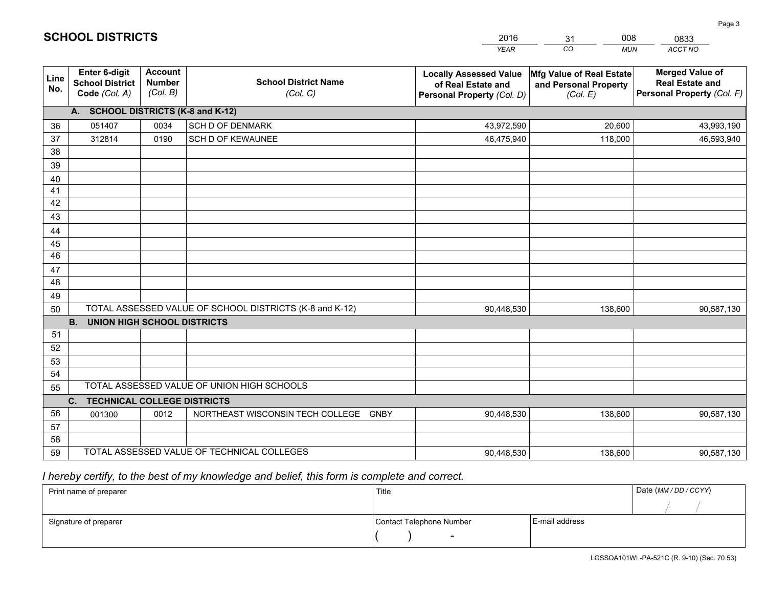|                       |                                                                 |                                             |                                                         | <b>YEAR</b>                                                                       | CO<br><b>MUN</b>                                              | ACCT NO                                                                        |
|-----------------------|-----------------------------------------------------------------|---------------------------------------------|---------------------------------------------------------|-----------------------------------------------------------------------------------|---------------------------------------------------------------|--------------------------------------------------------------------------------|
| Line<br>No.           | <b>Enter 6-digit</b><br><b>School District</b><br>Code (Col. A) | <b>Account</b><br><b>Number</b><br>(Col. B) | <b>School District Name</b><br>(Col. C)                 | <b>Locally Assessed Value</b><br>of Real Estate and<br>Personal Property (Col. D) | Mfg Value of Real Estate<br>and Personal Property<br>(Col. E) | <b>Merged Value of</b><br><b>Real Estate and</b><br>Personal Property (Col. F) |
|                       | A. SCHOOL DISTRICTS (K-8 and K-12)                              |                                             |                                                         |                                                                                   |                                                               |                                                                                |
| 36                    | 051407                                                          | 0034                                        | <b>SCH D OF DENMARK</b>                                 | 43,972,590                                                                        | 20,600                                                        | 43,993,190                                                                     |
| 37                    | 312814                                                          | 0190                                        | SCH D OF KEWAUNEE                                       | 46,475,940                                                                        | 118,000                                                       | 46,593,940                                                                     |
| 38                    |                                                                 |                                             |                                                         |                                                                                   |                                                               |                                                                                |
| 39                    |                                                                 |                                             |                                                         |                                                                                   |                                                               |                                                                                |
| 40                    |                                                                 |                                             |                                                         |                                                                                   |                                                               |                                                                                |
| 41                    |                                                                 |                                             |                                                         |                                                                                   |                                                               |                                                                                |
| 42                    |                                                                 |                                             |                                                         |                                                                                   |                                                               |                                                                                |
| 43                    |                                                                 |                                             |                                                         |                                                                                   |                                                               |                                                                                |
| 44                    |                                                                 |                                             |                                                         |                                                                                   |                                                               |                                                                                |
| 45<br>$\overline{46}$ |                                                                 |                                             |                                                         |                                                                                   |                                                               |                                                                                |
| 47                    |                                                                 |                                             |                                                         |                                                                                   |                                                               |                                                                                |
| 48                    |                                                                 |                                             |                                                         |                                                                                   |                                                               |                                                                                |
| 49                    |                                                                 |                                             |                                                         |                                                                                   |                                                               |                                                                                |
| 50                    |                                                                 |                                             | TOTAL ASSESSED VALUE OF SCHOOL DISTRICTS (K-8 and K-12) | 90,448,530                                                                        | 138,600                                                       | 90,587,130                                                                     |
|                       | <b>B.</b><br><b>UNION HIGH SCHOOL DISTRICTS</b>                 |                                             |                                                         |                                                                                   |                                                               |                                                                                |
| 51                    |                                                                 |                                             |                                                         |                                                                                   |                                                               |                                                                                |
| 52                    |                                                                 |                                             |                                                         |                                                                                   |                                                               |                                                                                |
| 53                    |                                                                 |                                             |                                                         |                                                                                   |                                                               |                                                                                |
| 54                    |                                                                 |                                             |                                                         |                                                                                   |                                                               |                                                                                |
| 55                    |                                                                 |                                             | TOTAL ASSESSED VALUE OF UNION HIGH SCHOOLS              |                                                                                   |                                                               |                                                                                |
|                       | C.<br><b>TECHNICAL COLLEGE DISTRICTS</b>                        |                                             |                                                         |                                                                                   |                                                               |                                                                                |
| 56                    | 001300                                                          | 0012                                        | NORTHEAST WISCONSIN TECH COLLEGE<br>GNBY                | 90,448,530                                                                        | 138,600                                                       | 90,587,130                                                                     |
| 57                    |                                                                 |                                             |                                                         |                                                                                   |                                                               |                                                                                |
| 58                    |                                                                 |                                             |                                                         |                                                                                   |                                                               |                                                                                |
| 59                    |                                                                 |                                             | TOTAL ASSESSED VALUE OF TECHNICAL COLLEGES              | 90,448,530                                                                        | 138,600                                                       | 90,587,130                                                                     |

31

008

 *I hereby certify, to the best of my knowledge and belief, this form is complete and correct.*

**SCHOOL DISTRICTS**

| Print name of preparer | Title                    |                | Date (MM/DD/CCYY) |
|------------------------|--------------------------|----------------|-------------------|
|                        |                          |                |                   |
| Signature of preparer  | Contact Telephone Number | E-mail address |                   |
|                        | $\overline{\phantom{a}}$ |                |                   |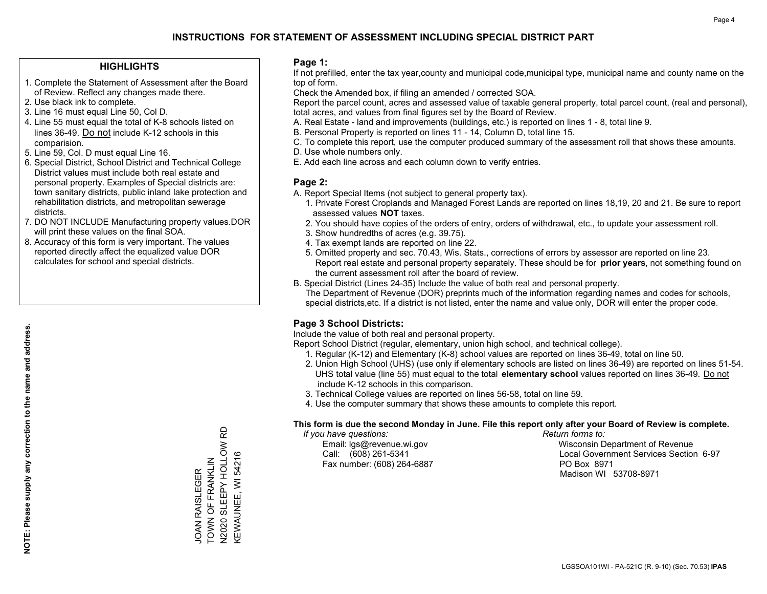## **HIGHLIGHTS**

- 1. Complete the Statement of Assessment after the Board of Review. Reflect any changes made there.
- 2. Use black ink to complete.
- 3. Line 16 must equal Line 50, Col D.
- 4. Line 55 must equal the total of K-8 schools listed on lines 36-49. Do not include K-12 schools in this comparision.
- 5. Line 59, Col. D must equal Line 16.
- 6. Special District, School District and Technical College District values must include both real estate and personal property. Examples of Special districts are: town sanitary districts, public inland lake protection and rehabilitation districts, and metropolitan sewerage districts.
- 7. DO NOT INCLUDE Manufacturing property values.DOR will print these values on the final SOA.

JOAN RAISLEGER TOWN OF FRANKLIN N2020 SLEEPY HOLLOW RD KEWAUNEE, WI 54216

TOWN OF FRANKLIN JOAN RAISLEGER

V2020 SLEEPY HOLLOW RD KEWAUNEE, WI 54216

 8. Accuracy of this form is very important. The values reported directly affect the equalized value DOR calculates for school and special districts.

### **Page 1:**

 If not prefilled, enter the tax year,county and municipal code,municipal type, municipal name and county name on the top of form.

Check the Amended box, if filing an amended / corrected SOA.

 Report the parcel count, acres and assessed value of taxable general property, total parcel count, (real and personal), total acres, and values from final figures set by the Board of Review.

- A. Real Estate land and improvements (buildings, etc.) is reported on lines 1 8, total line 9.
- B. Personal Property is reported on lines 11 14, Column D, total line 15.
- C. To complete this report, use the computer produced summary of the assessment roll that shows these amounts.
- D. Use whole numbers only.
- E. Add each line across and each column down to verify entries.

## **Page 2:**

- A. Report Special Items (not subject to general property tax).
- 1. Private Forest Croplands and Managed Forest Lands are reported on lines 18,19, 20 and 21. Be sure to report assessed values **NOT** taxes.
- 2. You should have copies of the orders of entry, orders of withdrawal, etc., to update your assessment roll.
	- 3. Show hundredths of acres (e.g. 39.75).
- 4. Tax exempt lands are reported on line 22.
- 5. Omitted property and sec. 70.43, Wis. Stats., corrections of errors by assessor are reported on line 23. Report real estate and personal property separately. These should be for **prior years**, not something found on the current assessment roll after the board of review.
- B. Special District (Lines 24-35) Include the value of both real and personal property.

 The Department of Revenue (DOR) preprints much of the information regarding names and codes for schools, special districts,etc. If a district is not listed, enter the name and value only, DOR will enter the proper code.

## **Page 3 School Districts:**

Include the value of both real and personal property.

Report School District (regular, elementary, union high school, and technical college).

- 1. Regular (K-12) and Elementary (K-8) school values are reported on lines 36-49, total on line 50.
- 2. Union High School (UHS) (use only if elementary schools are listed on lines 36-49) are reported on lines 51-54. UHS total value (line 55) must equal to the total **elementary school** values reported on lines 36-49. Do notinclude K-12 schools in this comparison.
- 3. Technical College values are reported on lines 56-58, total on line 59.
- 4. Use the computer summary that shows these amounts to complete this report.

#### **This form is due the second Monday in June. File this report only after your Board of Review is complete.**

 *If you have questions: Return forms to:*

Fax number: (608) 264-6887 PO Box 8971

 Email: lgs@revenue.wi.gov Wisconsin Department of Revenue Call: (608) 261-5341 Local Government Services Section 6-97Madison WI 53708-8971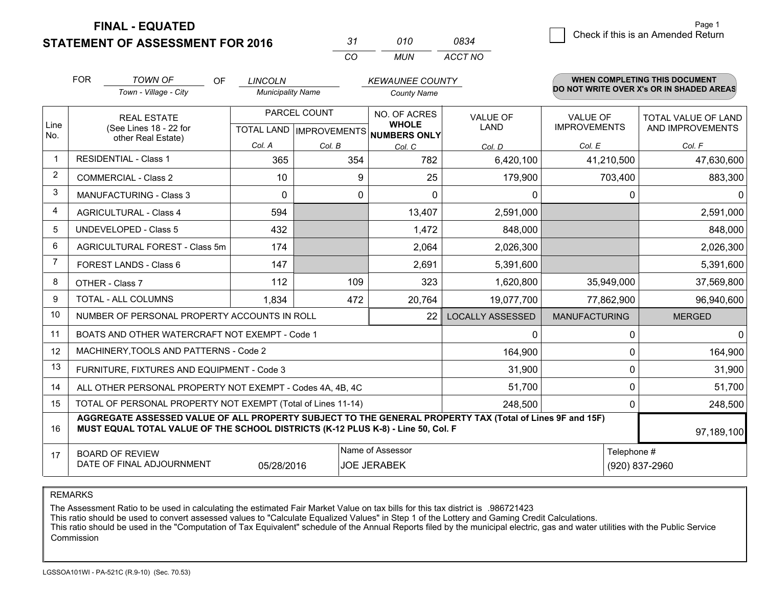**STATEMENT OF ASSESSMENT FOR 2016** 

| -31 | 010 | 0834    |
|-----|-----|---------|
| ΩO  | MUN | ACCT NO |

|                         | <b>FOR</b>                                                                                                                                                                                                 | <b>TOWN OF</b><br><b>OF</b>                                  | <b>LINCOLN</b>           |              | <b>KEWAUNEE COUNTY</b>                              |                         |                      | WHEN COMPLETING THIS DOCUMENT<br>DO NOT WRITE OVER X's OR IN SHADED AREAS |  |
|-------------------------|------------------------------------------------------------------------------------------------------------------------------------------------------------------------------------------------------------|--------------------------------------------------------------|--------------------------|--------------|-----------------------------------------------------|-------------------------|----------------------|---------------------------------------------------------------------------|--|
|                         |                                                                                                                                                                                                            | Town - Village - City                                        | <b>Municipality Name</b> |              | <b>County Name</b>                                  |                         |                      |                                                                           |  |
|                         |                                                                                                                                                                                                            | <b>REAL ESTATE</b>                                           |                          | PARCEL COUNT | NO. OF ACRES                                        | <b>VALUE OF</b>         | VALUE OF             | TOTAL VALUE OF LAND                                                       |  |
| Line<br>No.             |                                                                                                                                                                                                            | (See Lines 18 - 22 for<br>other Real Estate)                 |                          |              | <b>WHOLE</b><br>TOTAL LAND MPROVEMENTS NUMBERS ONLY | <b>LAND</b>             | <b>IMPROVEMENTS</b>  | AND IMPROVEMENTS                                                          |  |
|                         |                                                                                                                                                                                                            |                                                              | Col. A                   | Col. B       | Col. C                                              | Col. D                  | Col. E               | Col. F                                                                    |  |
| $\overline{1}$          |                                                                                                                                                                                                            | <b>RESIDENTIAL - Class 1</b>                                 | 365                      | 354          | 782                                                 | 6,420,100               | 41,210,500           | 47,630,600                                                                |  |
| $\overline{2}$          |                                                                                                                                                                                                            | <b>COMMERCIAL - Class 2</b>                                  | 10                       | 9            | 25                                                  | 179,900                 | 703,400              | 883,300                                                                   |  |
| 3                       |                                                                                                                                                                                                            | MANUFACTURING - Class 3                                      | $\Omega$                 | 0            | $\Omega$                                            | 0                       | 0                    | $\mathbf 0$                                                               |  |
| $\overline{\mathbf{A}}$ |                                                                                                                                                                                                            | <b>AGRICULTURAL - Class 4</b>                                | 594                      |              | 13,407                                              | 2,591,000               |                      | 2,591,000                                                                 |  |
| 5                       |                                                                                                                                                                                                            | <b>UNDEVELOPED - Class 5</b>                                 | 432                      |              | 1,472                                               | 848,000                 |                      | 848,000                                                                   |  |
| 6                       |                                                                                                                                                                                                            | AGRICULTURAL FOREST - Class 5m                               | 174                      |              | 2,064                                               | 2,026,300               |                      | 2,026,300                                                                 |  |
| 7                       |                                                                                                                                                                                                            | FOREST LANDS - Class 6                                       | 147                      |              | 2,691                                               | 5,391,600               |                      | 5,391,600                                                                 |  |
| 8                       |                                                                                                                                                                                                            | OTHER - Class 7                                              | 112                      | 109          | 323                                                 | 1,620,800               | 35,949,000           | 37,569,800                                                                |  |
| 9                       |                                                                                                                                                                                                            | TOTAL - ALL COLUMNS                                          | 1,834                    | 472          | 20,764                                              | 19,077,700              | 77,862,900           | 96,940,600                                                                |  |
| 10                      |                                                                                                                                                                                                            | NUMBER OF PERSONAL PROPERTY ACCOUNTS IN ROLL                 |                          |              | 22                                                  | <b>LOCALLY ASSESSED</b> | <b>MANUFACTURING</b> | <b>MERGED</b>                                                             |  |
| 11                      |                                                                                                                                                                                                            | BOATS AND OTHER WATERCRAFT NOT EXEMPT - Code 1               |                          |              |                                                     | 0                       | 0                    | $\mathbf{0}$                                                              |  |
| 12                      |                                                                                                                                                                                                            | MACHINERY, TOOLS AND PATTERNS - Code 2                       |                          |              |                                                     | 164,900                 | 0                    | 164,900                                                                   |  |
| 13                      |                                                                                                                                                                                                            | FURNITURE, FIXTURES AND EQUIPMENT - Code 3                   |                          |              |                                                     | 31,900                  | 0                    | 31,900                                                                    |  |
| 14                      |                                                                                                                                                                                                            | ALL OTHER PERSONAL PROPERTY NOT EXEMPT - Codes 4A, 4B, 4C    |                          |              |                                                     | 51,700                  | 0                    | 51,700                                                                    |  |
| 15                      |                                                                                                                                                                                                            | TOTAL OF PERSONAL PROPERTY NOT EXEMPT (Total of Lines 11-14) |                          |              |                                                     | 248,500                 | 0                    | 248,500                                                                   |  |
| 16                      | AGGREGATE ASSESSED VALUE OF ALL PROPERTY SUBJECT TO THE GENERAL PROPERTY TAX (Total of Lines 9F and 15F)<br>MUST EQUAL TOTAL VALUE OF THE SCHOOL DISTRICTS (K-12 PLUS K-8) - Line 50, Col. F<br>97,189,100 |                                                              |                          |              |                                                     |                         |                      |                                                                           |  |
| 17                      |                                                                                                                                                                                                            | <b>BOARD OF REVIEW</b>                                       |                          |              | Name of Assessor                                    |                         |                      | Telephone #                                                               |  |
|                         |                                                                                                                                                                                                            | DATE OF FINAL ADJOURNMENT                                    | 05/28/2016               |              | <b>JOE JERABEK</b>                                  |                         |                      | (920) 837-2960                                                            |  |

REMARKS

The Assessment Ratio to be used in calculating the estimated Fair Market Value on tax bills for this tax district is .986721423

This ratio should be used to convert assessed values to "Calculate Equalized Values" in Step 1 of the Lottery and Gaming Credit Calculations.<br>This ratio should be used in the "Computation of Tax Equivalent" schedule of the Commission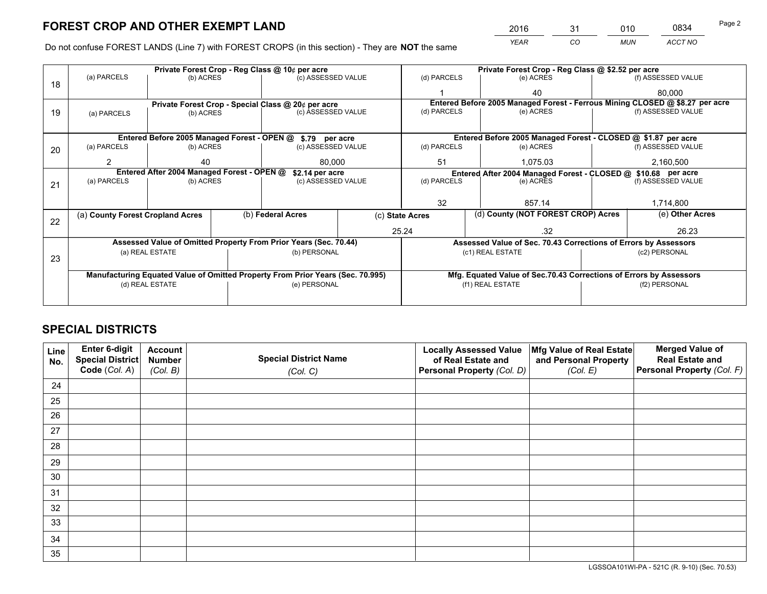*YEAR CO MUN ACCT NO* <sup>2016</sup> <sup>31</sup> <sup>010</sup> <sup>0834</sup>

Do not confuse FOREST LANDS (Line 7) with FOREST CROPS (in this section) - They are **NOT** the same

|    |                                                               |                                 |  |                                                                                | Private Forest Crop - Reg Class @ \$2.52 per acre |                                                                              |           |                                                                    |                    |                    |  |
|----|---------------------------------------------------------------|---------------------------------|--|--------------------------------------------------------------------------------|---------------------------------------------------|------------------------------------------------------------------------------|-----------|--------------------------------------------------------------------|--------------------|--------------------|--|
| 18 | (a) PARCELS                                                   | (b) ACRES                       |  | (c) ASSESSED VALUE                                                             |                                                   | (d) PARCELS                                                                  |           | (e) ACRES                                                          |                    | (f) ASSESSED VALUE |  |
|    |                                                               |                                 |  |                                                                                |                                                   |                                                                              |           | 40                                                                 |                    | 80,000             |  |
|    |                                                               |                                 |  | Private Forest Crop - Special Class @ 20¢ per acre                             |                                                   | Entered Before 2005 Managed Forest - Ferrous Mining CLOSED @ \$8.27 per acre |           |                                                                    |                    |                    |  |
| 19 | (a) PARCELS                                                   | (b) ACRES                       |  | (c) ASSESSED VALUE                                                             |                                                   | (d) PARCELS                                                                  |           | (e) ACRES                                                          |                    | (f) ASSESSED VALUE |  |
|    |                                                               |                                 |  |                                                                                |                                                   |                                                                              |           |                                                                    |                    |                    |  |
|    | Entered Before 2005 Managed Forest - OPEN @ \$.79 per acre    |                                 |  |                                                                                |                                                   |                                                                              |           | Entered Before 2005 Managed Forest - CLOSED @ \$1.87 per acre      |                    |                    |  |
| 20 | (a) PARCELS                                                   | (b) ACRES<br>(c) ASSESSED VALUE |  |                                                                                | (d) PARCELS                                       |                                                                              | (e) ACRES |                                                                    | (f) ASSESSED VALUE |                    |  |
|    | 2                                                             | 40                              |  | 80.000                                                                         |                                                   | 51<br>1.075.03                                                               |           | 2,160,500                                                          |                    |                    |  |
|    | Entered After 2004 Managed Forest - OPEN @<br>\$2.14 per acre |                                 |  |                                                                                |                                                   | Entered After 2004 Managed Forest - CLOSED @ \$10.68 per acre                |           |                                                                    |                    |                    |  |
| 21 | (a) PARCELS                                                   | (b) ACRES                       |  | (c) ASSESSED VALUE                                                             | (d) PARCELS                                       |                                                                              |           | (e) ACRES                                                          |                    | (f) ASSESSED VALUE |  |
|    |                                                               |                                 |  |                                                                                |                                                   |                                                                              |           |                                                                    |                    |                    |  |
|    |                                                               |                                 |  |                                                                                | 32                                                |                                                                              |           | 857.14                                                             |                    | 1,714,800          |  |
| 22 | (a) County Forest Cropland Acres                              |                                 |  | (b) Federal Acres                                                              | (c) State Acres                                   |                                                                              |           | (d) County (NOT FOREST CROP) Acres                                 |                    | (e) Other Acres    |  |
|    |                                                               |                                 |  |                                                                                |                                                   | 25.24                                                                        |           | .32                                                                |                    | 26.23              |  |
|    |                                                               |                                 |  | Assessed Value of Omitted Property From Prior Years (Sec. 70.44)               |                                                   |                                                                              |           | Assessed Value of Sec. 70.43 Corrections of Errors by Assessors    |                    |                    |  |
| 23 |                                                               | (a) REAL ESTATE                 |  | (b) PERSONAL                                                                   |                                                   |                                                                              |           | (c1) REAL ESTATE                                                   |                    | (c2) PERSONAL      |  |
|    |                                                               |                                 |  |                                                                                |                                                   |                                                                              |           |                                                                    |                    |                    |  |
|    |                                                               |                                 |  | Manufacturing Equated Value of Omitted Property From Prior Years (Sec. 70.995) |                                                   |                                                                              |           | Mfg. Equated Value of Sec.70.43 Corrections of Errors by Assessors |                    |                    |  |
|    | (d) REAL ESTATE                                               |                                 |  | (e) PERSONAL                                                                   |                                                   | (f1) REAL ESTATE                                                             |           |                                                                    | (f2) PERSONAL      |                    |  |
|    |                                                               |                                 |  |                                                                                |                                                   |                                                                              |           |                                                                    |                    |                    |  |

## **SPECIAL DISTRICTS**

| Line<br>No. | Enter 6-digit<br><b>Special District</b> | <b>Account</b><br><b>Number</b> | <b>Special District Name</b> | <b>Locally Assessed Value</b><br>of Real Estate and | Mfg Value of Real Estate<br>and Personal Property | <b>Merged Value of</b><br><b>Real Estate and</b> |
|-------------|------------------------------------------|---------------------------------|------------------------------|-----------------------------------------------------|---------------------------------------------------|--------------------------------------------------|
|             | Code (Col. A)                            | (Col. B)                        | (Col. C)                     | Personal Property (Col. D)                          | (Col. E)                                          | Personal Property (Col. F)                       |
| 24          |                                          |                                 |                              |                                                     |                                                   |                                                  |
| 25          |                                          |                                 |                              |                                                     |                                                   |                                                  |
| 26          |                                          |                                 |                              |                                                     |                                                   |                                                  |
| 27          |                                          |                                 |                              |                                                     |                                                   |                                                  |
| 28          |                                          |                                 |                              |                                                     |                                                   |                                                  |
| 29          |                                          |                                 |                              |                                                     |                                                   |                                                  |
| 30          |                                          |                                 |                              |                                                     |                                                   |                                                  |
| 31          |                                          |                                 |                              |                                                     |                                                   |                                                  |
| 32          |                                          |                                 |                              |                                                     |                                                   |                                                  |
| 33          |                                          |                                 |                              |                                                     |                                                   |                                                  |
| 34          |                                          |                                 |                              |                                                     |                                                   |                                                  |
| 35          |                                          |                                 |                              |                                                     |                                                   |                                                  |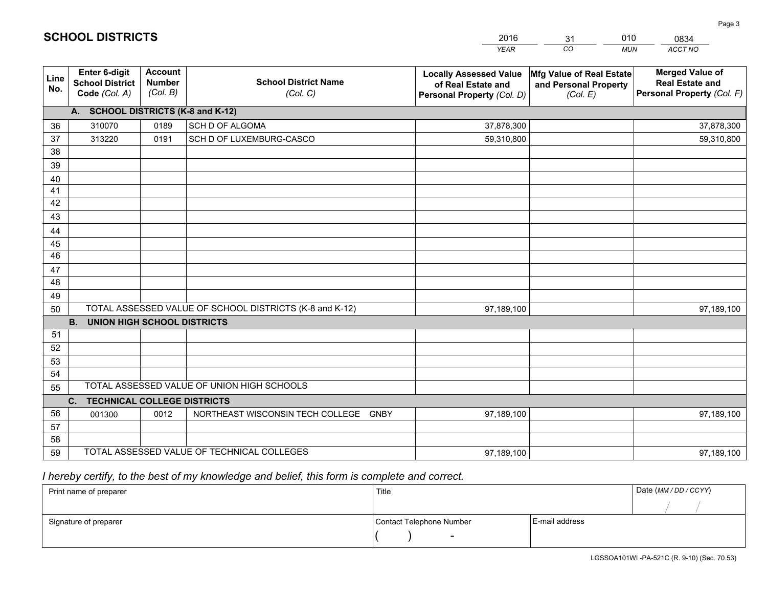|             |                                                          |                                             |                                                         | <b>YEAR</b>                                                                       | CO<br><b>MUN</b>                                              | ACCT NO                                                                        |
|-------------|----------------------------------------------------------|---------------------------------------------|---------------------------------------------------------|-----------------------------------------------------------------------------------|---------------------------------------------------------------|--------------------------------------------------------------------------------|
| Line<br>No. | Enter 6-digit<br><b>School District</b><br>Code (Col. A) | <b>Account</b><br><b>Number</b><br>(Col. B) | <b>School District Name</b><br>(Col. C)                 | <b>Locally Assessed Value</b><br>of Real Estate and<br>Personal Property (Col. D) | Mfg Value of Real Estate<br>and Personal Property<br>(Col. E) | <b>Merged Value of</b><br><b>Real Estate and</b><br>Personal Property (Col. F) |
|             | A. SCHOOL DISTRICTS (K-8 and K-12)                       |                                             |                                                         |                                                                                   |                                                               |                                                                                |
| 36          | 310070                                                   | 0189                                        | SCH D OF ALGOMA                                         | 37,878,300                                                                        |                                                               | 37,878,300                                                                     |
| 37          | 313220                                                   | 0191                                        | SCH D OF LUXEMBURG-CASCO                                | 59,310,800                                                                        |                                                               | 59,310,800                                                                     |
| 38          |                                                          |                                             |                                                         |                                                                                   |                                                               |                                                                                |
| 39          |                                                          |                                             |                                                         |                                                                                   |                                                               |                                                                                |
| 40          |                                                          |                                             |                                                         |                                                                                   |                                                               |                                                                                |
| 41          |                                                          |                                             |                                                         |                                                                                   |                                                               |                                                                                |
| 42          |                                                          |                                             |                                                         |                                                                                   |                                                               |                                                                                |
| 43          |                                                          |                                             |                                                         |                                                                                   |                                                               |                                                                                |
| 44          |                                                          |                                             |                                                         |                                                                                   |                                                               |                                                                                |
| 45          |                                                          |                                             |                                                         |                                                                                   |                                                               |                                                                                |
| 46          |                                                          |                                             |                                                         |                                                                                   |                                                               |                                                                                |
| 47          |                                                          |                                             |                                                         |                                                                                   |                                                               |                                                                                |
| 48          |                                                          |                                             |                                                         |                                                                                   |                                                               |                                                                                |
| 49          |                                                          |                                             | TOTAL ASSESSED VALUE OF SCHOOL DISTRICTS (K-8 and K-12) |                                                                                   |                                                               |                                                                                |
| 50          | <b>B.</b><br><b>UNION HIGH SCHOOL DISTRICTS</b>          |                                             |                                                         | 97,189,100                                                                        |                                                               | 97,189,100                                                                     |
| 51          |                                                          |                                             |                                                         |                                                                                   |                                                               |                                                                                |
| 52          |                                                          |                                             |                                                         |                                                                                   |                                                               |                                                                                |
| 53          |                                                          |                                             |                                                         |                                                                                   |                                                               |                                                                                |
| 54          |                                                          |                                             |                                                         |                                                                                   |                                                               |                                                                                |
| 55          |                                                          |                                             | TOTAL ASSESSED VALUE OF UNION HIGH SCHOOLS              |                                                                                   |                                                               |                                                                                |
|             | C. TECHNICAL COLLEGE DISTRICTS                           |                                             |                                                         |                                                                                   |                                                               |                                                                                |
| 56          | 001300                                                   | 0012                                        | NORTHEAST WISCONSIN TECH COLLEGE<br><b>GNBY</b>         | 97,189,100                                                                        |                                                               | 97,189,100                                                                     |
| 57          |                                                          |                                             |                                                         |                                                                                   |                                                               |                                                                                |
| 58          |                                                          |                                             |                                                         |                                                                                   |                                                               |                                                                                |
| 59          |                                                          |                                             | TOTAL ASSESSED VALUE OF TECHNICAL COLLEGES              | 97,189,100                                                                        |                                                               | 97,189,100                                                                     |

31

010

 *I hereby certify, to the best of my knowledge and belief, this form is complete and correct.*

**SCHOOL DISTRICTS**

| Print name of preparer | Title                    |                | Date (MM / DD / CCYY) |
|------------------------|--------------------------|----------------|-----------------------|
|                        |                          |                |                       |
| Signature of preparer  | Contact Telephone Number | E-mail address |                       |
|                        | $\overline{\phantom{0}}$ |                |                       |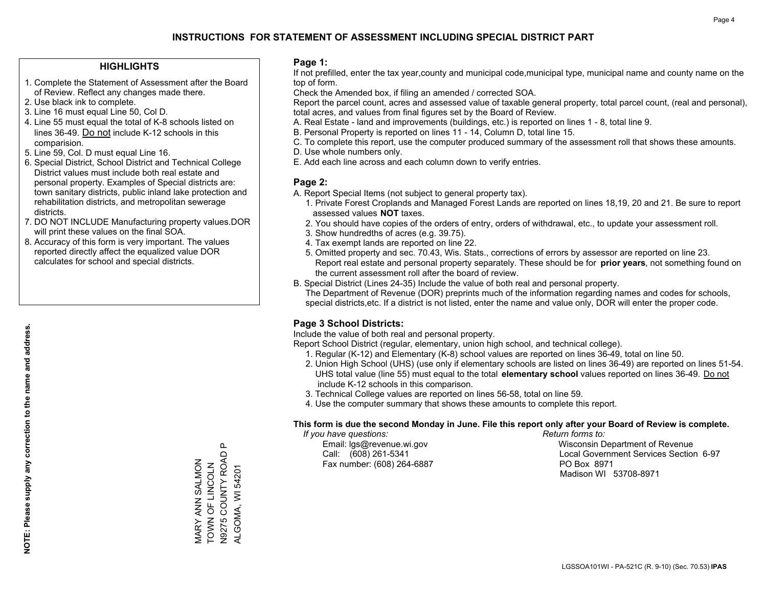### **HIGHLIGHTS**

- 1. Complete the Statement of Assessment after the Board of Review. Reflect any changes made there.
- 2. Use black ink to complete.

**NOTE: Please supply any correction to the name and address.**

NOTE: Please supply any correction to the name and address.

- 3. Line 16 must equal Line 50, Col D.
- 4. Line 55 must equal the total of K-8 schools listed on lines 36-49. Do not include K-12 schools in this comparision.
- 5. Line 59, Col. D must equal Line 16.
- 6. Special District, School District and Technical College District values must include both real estate and personal property. Examples of Special districts are: town sanitary districts, public inland lake protection and rehabilitation districts, and metropolitan sewerage districts.
- 7. DO NOT INCLUDE Manufacturing property values.DOR will print these values on the final SOA.
- 8. Accuracy of this form is very important. The values reported directly affect the equalized value DOR calculates for school and special districts.

#### **Page 1:**

 If not prefilled, enter the tax year,county and municipal code,municipal type, municipal name and county name on the top of form.

Check the Amended box, if filing an amended / corrected SOA.

 Report the parcel count, acres and assessed value of taxable general property, total parcel count, (real and personal), total acres, and values from final figures set by the Board of Review.

- A. Real Estate land and improvements (buildings, etc.) is reported on lines 1 8, total line 9.
- B. Personal Property is reported on lines 11 14, Column D, total line 15.
- C. To complete this report, use the computer produced summary of the assessment roll that shows these amounts.
- D. Use whole numbers only.
- E. Add each line across and each column down to verify entries.

### **Page 2:**

- A. Report Special Items (not subject to general property tax).
- 1. Private Forest Croplands and Managed Forest Lands are reported on lines 18,19, 20 and 21. Be sure to report assessed values **NOT** taxes.
- 2. You should have copies of the orders of entry, orders of withdrawal, etc., to update your assessment roll.
	- 3. Show hundredths of acres (e.g. 39.75).
- 4. Tax exempt lands are reported on line 22.
- 5. Omitted property and sec. 70.43, Wis. Stats., corrections of errors by assessor are reported on line 23. Report real estate and personal property separately. These should be for **prior years**, not something found on the current assessment roll after the board of review.
- B. Special District (Lines 24-35) Include the value of both real and personal property.
- The Department of Revenue (DOR) preprints much of the information regarding names and codes for schools, special districts,etc. If a district is not listed, enter the name and value only, DOR will enter the proper code.

## **Page 3 School Districts:**

Include the value of both real and personal property.

Report School District (regular, elementary, union high school, and technical college).

- 1. Regular (K-12) and Elementary (K-8) school values are reported on lines 36-49, total on line 50.
- 2. Union High School (UHS) (use only if elementary schools are listed on lines 36-49) are reported on lines 51-54. UHS total value (line 55) must equal to the total **elementary school** values reported on lines 36-49. Do notinclude K-12 schools in this comparison.
- 3. Technical College values are reported on lines 56-58, total on line 59.
- 4. Use the computer summary that shows these amounts to complete this report.

#### **This form is due the second Monday in June. File this report only after your Board of Review is complete.**

 *If you have questions: Return forms to:*

Fax number: (608) 264-6887 PO Box 8971

 Email: lgs@revenue.wi.gov Wisconsin Department of Revenue Call: (608) 261-5341 Local Government Services Section 6-97Madison WI 53708-8971

 $\mathbf{\Omega}$ MARY ANN SALMON<br>TOWN OF LINCOLN<br>N9275 COUNTY ROAD P N9275 COUNTY ROAD P MARY ANN SALMON TOWN OF LINCOLN **ALGOMA, WI 54201** ALGOMA, WI 54201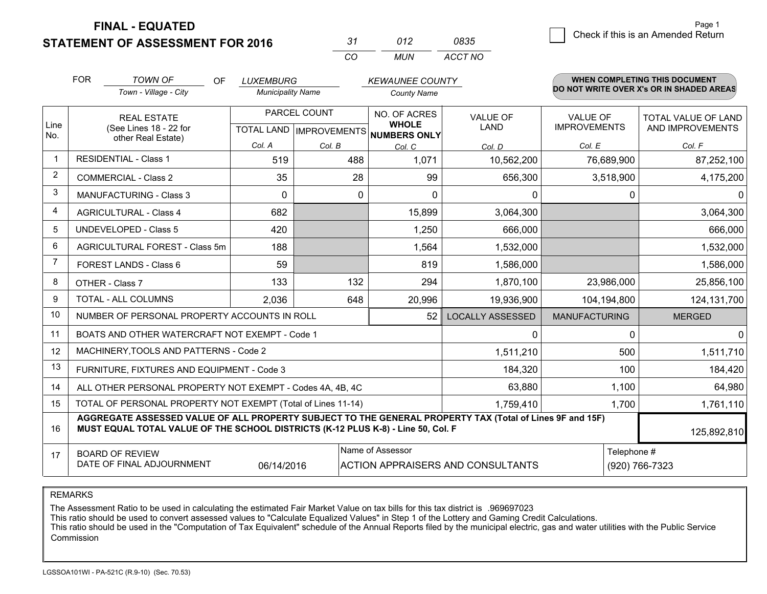**STATEMENT OF ASSESSMENT FOR 2016** 

| -31      | N12 | 0835    |
|----------|-----|---------|
| $\cdots$ | MUN | ACCT NO |

|                | <b>FOR</b> | <b>TOWN OF</b><br><b>OF</b><br>Town - Village - City                                                                                                                                         | <b>LUXEMBURG</b><br><b>Municipality Name</b> |              | <b>KEWAUNEE COUNTY</b><br><b>County Name</b>        |                                   |                      | WHEN COMPLETING THIS DOCUMENT<br>DO NOT WRITE OVER X's OR IN SHADED AREAS |
|----------------|------------|----------------------------------------------------------------------------------------------------------------------------------------------------------------------------------------------|----------------------------------------------|--------------|-----------------------------------------------------|-----------------------------------|----------------------|---------------------------------------------------------------------------|
|                |            |                                                                                                                                                                                              |                                              |              |                                                     |                                   |                      |                                                                           |
|                |            | <b>REAL ESTATE</b>                                                                                                                                                                           |                                              | PARCEL COUNT | NO. OF ACRES                                        | <b>VALUE OF</b>                   | <b>VALUE OF</b>      | TOTAL VALUE OF LAND                                                       |
| Line<br>No.    |            | (See Lines 18 - 22 for                                                                                                                                                                       |                                              |              | <b>WHOLE</b><br>TOTAL LAND MPROVEMENTS NUMBERS ONLY | <b>LAND</b>                       | <b>IMPROVEMENTS</b>  | AND IMPROVEMENTS                                                          |
|                |            | other Real Estate)                                                                                                                                                                           | Col. A                                       | Col. B       | Col. C                                              | Col. D                            | Col. E               | Col. F                                                                    |
| $\mathbf{1}$   |            | <b>RESIDENTIAL - Class 1</b>                                                                                                                                                                 | 519                                          | 488          | 1,071                                               | 10,562,200                        | 76,689,900           | 87,252,100                                                                |
| $\overline{2}$ |            | <b>COMMERCIAL - Class 2</b>                                                                                                                                                                  | 35                                           | 28           | 99                                                  | 656,300                           | 3,518,900            | 4,175,200                                                                 |
| 3              |            | MANUFACTURING - Class 3                                                                                                                                                                      | $\Omega$                                     | $\mathbf{0}$ | $\Omega$                                            | 0                                 |                      | $\mathbf 0$<br>$\Omega$                                                   |
| 4              |            | <b>AGRICULTURAL - Class 4</b>                                                                                                                                                                | 682                                          |              | 15,899                                              | 3,064,300                         |                      | 3,064,300                                                                 |
| 5              |            | <b>UNDEVELOPED - Class 5</b>                                                                                                                                                                 | 420                                          |              | 1,250                                               | 666,000                           |                      | 666,000                                                                   |
| 6              |            | AGRICULTURAL FOREST - Class 5m                                                                                                                                                               | 188                                          |              | 1,564                                               | 1,532,000                         |                      | 1,532,000                                                                 |
| 7              |            | FOREST LANDS - Class 6                                                                                                                                                                       | 59                                           |              | 819                                                 | 1,586,000                         |                      | 1,586,000                                                                 |
| 8              |            | OTHER - Class 7                                                                                                                                                                              | 133                                          | 132          | 294                                                 | 1,870,100                         | 23,986,000           | 25,856,100                                                                |
| 9              |            | TOTAL - ALL COLUMNS                                                                                                                                                                          | 2,036                                        | 648          | 20,996                                              | 19,936,900                        | 104,194,800          | 124, 131, 700                                                             |
| 10             |            | NUMBER OF PERSONAL PROPERTY ACCOUNTS IN ROLL                                                                                                                                                 |                                              |              | 52                                                  | <b>LOCALLY ASSESSED</b>           | <b>MANUFACTURING</b> | <b>MERGED</b>                                                             |
| 11             |            | BOATS AND OTHER WATERCRAFT NOT EXEMPT - Code 1                                                                                                                                               |                                              |              |                                                     | $\mathbf{0}$                      |                      | $\Omega$<br>$\mathbf{0}$                                                  |
| 12             |            | MACHINERY, TOOLS AND PATTERNS - Code 2                                                                                                                                                       |                                              |              |                                                     | 1,511,210                         | 500                  | 1,511,710                                                                 |
| 13             |            | FURNITURE, FIXTURES AND EQUIPMENT - Code 3                                                                                                                                                   |                                              |              |                                                     | 184,320                           | 100                  | 184,420                                                                   |
| 14             |            | ALL OTHER PERSONAL PROPERTY NOT EXEMPT - Codes 4A, 4B, 4C                                                                                                                                    |                                              |              |                                                     | 63,880                            | 1,100                | 64,980                                                                    |
| 15             |            | TOTAL OF PERSONAL PROPERTY NOT EXEMPT (Total of Lines 11-14)                                                                                                                                 |                                              |              |                                                     | 1,759,410                         | 1,700                | 1,761,110                                                                 |
| 16             |            | AGGREGATE ASSESSED VALUE OF ALL PROPERTY SUBJECT TO THE GENERAL PROPERTY TAX (Total of Lines 9F and 15F)<br>MUST EQUAL TOTAL VALUE OF THE SCHOOL DISTRICTS (K-12 PLUS K-8) - Line 50, Col. F |                                              |              |                                                     |                                   |                      | 125,892,810                                                               |
| 17             |            | <b>BOARD OF REVIEW</b>                                                                                                                                                                       |                                              |              | Name of Assessor                                    |                                   |                      | Telephone #                                                               |
|                |            | DATE OF FINAL ADJOURNMENT                                                                                                                                                                    | 06/14/2016                                   |              |                                                     | ACTION APPRAISERS AND CONSULTANTS |                      | (920) 766-7323                                                            |

REMARKS

The Assessment Ratio to be used in calculating the estimated Fair Market Value on tax bills for this tax district is .969697023

This ratio should be used to convert assessed values to "Calculate Equalized Values" in Step 1 of the Lottery and Gaming Credit Calculations.<br>This ratio should be used in the "Computation of Tax Equivalent" schedule of the Commission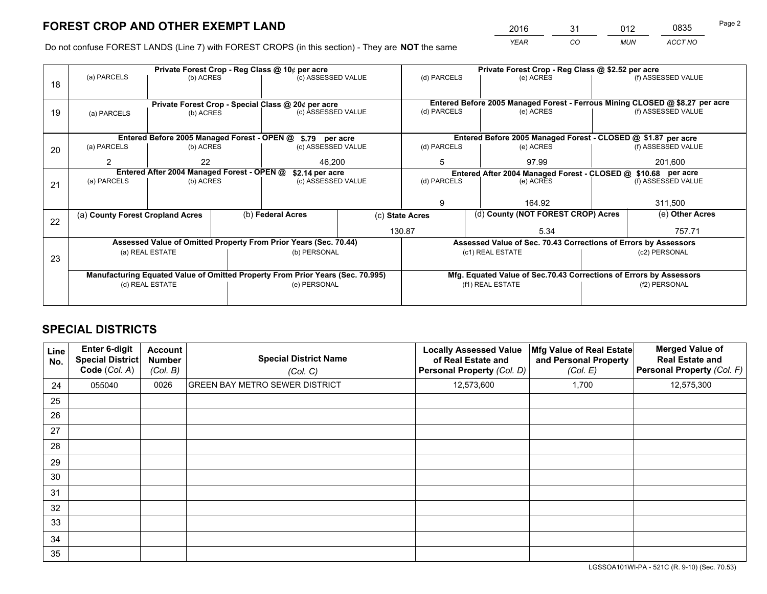*YEAR CO MUN ACCT NO* <sup>2016</sup> <sup>31</sup> <sup>012</sup> <sup>0835</sup>

Do not confuse FOREST LANDS (Line 7) with FOREST CROPS (in this section) - They are **NOT** the same

|    |                                                    |                                             |                    | Private Forest Crop - Reg Class @ 10¢ per acre                                 |                 |                                                                              | Private Forest Crop - Reg Class @ \$2.52 per acre                  |                    |                    |  |
|----|----------------------------------------------------|---------------------------------------------|--------------------|--------------------------------------------------------------------------------|-----------------|------------------------------------------------------------------------------|--------------------------------------------------------------------|--------------------|--------------------|--|
| 18 | (a) PARCELS                                        | (b) ACRES                                   |                    | (c) ASSESSED VALUE                                                             |                 | (d) PARCELS                                                                  | (e) ACRES                                                          |                    | (f) ASSESSED VALUE |  |
|    |                                                    |                                             |                    |                                                                                |                 |                                                                              |                                                                    |                    |                    |  |
|    | Private Forest Crop - Special Class @ 20¢ per acre |                                             |                    |                                                                                |                 | Entered Before 2005 Managed Forest - Ferrous Mining CLOSED @ \$8.27 per acre |                                                                    |                    |                    |  |
| 19 | (b) ACRES<br>(a) PARCELS                           |                                             | (c) ASSESSED VALUE |                                                                                | (d) PARCELS     | (e) ACRES                                                                    |                                                                    | (f) ASSESSED VALUE |                    |  |
|    |                                                    |                                             |                    |                                                                                |                 |                                                                              |                                                                    |                    |                    |  |
|    |                                                    | Entered Before 2005 Managed Forest - OPEN @ |                    | \$.79 per acre                                                                 |                 |                                                                              | Entered Before 2005 Managed Forest - CLOSED @ \$1.87 per acre      |                    |                    |  |
| 20 | (a) PARCELS                                        | (b) ACRES                                   |                    | (c) ASSESSED VALUE                                                             |                 | (d) PARCELS                                                                  | (e) ACRES                                                          |                    | (f) ASSESSED VALUE |  |
|    | 2                                                  | 22                                          |                    | 46.200                                                                         |                 | 97.99<br>5                                                                   |                                                                    |                    | 201,600            |  |
|    |                                                    | Entered After 2004 Managed Forest - OPEN @  |                    | \$2.14 per acre                                                                |                 |                                                                              | Entered After 2004 Managed Forest - CLOSED @ \$10.68 per acre      |                    |                    |  |
| 21 | (a) PARCELS                                        | (b) ACRES                                   |                    | (c) ASSESSED VALUE                                                             |                 | (d) PARCELS                                                                  | (e) ACRES                                                          |                    | (f) ASSESSED VALUE |  |
|    |                                                    |                                             |                    |                                                                                |                 |                                                                              |                                                                    |                    | 311,500            |  |
|    |                                                    |                                             |                    |                                                                                |                 | g                                                                            | 164.92                                                             |                    |                    |  |
| 22 | (a) County Forest Cropland Acres                   |                                             |                    | (b) Federal Acres                                                              | (c) State Acres |                                                                              | (d) County (NOT FOREST CROP) Acres                                 |                    | (e) Other Acres    |  |
|    |                                                    |                                             |                    |                                                                                |                 | 130.87                                                                       | 5.34                                                               |                    | 757.71             |  |
|    |                                                    |                                             |                    | Assessed Value of Omitted Property From Prior Years (Sec. 70.44)               |                 |                                                                              | Assessed Value of Sec. 70.43 Corrections of Errors by Assessors    |                    |                    |  |
| 23 |                                                    | (a) REAL ESTATE                             |                    | (b) PERSONAL                                                                   |                 |                                                                              | (c1) REAL ESTATE                                                   |                    | (c2) PERSONAL      |  |
|    |                                                    |                                             |                    |                                                                                |                 |                                                                              |                                                                    |                    |                    |  |
|    |                                                    |                                             |                    | Manufacturing Equated Value of Omitted Property From Prior Years (Sec. 70.995) |                 |                                                                              | Mfg. Equated Value of Sec.70.43 Corrections of Errors by Assessors |                    |                    |  |
|    | (d) REAL ESTATE                                    |                                             |                    | (e) PERSONAL                                                                   |                 |                                                                              | (f1) REAL ESTATE                                                   |                    | (f2) PERSONAL      |  |
|    |                                                    |                                             |                    |                                                                                |                 |                                                                              |                                                                    |                    |                    |  |

## **SPECIAL DISTRICTS**

| <b>Line</b><br>No. | Enter 6-digit<br><b>Special District</b><br>Code (Col. A) | <b>Account</b><br><b>Number</b><br>(Col. B) | <b>Special District Name</b><br>(Col. C) | <b>Locally Assessed Value</b><br>of Real Estate and<br><b>Personal Property (Col. D)</b> | Mfg Value of Real Estate<br>and Personal Property<br>(Col. E) | <b>Merged Value of</b><br><b>Real Estate and</b><br>Personal Property (Col. F) |
|--------------------|-----------------------------------------------------------|---------------------------------------------|------------------------------------------|------------------------------------------------------------------------------------------|---------------------------------------------------------------|--------------------------------------------------------------------------------|
| 24                 | 055040                                                    | 0026                                        | <b>GREEN BAY METRO SEWER DISTRICT</b>    | 12,573,600                                                                               | 1,700                                                         | 12,575,300                                                                     |
| 25                 |                                                           |                                             |                                          |                                                                                          |                                                               |                                                                                |
| 26                 |                                                           |                                             |                                          |                                                                                          |                                                               |                                                                                |
| 27                 |                                                           |                                             |                                          |                                                                                          |                                                               |                                                                                |
| 28                 |                                                           |                                             |                                          |                                                                                          |                                                               |                                                                                |
| 29                 |                                                           |                                             |                                          |                                                                                          |                                                               |                                                                                |
| 30                 |                                                           |                                             |                                          |                                                                                          |                                                               |                                                                                |
| 31                 |                                                           |                                             |                                          |                                                                                          |                                                               |                                                                                |
| 32                 |                                                           |                                             |                                          |                                                                                          |                                                               |                                                                                |
| 33                 |                                                           |                                             |                                          |                                                                                          |                                                               |                                                                                |
| 34                 |                                                           |                                             |                                          |                                                                                          |                                                               |                                                                                |
| 35                 |                                                           |                                             |                                          |                                                                                          |                                                               |                                                                                |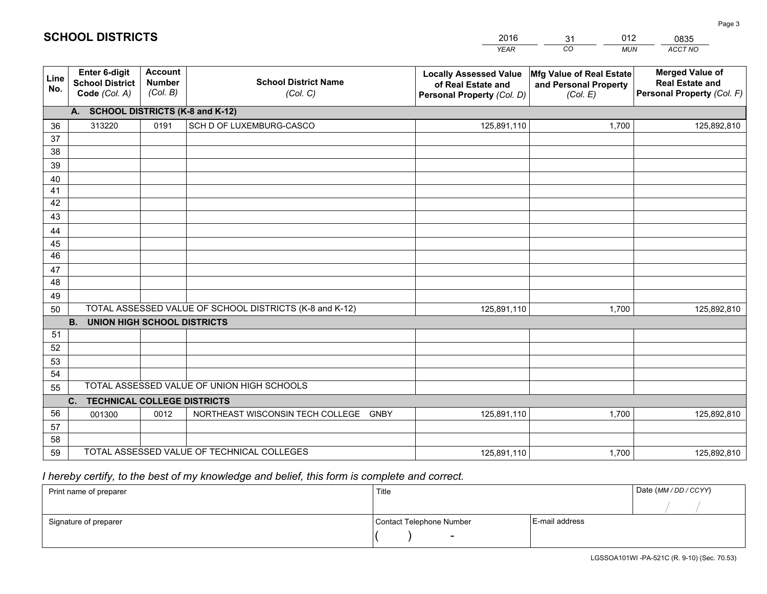|                                        |                                                          |                                             |                                                                                     | <b>YEAR</b>                                                                       | $\overline{co}$<br><b>MUN</b>                                 | ACCT NO                                                                        |
|----------------------------------------|----------------------------------------------------------|---------------------------------------------|-------------------------------------------------------------------------------------|-----------------------------------------------------------------------------------|---------------------------------------------------------------|--------------------------------------------------------------------------------|
| Line<br>No.                            | Enter 6-digit<br><b>School District</b><br>Code (Col. A) | <b>Account</b><br><b>Number</b><br>(Col. B) | <b>School District Name</b><br>(Col. C)                                             | <b>Locally Assessed Value</b><br>of Real Estate and<br>Personal Property (Col. D) | Mfg Value of Real Estate<br>and Personal Property<br>(Col. E) | <b>Merged Value of</b><br><b>Real Estate and</b><br>Personal Property (Col. F) |
|                                        | A. SCHOOL DISTRICTS (K-8 and K-12)                       |                                             |                                                                                     |                                                                                   |                                                               |                                                                                |
| 36                                     | 313220                                                   | 0191                                        | SCH D OF LUXEMBURG-CASCO                                                            | 125,891,110                                                                       | 1,700                                                         | 125,892,810                                                                    |
| 37                                     |                                                          |                                             |                                                                                     |                                                                                   |                                                               |                                                                                |
| 38                                     |                                                          |                                             |                                                                                     |                                                                                   |                                                               |                                                                                |
| 39                                     |                                                          |                                             |                                                                                     |                                                                                   |                                                               |                                                                                |
| 40                                     |                                                          |                                             |                                                                                     |                                                                                   |                                                               |                                                                                |
| 41<br>42                               |                                                          |                                             |                                                                                     |                                                                                   |                                                               |                                                                                |
| 43                                     |                                                          |                                             |                                                                                     |                                                                                   |                                                               |                                                                                |
| 44                                     |                                                          |                                             |                                                                                     |                                                                                   |                                                               |                                                                                |
| 45                                     |                                                          |                                             |                                                                                     |                                                                                   |                                                               |                                                                                |
| 46                                     |                                                          |                                             |                                                                                     |                                                                                   |                                                               |                                                                                |
| 47                                     |                                                          |                                             |                                                                                     |                                                                                   |                                                               |                                                                                |
| 48                                     |                                                          |                                             |                                                                                     |                                                                                   |                                                               |                                                                                |
| 49                                     |                                                          |                                             |                                                                                     |                                                                                   |                                                               |                                                                                |
| 50                                     |                                                          |                                             | TOTAL ASSESSED VALUE OF SCHOOL DISTRICTS (K-8 and K-12)                             | 125,891,110                                                                       | 1,700                                                         | 125,892,810                                                                    |
|                                        | <b>B.</b><br><b>UNION HIGH SCHOOL DISTRICTS</b>          |                                             |                                                                                     |                                                                                   |                                                               |                                                                                |
| 51                                     |                                                          |                                             |                                                                                     |                                                                                   |                                                               |                                                                                |
|                                        |                                                          |                                             |                                                                                     |                                                                                   |                                                               |                                                                                |
|                                        |                                                          |                                             |                                                                                     |                                                                                   |                                                               |                                                                                |
|                                        |                                                          |                                             |                                                                                     |                                                                                   |                                                               |                                                                                |
|                                        |                                                          |                                             |                                                                                     |                                                                                   |                                                               |                                                                                |
|                                        |                                                          |                                             |                                                                                     |                                                                                   |                                                               |                                                                                |
|                                        |                                                          |                                             |                                                                                     |                                                                                   |                                                               |                                                                                |
|                                        |                                                          |                                             |                                                                                     |                                                                                   |                                                               |                                                                                |
| 59                                     |                                                          |                                             | TOTAL ASSESSED VALUE OF TECHNICAL COLLEGES                                          |                                                                                   | 1,700                                                         | 125,892,810                                                                    |
| 52<br>53<br>54<br>55<br>56<br>57<br>58 | C.<br><b>TECHNICAL COLLEGE DISTRICTS</b><br>001300       | 0012                                        | TOTAL ASSESSED VALUE OF UNION HIGH SCHOOLS<br>NORTHEAST WISCONSIN TECH COLLEGE GNBY | 125,891,110<br>125,891,110                                                        | 1,700                                                         | 125,892,810                                                                    |

31

012

 *I hereby certify, to the best of my knowledge and belief, this form is complete and correct.*

**SCHOOL DISTRICTS**

| Print name of preparer | Title                    |                | Date (MM/DD/CCYY) |
|------------------------|--------------------------|----------------|-------------------|
|                        |                          |                |                   |
| Signature of preparer  | Contact Telephone Number | E-mail address |                   |
|                        | $\overline{\phantom{0}}$ |                |                   |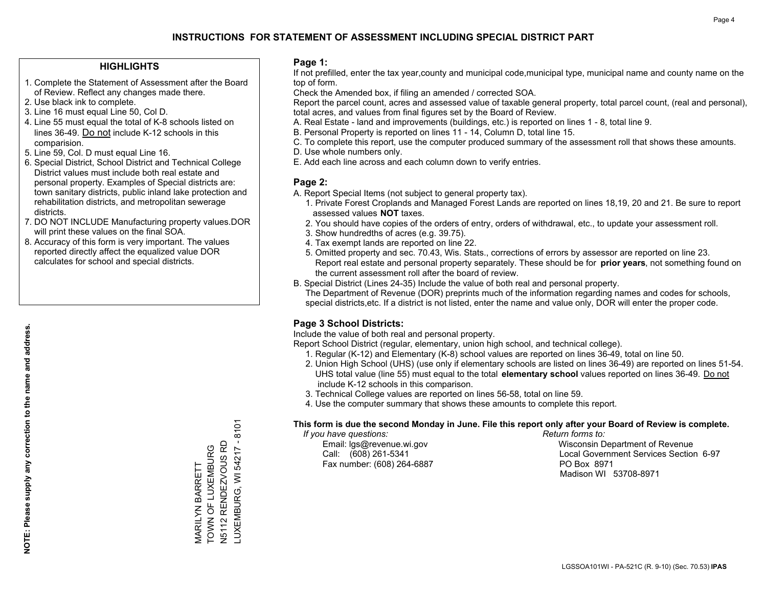## **HIGHLIGHTS**

- 1. Complete the Statement of Assessment after the Board of Review. Reflect any changes made there.
- 2. Use black ink to complete.
- 3. Line 16 must equal Line 50, Col D.
- 4. Line 55 must equal the total of K-8 schools listed on lines 36-49. Do not include K-12 schools in this comparision.
- 5. Line 59, Col. D must equal Line 16.
- 6. Special District, School District and Technical College District values must include both real estate and personal property. Examples of Special districts are: town sanitary districts, public inland lake protection and rehabilitation districts, and metropolitan sewerage districts.
- 7. DO NOT INCLUDE Manufacturing property values.DOR will print these values on the final SOA.

MARILYN BARRETT TOWN OF LUXEMBURG N5112 RENDEZVOUS RD LUXEMBURG, WI 54217 - 8101

LUXEMBURG, WI 54217 - 8101 **V5112 RENDEZVOUS RD** VIARILYN BARRETT<br>TOWN OF LUXEMBURG

 8. Accuracy of this form is very important. The values reported directly affect the equalized value DOR calculates for school and special districts.

### **Page 1:**

 If not prefilled, enter the tax year,county and municipal code,municipal type, municipal name and county name on the top of form.

Check the Amended box, if filing an amended / corrected SOA.

 Report the parcel count, acres and assessed value of taxable general property, total parcel count, (real and personal), total acres, and values from final figures set by the Board of Review.

- A. Real Estate land and improvements (buildings, etc.) is reported on lines 1 8, total line 9.
- B. Personal Property is reported on lines 11 14, Column D, total line 15.
- C. To complete this report, use the computer produced summary of the assessment roll that shows these amounts.
- D. Use whole numbers only.
- E. Add each line across and each column down to verify entries.

## **Page 2:**

- A. Report Special Items (not subject to general property tax).
- 1. Private Forest Croplands and Managed Forest Lands are reported on lines 18,19, 20 and 21. Be sure to report assessed values **NOT** taxes.
- 2. You should have copies of the orders of entry, orders of withdrawal, etc., to update your assessment roll.
	- 3. Show hundredths of acres (e.g. 39.75).
- 4. Tax exempt lands are reported on line 22.
- 5. Omitted property and sec. 70.43, Wis. Stats., corrections of errors by assessor are reported on line 23. Report real estate and personal property separately. These should be for **prior years**, not something found on the current assessment roll after the board of review.
- B. Special District (Lines 24-35) Include the value of both real and personal property.

 The Department of Revenue (DOR) preprints much of the information regarding names and codes for schools, special districts,etc. If a district is not listed, enter the name and value only, DOR will enter the proper code.

## **Page 3 School Districts:**

Include the value of both real and personal property.

Report School District (regular, elementary, union high school, and technical college).

- 1. Regular (K-12) and Elementary (K-8) school values are reported on lines 36-49, total on line 50.
- 2. Union High School (UHS) (use only if elementary schools are listed on lines 36-49) are reported on lines 51-54. UHS total value (line 55) must equal to the total **elementary school** values reported on lines 36-49. Do notinclude K-12 schools in this comparison.
- 3. Technical College values are reported on lines 56-58, total on line 59.
- 4. Use the computer summary that shows these amounts to complete this report.

#### **This form is due the second Monday in June. File this report only after your Board of Review is complete.**

 *If you have questions: Return forms to:*

Fax number: (608) 264-6887 PO Box 8971

 Email: lgs@revenue.wi.gov Wisconsin Department of Revenue Call: (608) 261-5341 Local Government Services Section 6-97Madison WI 53708-8971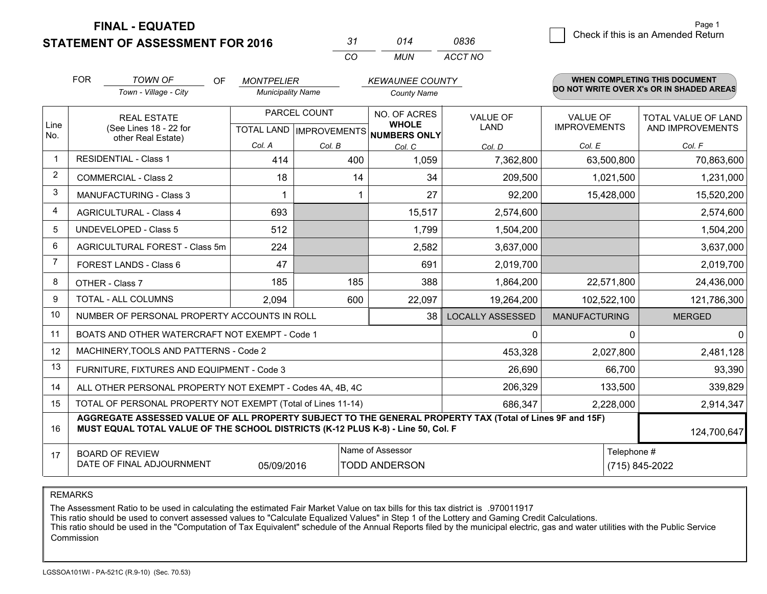**STATEMENT OF ASSESSMENT FOR 2016** 

*CO MUN <sup>31</sup> <sup>014</sup> ACCT NO0836*

|                | <b>FOR</b>                                   | <b>TOWN OF</b><br>OF.                                                                                                                                                                        | <b>MONTPELIER</b>        |              | <b>KEWAUNEE COUNTY</b>                         |                                |                                        | WHEN COMPLETING THIS DOCUMENT            |
|----------------|----------------------------------------------|----------------------------------------------------------------------------------------------------------------------------------------------------------------------------------------------|--------------------------|--------------|------------------------------------------------|--------------------------------|----------------------------------------|------------------------------------------|
|                |                                              | Town - Village - City                                                                                                                                                                        | <b>Municipality Name</b> |              | <b>County Name</b>                             |                                |                                        | DO NOT WRITE OVER X's OR IN SHADED AREAS |
| Line           | <b>REAL ESTATE</b><br>(See Lines 18 - 22 for |                                                                                                                                                                                              |                          | PARCEL COUNT | NO. OF ACRES<br><b>WHOLE</b>                   | <b>VALUE OF</b><br><b>LAND</b> | <b>VALUE OF</b><br><b>IMPROVEMENTS</b> | TOTAL VALUE OF LAND<br>AND IMPROVEMENTS  |
| No.            |                                              | other Real Estate)                                                                                                                                                                           | Col. A                   | Col. B       | TOTAL LAND IMPROVEMENTS NUMBERS ONLY<br>Col. C | Col. D                         | Col. E                                 | Col. F                                   |
| $\mathbf 1$    |                                              | <b>RESIDENTIAL - Class 1</b>                                                                                                                                                                 | 414                      | 400          | 1,059                                          | 7,362,800                      | 63,500,800                             | 70,863,600                               |
| $\overline{2}$ |                                              | <b>COMMERCIAL - Class 2</b>                                                                                                                                                                  | 18                       | 14           | 34                                             | 209,500                        | 1,021,500                              | 1,231,000                                |
| 3              |                                              | <b>MANUFACTURING - Class 3</b>                                                                                                                                                               |                          |              | 27                                             | 92,200                         | 15,428,000                             | 15,520,200                               |
| 4              |                                              | <b>AGRICULTURAL - Class 4</b>                                                                                                                                                                | 693                      |              | 15,517                                         | 2,574,600                      |                                        | 2,574,600                                |
| 5              |                                              | <b>UNDEVELOPED - Class 5</b>                                                                                                                                                                 | 512                      |              | 1,799                                          | 1,504,200                      |                                        | 1,504,200                                |
| 6              |                                              | AGRICULTURAL FOREST - Class 5m                                                                                                                                                               | 224                      |              | 2,582                                          | 3,637,000                      |                                        | 3,637,000                                |
| 7              |                                              | FOREST LANDS - Class 6                                                                                                                                                                       | 47                       |              | 691                                            | 2,019,700                      |                                        | 2,019,700                                |
| 8              |                                              | OTHER - Class 7                                                                                                                                                                              | 185                      | 185          | 388                                            | 1,864,200                      | 22,571,800                             | 24,436,000                               |
| 9              |                                              | TOTAL - ALL COLUMNS                                                                                                                                                                          | 2,094                    | 600          | 22,097                                         | 19,264,200                     | 102,522,100                            | 121,786,300                              |
| 10             |                                              | NUMBER OF PERSONAL PROPERTY ACCOUNTS IN ROLL                                                                                                                                                 |                          |              | 38                                             | <b>LOCALLY ASSESSED</b>        | <b>MANUFACTURING</b>                   | <b>MERGED</b>                            |
| 11             |                                              | BOATS AND OTHER WATERCRAFT NOT EXEMPT - Code 1                                                                                                                                               |                          |              |                                                | 0                              | 0                                      | $\mathbf 0$                              |
| 12             |                                              | MACHINERY, TOOLS AND PATTERNS - Code 2                                                                                                                                                       |                          |              |                                                | 453,328                        | 2,027,800                              | 2,481,128                                |
| 13             |                                              | FURNITURE, FIXTURES AND EQUIPMENT - Code 3                                                                                                                                                   |                          |              |                                                | 26,690                         | 66,700                                 | 93,390                                   |
| 14             |                                              | ALL OTHER PERSONAL PROPERTY NOT EXEMPT - Codes 4A, 4B, 4C                                                                                                                                    |                          |              |                                                | 206,329                        | 133,500                                | 339,829                                  |
| 15             |                                              | TOTAL OF PERSONAL PROPERTY NOT EXEMPT (Total of Lines 11-14)                                                                                                                                 |                          |              |                                                | 686,347                        | 2,228,000                              | 2,914,347                                |
| 16             |                                              | AGGREGATE ASSESSED VALUE OF ALL PROPERTY SUBJECT TO THE GENERAL PROPERTY TAX (Total of Lines 9F and 15F)<br>MUST EQUAL TOTAL VALUE OF THE SCHOOL DISTRICTS (K-12 PLUS K-8) - Line 50, Col. F |                          |              |                                                |                                |                                        | 124,700,647                              |
| 17             |                                              | <b>BOARD OF REVIEW</b><br>DATE OF FINAL ADJOURNMENT                                                                                                                                          | 05/09/2016               |              | Name of Assessor<br><b>TODD ANDERSON</b>       |                                | Telephone #                            | (715) 845-2022                           |

REMARKS

The Assessment Ratio to be used in calculating the estimated Fair Market Value on tax bills for this tax district is .970011917<br>This ratio should be used to convert assessed values to "Calculate Equalized Values" in Step 1 Commission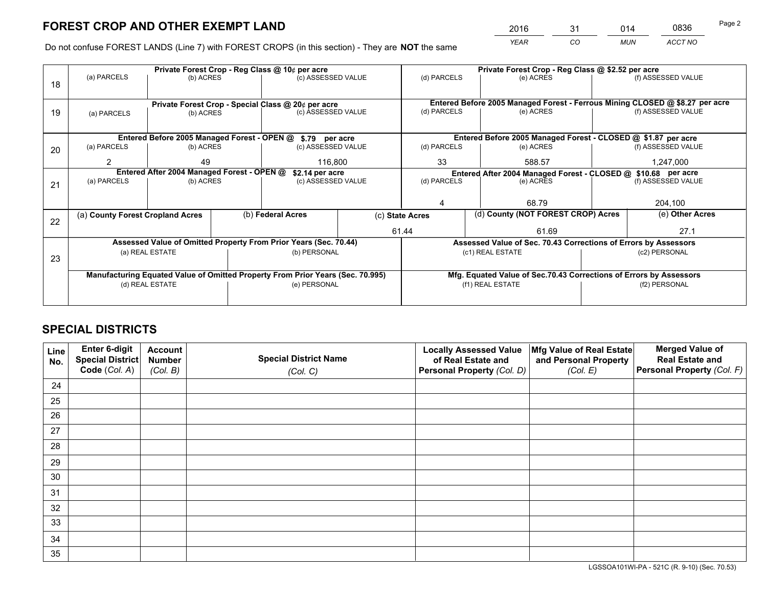*YEAR CO MUN ACCT NO* <sup>2016</sup> <sup>31</sup> <sup>014</sup> <sup>0836</sup>

Do not confuse FOREST LANDS (Line 7) with FOREST CROPS (in this section) - They are **NOT** the same

|    | Private Forest Crop - Reg Class @ 10¢ per acre     |                                 |  |                                                                                |                                   |                  | Private Forest Crop - Reg Class @ \$2.52 per acre                            |                                                                    |                    |                    |
|----|----------------------------------------------------|---------------------------------|--|--------------------------------------------------------------------------------|-----------------------------------|------------------|------------------------------------------------------------------------------|--------------------------------------------------------------------|--------------------|--------------------|
| 18 | (a) PARCELS                                        | (b) ACRES                       |  | (c) ASSESSED VALUE                                                             |                                   | (d) PARCELS      |                                                                              | (e) ACRES                                                          |                    | (f) ASSESSED VALUE |
|    |                                                    |                                 |  |                                                                                |                                   |                  |                                                                              |                                                                    |                    |                    |
|    | Private Forest Crop - Special Class @ 20¢ per acre |                                 |  |                                                                                |                                   |                  | Entered Before 2005 Managed Forest - Ferrous Mining CLOSED @ \$8.27 per acre |                                                                    |                    |                    |
| 19 | (a) PARCELS                                        | (c) ASSESSED VALUE<br>(b) ACRES |  |                                                                                | (d) PARCELS                       |                  | (e) ACRES                                                                    |                                                                    | (f) ASSESSED VALUE |                    |
|    |                                                    |                                 |  |                                                                                |                                   |                  |                                                                              |                                                                    |                    |                    |
|    |                                                    |                                 |  | Entered Before 2005 Managed Forest - OPEN @ \$.79 per acre                     |                                   |                  |                                                                              | Entered Before 2005 Managed Forest - CLOSED @ \$1.87 per acre      |                    |                    |
| 20 | (a) PARCELS                                        | (b) ACRES                       |  | (c) ASSESSED VALUE                                                             |                                   | (d) PARCELS      |                                                                              | (e) ACRES                                                          |                    | (f) ASSESSED VALUE |
|    | $\mathcal{P}$                                      | 49                              |  |                                                                                | 116,800                           |                  | 33<br>588.57                                                                 |                                                                    | 1,247,000          |                    |
|    | Entered After 2004 Managed Forest - OPEN @         |                                 |  |                                                                                | \$2.14 per acre                   |                  | Entered After 2004 Managed Forest - CLOSED @ \$10.68 per acre                |                                                                    |                    |                    |
| 21 | (a) PARCELS                                        | (b) ACRES                       |  |                                                                                | (d) PARCELS<br>(c) ASSESSED VALUE |                  |                                                                              | (e) ACRES                                                          |                    | (f) ASSESSED VALUE |
|    |                                                    |                                 |  |                                                                                |                                   |                  |                                                                              |                                                                    |                    |                    |
|    |                                                    |                                 |  |                                                                                |                                   |                  |                                                                              | 68.79                                                              |                    | 204,100            |
| 22 | (a) County Forest Cropland Acres                   |                                 |  | (b) Federal Acres                                                              | (c) State Acres                   |                  |                                                                              | (d) County (NOT FOREST CROP) Acres                                 |                    | (e) Other Acres    |
|    |                                                    |                                 |  |                                                                                |                                   | 61.44            |                                                                              | 61.69                                                              |                    | 27.1               |
|    |                                                    |                                 |  | Assessed Value of Omitted Property From Prior Years (Sec. 70.44)               |                                   |                  |                                                                              | Assessed Value of Sec. 70.43 Corrections of Errors by Assessors    |                    |                    |
| 23 |                                                    | (a) REAL ESTATE                 |  | (b) PERSONAL                                                                   |                                   |                  |                                                                              | (c1) REAL ESTATE                                                   |                    | (c2) PERSONAL      |
|    |                                                    |                                 |  |                                                                                |                                   |                  |                                                                              |                                                                    |                    |                    |
|    |                                                    |                                 |  | Manufacturing Equated Value of Omitted Property From Prior Years (Sec. 70.995) |                                   |                  |                                                                              | Mfg. Equated Value of Sec.70.43 Corrections of Errors by Assessors |                    |                    |
|    | (d) REAL ESTATE                                    |                                 |  | (e) PERSONAL                                                                   |                                   | (f1) REAL ESTATE |                                                                              |                                                                    |                    | (f2) PERSONAL      |
|    |                                                    |                                 |  |                                                                                |                                   |                  |                                                                              |                                                                    |                    |                    |

## **SPECIAL DISTRICTS**

| Line<br>No. | Enter 6-digit<br><b>Special District</b><br>Code (Col. A) | <b>Account</b><br><b>Number</b><br>(Col. B) | <b>Special District Name</b><br>(Col. C) | <b>Locally Assessed Value</b><br>of Real Estate and<br>Personal Property (Col. D) | Mfg Value of Real Estate<br>and Personal Property<br>(Col. E) | <b>Merged Value of</b><br><b>Real Estate and</b><br>Personal Property (Col. F) |
|-------------|-----------------------------------------------------------|---------------------------------------------|------------------------------------------|-----------------------------------------------------------------------------------|---------------------------------------------------------------|--------------------------------------------------------------------------------|
| 24          |                                                           |                                             |                                          |                                                                                   |                                                               |                                                                                |
| 25          |                                                           |                                             |                                          |                                                                                   |                                                               |                                                                                |
| 26          |                                                           |                                             |                                          |                                                                                   |                                                               |                                                                                |
| 27          |                                                           |                                             |                                          |                                                                                   |                                                               |                                                                                |
| 28          |                                                           |                                             |                                          |                                                                                   |                                                               |                                                                                |
| 29          |                                                           |                                             |                                          |                                                                                   |                                                               |                                                                                |
| 30          |                                                           |                                             |                                          |                                                                                   |                                                               |                                                                                |
| 31          |                                                           |                                             |                                          |                                                                                   |                                                               |                                                                                |
| 32          |                                                           |                                             |                                          |                                                                                   |                                                               |                                                                                |
| 33          |                                                           |                                             |                                          |                                                                                   |                                                               |                                                                                |
| 34          |                                                           |                                             |                                          |                                                                                   |                                                               |                                                                                |
| 35          |                                                           |                                             |                                          |                                                                                   |                                                               |                                                                                |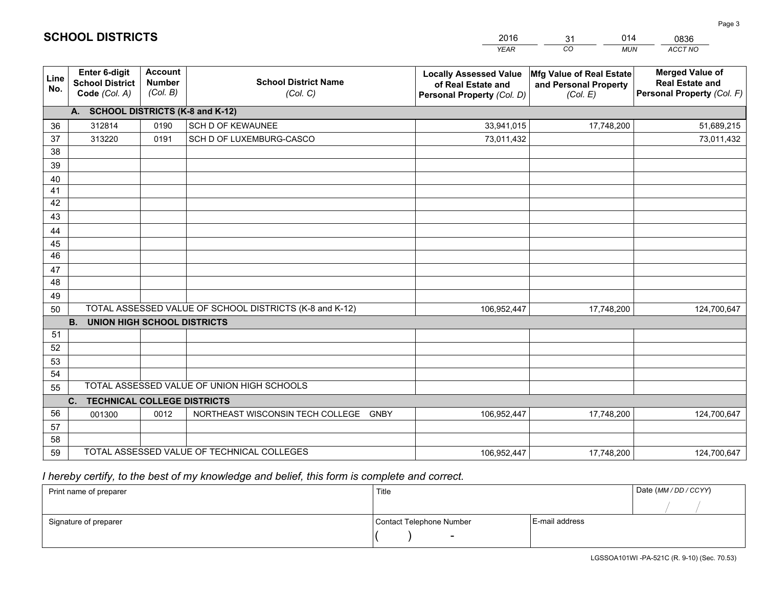|                       |                                                                 |                                             |                                                         | <b>YEAR</b>                                                                       | CO<br><b>MUN</b>                                              | ACCT NO                                                                        |
|-----------------------|-----------------------------------------------------------------|---------------------------------------------|---------------------------------------------------------|-----------------------------------------------------------------------------------|---------------------------------------------------------------|--------------------------------------------------------------------------------|
| Line<br>No.           | <b>Enter 6-digit</b><br><b>School District</b><br>Code (Col. A) | <b>Account</b><br><b>Number</b><br>(Col. B) | <b>School District Name</b><br>(Col. C)                 | <b>Locally Assessed Value</b><br>of Real Estate and<br>Personal Property (Col. D) | Mfg Value of Real Estate<br>and Personal Property<br>(Col. E) | <b>Merged Value of</b><br><b>Real Estate and</b><br>Personal Property (Col. F) |
|                       | A. SCHOOL DISTRICTS (K-8 and K-12)                              |                                             |                                                         |                                                                                   |                                                               |                                                                                |
| 36                    | 312814                                                          | 0190                                        | SCH D OF KEWAUNEE                                       | 33,941,015                                                                        | 17,748,200                                                    | 51,689,215                                                                     |
| 37                    | 313220                                                          | 0191                                        | SCH D OF LUXEMBURG-CASCO                                | 73,011,432                                                                        |                                                               | 73,011,432                                                                     |
| 38                    |                                                                 |                                             |                                                         |                                                                                   |                                                               |                                                                                |
| 39                    |                                                                 |                                             |                                                         |                                                                                   |                                                               |                                                                                |
| 40                    |                                                                 |                                             |                                                         |                                                                                   |                                                               |                                                                                |
| 41                    |                                                                 |                                             |                                                         |                                                                                   |                                                               |                                                                                |
| 42                    |                                                                 |                                             |                                                         |                                                                                   |                                                               |                                                                                |
| 43                    |                                                                 |                                             |                                                         |                                                                                   |                                                               |                                                                                |
| 44                    |                                                                 |                                             |                                                         |                                                                                   |                                                               |                                                                                |
| 45<br>$\overline{46}$ |                                                                 |                                             |                                                         |                                                                                   |                                                               |                                                                                |
|                       |                                                                 |                                             |                                                         |                                                                                   |                                                               |                                                                                |
| 47<br>48              |                                                                 |                                             |                                                         |                                                                                   |                                                               |                                                                                |
| 49                    |                                                                 |                                             |                                                         |                                                                                   |                                                               |                                                                                |
| 50                    |                                                                 |                                             | TOTAL ASSESSED VALUE OF SCHOOL DISTRICTS (K-8 and K-12) | 106,952,447                                                                       | 17,748,200                                                    | 124,700,647                                                                    |
|                       | <b>B.</b><br><b>UNION HIGH SCHOOL DISTRICTS</b>                 |                                             |                                                         |                                                                                   |                                                               |                                                                                |
| 51                    |                                                                 |                                             |                                                         |                                                                                   |                                                               |                                                                                |
| 52                    |                                                                 |                                             |                                                         |                                                                                   |                                                               |                                                                                |
| 53                    |                                                                 |                                             |                                                         |                                                                                   |                                                               |                                                                                |
| 54                    |                                                                 |                                             |                                                         |                                                                                   |                                                               |                                                                                |
| 55                    |                                                                 |                                             | TOTAL ASSESSED VALUE OF UNION HIGH SCHOOLS              |                                                                                   |                                                               |                                                                                |
|                       | C.<br><b>TECHNICAL COLLEGE DISTRICTS</b>                        |                                             |                                                         |                                                                                   |                                                               |                                                                                |
| 56                    | 001300                                                          | 0012                                        | NORTHEAST WISCONSIN TECH COLLEGE<br>GNBY                | 106,952,447                                                                       | 17,748,200                                                    | 124,700,647                                                                    |
| 57                    |                                                                 |                                             |                                                         |                                                                                   |                                                               |                                                                                |
| 58                    |                                                                 |                                             |                                                         |                                                                                   |                                                               |                                                                                |
| 59                    |                                                                 |                                             | TOTAL ASSESSED VALUE OF TECHNICAL COLLEGES              | 106,952,447                                                                       | 17,748,200                                                    | 124,700,647                                                                    |

31

014

 *I hereby certify, to the best of my knowledge and belief, this form is complete and correct.*

**SCHOOL DISTRICTS**

| Print name of preparer | Title                    | Date (MM/DD/CCYY) |  |
|------------------------|--------------------------|-------------------|--|
|                        |                          |                   |  |
| Signature of preparer  | Contact Telephone Number | E-mail address    |  |
|                        | $\overline{\phantom{a}}$ |                   |  |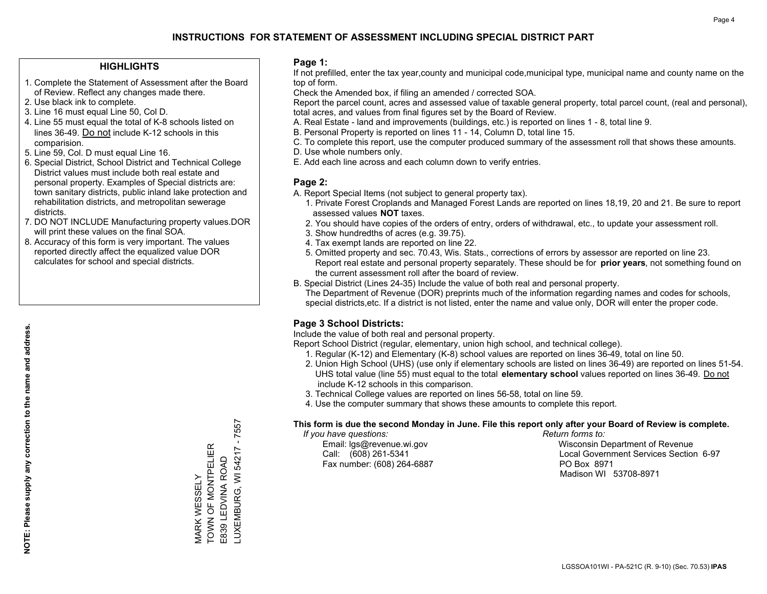## **HIGHLIGHTS**

- 1. Complete the Statement of Assessment after the Board of Review. Reflect any changes made there.
- 2. Use black ink to complete.
- 3. Line 16 must equal Line 50, Col D.
- 4. Line 55 must equal the total of K-8 schools listed on lines 36-49. Do not include K-12 schools in this comparision.
- 5. Line 59, Col. D must equal Line 16.
- 6. Special District, School District and Technical College District values must include both real estate and personal property. Examples of Special districts are: town sanitary districts, public inland lake protection and rehabilitation districts, and metropolitan sewerage districts.
- 7. DO NOT INCLUDE Manufacturing property values.DOR will print these values on the final SOA.
- 8. Accuracy of this form is very important. The values reported directly affect the equalized value DOR calculates for school and special districts.

### **Page 1:**

 If not prefilled, enter the tax year,county and municipal code,municipal type, municipal name and county name on the top of form.

Check the Amended box, if filing an amended / corrected SOA.

 Report the parcel count, acres and assessed value of taxable general property, total parcel count, (real and personal), total acres, and values from final figures set by the Board of Review.

- A. Real Estate land and improvements (buildings, etc.) is reported on lines 1 8, total line 9.
- B. Personal Property is reported on lines 11 14, Column D, total line 15.
- C. To complete this report, use the computer produced summary of the assessment roll that shows these amounts.
- D. Use whole numbers only.
- E. Add each line across and each column down to verify entries.

## **Page 2:**

- A. Report Special Items (not subject to general property tax).
- 1. Private Forest Croplands and Managed Forest Lands are reported on lines 18,19, 20 and 21. Be sure to report assessed values **NOT** taxes.
- 2. You should have copies of the orders of entry, orders of withdrawal, etc., to update your assessment roll.
	- 3. Show hundredths of acres (e.g. 39.75).
- 4. Tax exempt lands are reported on line 22.
- 5. Omitted property and sec. 70.43, Wis. Stats., corrections of errors by assessor are reported on line 23. Report real estate and personal property separately. These should be for **prior years**, not something found on the current assessment roll after the board of review.
- B. Special District (Lines 24-35) Include the value of both real and personal property.

 The Department of Revenue (DOR) preprints much of the information regarding names and codes for schools, special districts,etc. If a district is not listed, enter the name and value only, DOR will enter the proper code.

## **Page 3 School Districts:**

Include the value of both real and personal property.

Report School District (regular, elementary, union high school, and technical college).

- 1. Regular (K-12) and Elementary (K-8) school values are reported on lines 36-49, total on line 50.
- 2. Union High School (UHS) (use only if elementary schools are listed on lines 36-49) are reported on lines 51-54. UHS total value (line 55) must equal to the total **elementary school** values reported on lines 36-49. Do notinclude K-12 schools in this comparison.
- 3. Technical College values are reported on lines 56-58, total on line 59.
- 4. Use the computer summary that shows these amounts to complete this report.

#### **This form is due the second Monday in June. File this report only after your Board of Review is complete.**

 *If you have questions: Return forms to:*

Fax number: (608) 264-6887 PO Box 8971

 Email: lgs@revenue.wi.gov Wisconsin Department of Revenue Call: (608) 261-5341 Local Government Services Section 6-97Madison WI 53708-8971

LUXEMBURG, WI 54217 - 7557 TOWN OF MONTPELIER VIARK WESSELY<br>TOWN OF MONTPELIER LUXEMBURG, WI 54217 E839 LEDVINA ROAD E839 LEDVINA ROAD MARK WESSELY

 $-7557$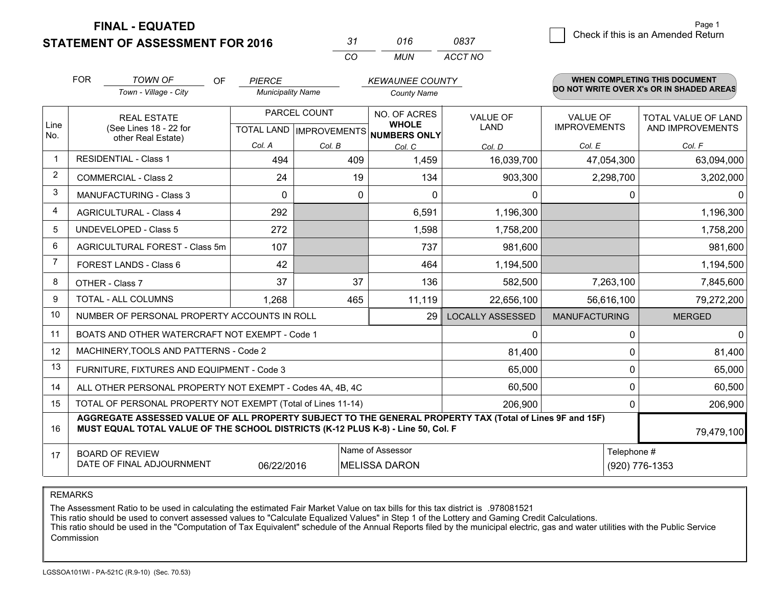**STATEMENT OF ASSESSMENT FOR 2016** 

| -37 | 016  | 0837    |
|-----|------|---------|
| cо  | MUN. | ACCT NO |

|                | <b>FOR</b><br><b>TOWN OF</b><br><b>OF</b><br><b>PIERCE</b>                                                                                                                                   |                                                              |                          |          | <b>WHEN COMPLETING THIS DOCUMENT</b><br><b>KEWAUNEE COUNTY</b><br>DO NOT WRITE OVER X's OR IN SHADED AREAS |                  |                      |                            |
|----------------|----------------------------------------------------------------------------------------------------------------------------------------------------------------------------------------------|--------------------------------------------------------------|--------------------------|----------|------------------------------------------------------------------------------------------------------------|------------------|----------------------|----------------------------|
|                |                                                                                                                                                                                              | Town - Village - City                                        | <b>Municipality Name</b> |          | <b>County Name</b>                                                                                         |                  |                      |                            |
|                | <b>REAL ESTATE</b>                                                                                                                                                                           |                                                              | PARCEL COUNT             |          | NO. OF ACRES                                                                                               | <b>VALUE OF</b>  | <b>VALUE OF</b>      | <b>TOTAL VALUE OF LAND</b> |
| Line<br>No.    |                                                                                                                                                                                              | (See Lines 18 - 22 for<br>other Real Estate)                 |                          |          | <b>WHOLE</b><br>TOTAL LAND IMPROVEMENTS NUMBERS ONLY                                                       | <b>LAND</b>      | <b>IMPROVEMENTS</b>  | AND IMPROVEMENTS           |
|                |                                                                                                                                                                                              |                                                              | Col. A                   | Col. B   | Col. C                                                                                                     | Col. D           | Col. E               | Col. F                     |
| $\mathbf 1$    | <b>RESIDENTIAL - Class 1</b>                                                                                                                                                                 |                                                              | 494                      | 409      | 1,459                                                                                                      | 16,039,700       | 47,054,300           | 63,094,000                 |
| 2              |                                                                                                                                                                                              | <b>COMMERCIAL - Class 2</b>                                  | 24                       | 19       | 134                                                                                                        | 903,300          | 2,298,700            | 3,202,000                  |
| 3              |                                                                                                                                                                                              | MANUFACTURING - Class 3                                      | $\Omega$                 | $\Omega$ | $\Omega$                                                                                                   | $\mathbf{0}$     | $\mathbf{0}$         | 0                          |
| 4              |                                                                                                                                                                                              | <b>AGRICULTURAL - Class 4</b>                                | 292                      |          | 6,591                                                                                                      | 1,196,300        |                      | 1,196,300                  |
| 5              |                                                                                                                                                                                              | <b>UNDEVELOPED - Class 5</b>                                 | 272                      |          | 1,598                                                                                                      | 1,758,200        |                      | 1,758,200                  |
| 6              |                                                                                                                                                                                              | AGRICULTURAL FOREST - Class 5m                               | 107                      |          | 737                                                                                                        | 981,600          |                      | 981,600                    |
| $\overline{7}$ |                                                                                                                                                                                              | <b>FOREST LANDS - Class 6</b>                                | 42                       |          | 464                                                                                                        | 1,194,500        |                      | 1,194,500                  |
| 8              |                                                                                                                                                                                              | OTHER - Class 7                                              | 37                       | 37       | 136                                                                                                        | 582,500          | 7,263,100            | 7,845,600                  |
| 9              |                                                                                                                                                                                              | TOTAL - ALL COLUMNS                                          | 1,268                    | 465      | 11,119                                                                                                     | 22,656,100       | 56,616,100           | 79,272,200                 |
| 10             |                                                                                                                                                                                              | NUMBER OF PERSONAL PROPERTY ACCOUNTS IN ROLL                 |                          |          | 29                                                                                                         | LOCALLY ASSESSED | <b>MANUFACTURING</b> | <b>MERGED</b>              |
| 11             |                                                                                                                                                                                              | BOATS AND OTHER WATERCRAFT NOT EXEMPT - Code 1               |                          |          |                                                                                                            | 0                | $\pmb{0}$            | 0                          |
| 12             |                                                                                                                                                                                              | MACHINERY, TOOLS AND PATTERNS - Code 2                       |                          |          |                                                                                                            | 81,400           | 0                    | 81,400                     |
| 13             |                                                                                                                                                                                              | FURNITURE, FIXTURES AND EQUIPMENT - Code 3                   |                          |          |                                                                                                            | 65,000           | $\mathbf 0$          | 65,000                     |
| 14             |                                                                                                                                                                                              | ALL OTHER PERSONAL PROPERTY NOT EXEMPT - Codes 4A, 4B, 4C    |                          |          |                                                                                                            | 60,500           | $\mathbf 0$          | 60,500                     |
| 15             |                                                                                                                                                                                              | TOTAL OF PERSONAL PROPERTY NOT EXEMPT (Total of Lines 11-14) |                          |          |                                                                                                            | 206,900          | $\mathbf 0$          | 206,900                    |
| 16             | AGGREGATE ASSESSED VALUE OF ALL PROPERTY SUBJECT TO THE GENERAL PROPERTY TAX (Total of Lines 9F and 15F)<br>MUST EQUAL TOTAL VALUE OF THE SCHOOL DISTRICTS (K-12 PLUS K-8) - Line 50, Col. F |                                                              |                          |          |                                                                                                            |                  |                      | 79,479,100                 |
| 17             |                                                                                                                                                                                              | <b>BOARD OF REVIEW</b>                                       |                          |          | Name of Assessor                                                                                           |                  | Telephone #          |                            |
|                |                                                                                                                                                                                              | DATE OF FINAL ADJOURNMENT                                    | 06/22/2016               |          | <b>MELISSA DARON</b>                                                                                       |                  | (920) 776-1353       |                            |

REMARKS

The Assessment Ratio to be used in calculating the estimated Fair Market Value on tax bills for this tax district is .978081521

This ratio should be used to convert assessed values to "Calculate Equalized Values" in Step 1 of the Lottery and Gaming Credit Calculations.<br>This ratio should be used in the "Computation of Tax Equivalent" schedule of the Commission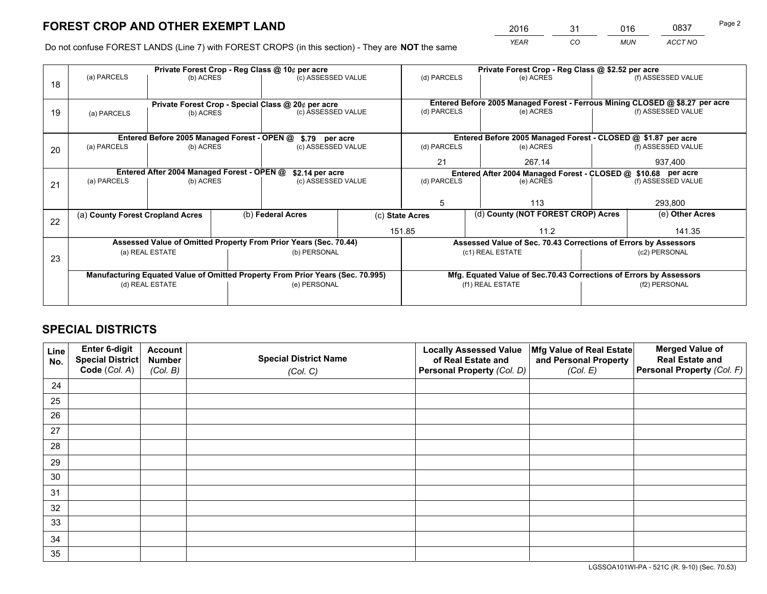*YEAR CO MUN ACCT NO* <sup>2016</sup> <sup>31</sup> <sup>016</sup> <sup>0837</sup>

Do not confuse FOREST LANDS (Line 7) with FOREST CROPS (in this section) - They are **NOT** the same

|    | Private Forest Crop - Reg Class @ 10¢ per acre                                 |                                            |  |                                                                  |                 |                                                                              | Private Forest Crop - Reg Class @ \$2.52 per acre |                                                                 |               |                    |  |
|----|--------------------------------------------------------------------------------|--------------------------------------------|--|------------------------------------------------------------------|-----------------|------------------------------------------------------------------------------|---------------------------------------------------|-----------------------------------------------------------------|---------------|--------------------|--|
| 18 | (a) PARCELS                                                                    | (b) ACRES                                  |  | (c) ASSESSED VALUE                                               |                 | (d) PARCELS                                                                  |                                                   | (e) ACRES                                                       |               | (f) ASSESSED VALUE |  |
|    |                                                                                |                                            |  |                                                                  |                 |                                                                              |                                                   |                                                                 |               |                    |  |
|    |                                                                                |                                            |  | Private Forest Crop - Special Class @ 20¢ per acre               |                 | Entered Before 2005 Managed Forest - Ferrous Mining CLOSED @ \$8.27 per acre |                                                   |                                                                 |               |                    |  |
| 19 | (a) PARCELS                                                                    | (b) ACRES                                  |  | (c) ASSESSED VALUE                                               |                 | (d) PARCELS                                                                  |                                                   | (e) ACRES                                                       |               | (f) ASSESSED VALUE |  |
|    |                                                                                |                                            |  |                                                                  |                 |                                                                              |                                                   |                                                                 |               |                    |  |
|    | Entered Before 2005 Managed Forest - OPEN @ \$.79 per acre                     |                                            |  |                                                                  |                 |                                                                              |                                                   | Entered Before 2005 Managed Forest - CLOSED @ \$1.87 per acre   |               |                    |  |
| 20 | (a) PARCELS                                                                    | (b) ACRES                                  |  | (c) ASSESSED VALUE                                               |                 | (d) PARCELS                                                                  |                                                   | (e) ACRES                                                       |               | (f) ASSESSED VALUE |  |
|    |                                                                                |                                            |  |                                                                  |                 |                                                                              |                                                   | 267.14                                                          | 937,400       |                    |  |
|    |                                                                                | Entered After 2004 Managed Forest - OPEN @ |  |                                                                  | \$2.14 per acre |                                                                              |                                                   | Entered After 2004 Managed Forest - CLOSED @ \$10.68 per acre   |               |                    |  |
| 21 | (a) PARCELS                                                                    | (b) ACRES                                  |  | (c) ASSESSED VALUE                                               |                 | (d) PARCELS                                                                  |                                                   | (e) ACRES                                                       |               | (f) ASSESSED VALUE |  |
|    |                                                                                |                                            |  |                                                                  |                 |                                                                              |                                                   |                                                                 |               |                    |  |
|    |                                                                                |                                            |  |                                                                  |                 |                                                                              | 5<br>113                                          |                                                                 | 293,800       |                    |  |
| 22 | (a) County Forest Cropland Acres                                               |                                            |  | (b) Federal Acres                                                | (c) State Acres |                                                                              |                                                   | (d) County (NOT FOREST CROP) Acres                              |               | (e) Other Acres    |  |
|    |                                                                                |                                            |  |                                                                  |                 | 151.85<br>11.2                                                               |                                                   |                                                                 |               | 141.35             |  |
|    |                                                                                |                                            |  | Assessed Value of Omitted Property From Prior Years (Sec. 70.44) |                 |                                                                              |                                                   | Assessed Value of Sec. 70.43 Corrections of Errors by Assessors |               |                    |  |
| 23 |                                                                                | (a) REAL ESTATE                            |  | (b) PERSONAL                                                     |                 |                                                                              |                                                   | (c1) REAL ESTATE                                                |               | (c2) PERSONAL      |  |
|    |                                                                                |                                            |  |                                                                  |                 |                                                                              |                                                   |                                                                 |               |                    |  |
|    | Manufacturing Equated Value of Omitted Property From Prior Years (Sec. 70.995) |                                            |  |                                                                  |                 | Mfg. Equated Value of Sec.70.43 Corrections of Errors by Assessors           |                                                   |                                                                 |               |                    |  |
|    | (d) REAL ESTATE                                                                |                                            |  |                                                                  | (e) PERSONAL    |                                                                              | (f1) REAL ESTATE                                  |                                                                 | (f2) PERSONAL |                    |  |
|    |                                                                                |                                            |  |                                                                  |                 |                                                                              |                                                   |                                                                 |               |                    |  |

## **SPECIAL DISTRICTS**

| Line<br>No. | Enter 6-digit<br>Special District<br>Code (Col. A) | <b>Account</b><br><b>Number</b> | <b>Special District Name</b> | <b>Locally Assessed Value</b><br>of Real Estate and | Mfg Value of Real Estate<br>and Personal Property | <b>Merged Value of</b><br><b>Real Estate and</b><br>Personal Property (Col. F) |
|-------------|----------------------------------------------------|---------------------------------|------------------------------|-----------------------------------------------------|---------------------------------------------------|--------------------------------------------------------------------------------|
|             |                                                    | (Col. B)                        | (Col. C)                     | Personal Property (Col. D)                          | (Col. E)                                          |                                                                                |
| 24          |                                                    |                                 |                              |                                                     |                                                   |                                                                                |
| 25          |                                                    |                                 |                              |                                                     |                                                   |                                                                                |
| 26          |                                                    |                                 |                              |                                                     |                                                   |                                                                                |
| 27          |                                                    |                                 |                              |                                                     |                                                   |                                                                                |
| 28          |                                                    |                                 |                              |                                                     |                                                   |                                                                                |
| 29          |                                                    |                                 |                              |                                                     |                                                   |                                                                                |
| 30          |                                                    |                                 |                              |                                                     |                                                   |                                                                                |
| 31          |                                                    |                                 |                              |                                                     |                                                   |                                                                                |
| 32          |                                                    |                                 |                              |                                                     |                                                   |                                                                                |
| 33          |                                                    |                                 |                              |                                                     |                                                   |                                                                                |
| 34          |                                                    |                                 |                              |                                                     |                                                   |                                                                                |
| 35          |                                                    |                                 |                              |                                                     |                                                   |                                                                                |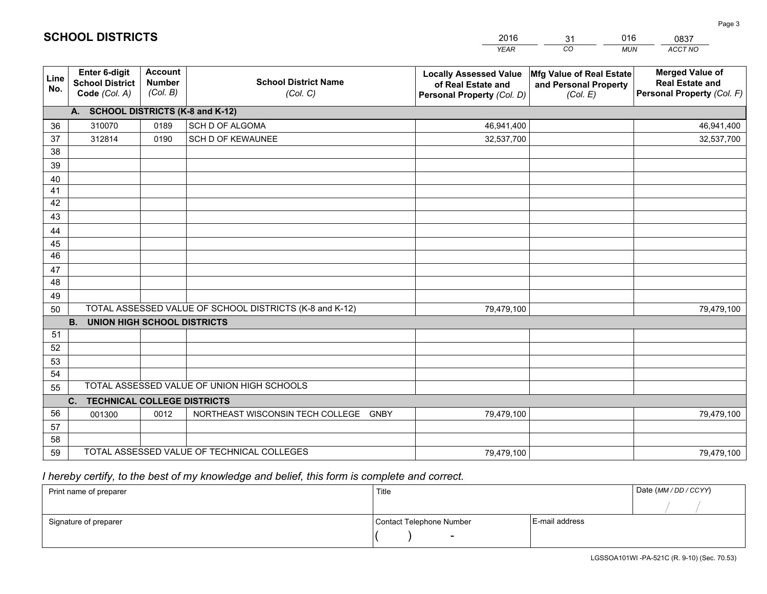|             |                                                                 |                                             |                                                         | <b>YEAR</b>                                                                       | CO<br><b>MUN</b>                                              | ACCT NO                                                                        |
|-------------|-----------------------------------------------------------------|---------------------------------------------|---------------------------------------------------------|-----------------------------------------------------------------------------------|---------------------------------------------------------------|--------------------------------------------------------------------------------|
| Line<br>No. | <b>Enter 6-digit</b><br><b>School District</b><br>Code (Col. A) | <b>Account</b><br><b>Number</b><br>(Col. B) | <b>School District Name</b><br>(Col. C)                 | <b>Locally Assessed Value</b><br>of Real Estate and<br>Personal Property (Col. D) | Mfg Value of Real Estate<br>and Personal Property<br>(Col. E) | <b>Merged Value of</b><br><b>Real Estate and</b><br>Personal Property (Col. F) |
|             | A. SCHOOL DISTRICTS (K-8 and K-12)                              |                                             |                                                         |                                                                                   |                                                               |                                                                                |
| 36          | 310070                                                          | 0189                                        | SCH D OF ALGOMA                                         | 46,941,400                                                                        |                                                               | 46,941,400                                                                     |
| 37          | 312814                                                          | 0190                                        | SCH D OF KEWAUNEE                                       | 32,537,700                                                                        |                                                               | 32,537,700                                                                     |
| 38          |                                                                 |                                             |                                                         |                                                                                   |                                                               |                                                                                |
| 39          |                                                                 |                                             |                                                         |                                                                                   |                                                               |                                                                                |
| 40          |                                                                 |                                             |                                                         |                                                                                   |                                                               |                                                                                |
| 41          |                                                                 |                                             |                                                         |                                                                                   |                                                               |                                                                                |
| 42          |                                                                 |                                             |                                                         |                                                                                   |                                                               |                                                                                |
| 43          |                                                                 |                                             |                                                         |                                                                                   |                                                               |                                                                                |
| 44          |                                                                 |                                             |                                                         |                                                                                   |                                                               |                                                                                |
| 45<br>46    |                                                                 |                                             |                                                         |                                                                                   |                                                               |                                                                                |
| 47          |                                                                 |                                             |                                                         |                                                                                   |                                                               |                                                                                |
| 48          |                                                                 |                                             |                                                         |                                                                                   |                                                               |                                                                                |
| 49          |                                                                 |                                             |                                                         |                                                                                   |                                                               |                                                                                |
| 50          |                                                                 |                                             | TOTAL ASSESSED VALUE OF SCHOOL DISTRICTS (K-8 and K-12) | 79,479,100                                                                        |                                                               | 79,479,100                                                                     |
|             | <b>UNION HIGH SCHOOL DISTRICTS</b><br><b>B.</b>                 |                                             |                                                         |                                                                                   |                                                               |                                                                                |
| 51          |                                                                 |                                             |                                                         |                                                                                   |                                                               |                                                                                |
| 52          |                                                                 |                                             |                                                         |                                                                                   |                                                               |                                                                                |
| 53          |                                                                 |                                             |                                                         |                                                                                   |                                                               |                                                                                |
| 54          |                                                                 |                                             |                                                         |                                                                                   |                                                               |                                                                                |
| 55          |                                                                 |                                             | TOTAL ASSESSED VALUE OF UNION HIGH SCHOOLS              |                                                                                   |                                                               |                                                                                |
|             | C.<br><b>TECHNICAL COLLEGE DISTRICTS</b>                        |                                             |                                                         |                                                                                   |                                                               |                                                                                |
| 56          | 001300                                                          | 0012                                        | NORTHEAST WISCONSIN TECH COLLEGE GNBY                   | 79,479,100                                                                        |                                                               | 79,479,100                                                                     |
| 57          |                                                                 |                                             |                                                         |                                                                                   |                                                               |                                                                                |
| 58          |                                                                 |                                             |                                                         |                                                                                   |                                                               |                                                                                |
| 59          |                                                                 |                                             | TOTAL ASSESSED VALUE OF TECHNICAL COLLEGES              | 79,479,100                                                                        |                                                               | 79,479,100                                                                     |

31

016

 *I hereby certify, to the best of my knowledge and belief, this form is complete and correct.*

**SCHOOL DISTRICTS**

| Print name of preparer | Title                    | Date (MM / DD / CCYY) |  |
|------------------------|--------------------------|-----------------------|--|
|                        |                          |                       |  |
| Signature of preparer  | Contact Telephone Number | E-mail address        |  |
|                        | $\overline{\phantom{0}}$ |                       |  |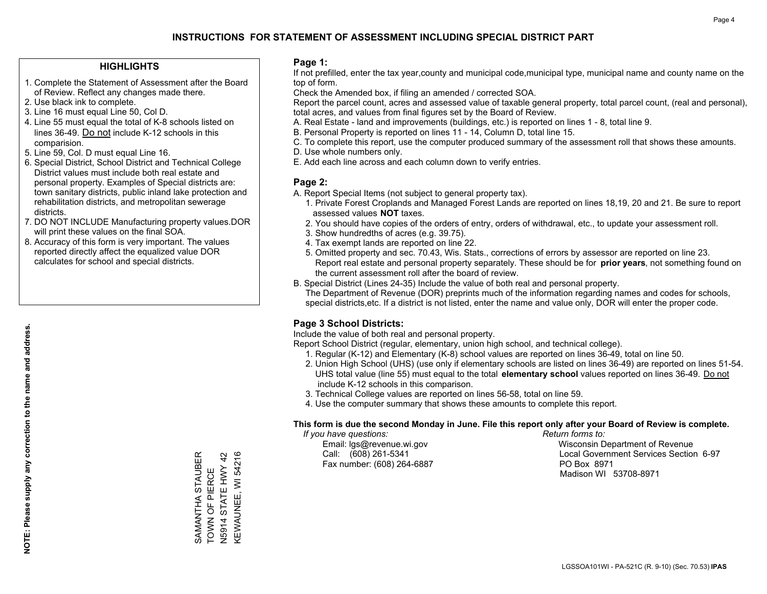## **HIGHLIGHTS**

- 1. Complete the Statement of Assessment after the Board of Review. Reflect any changes made there.
- 2. Use black ink to complete.
- 3. Line 16 must equal Line 50, Col D.
- 4. Line 55 must equal the total of K-8 schools listed on lines 36-49. Do not include K-12 schools in this comparision.
- 5. Line 59, Col. D must equal Line 16.
- 6. Special District, School District and Technical College District values must include both real estate and personal property. Examples of Special districts are: town sanitary districts, public inland lake protection and rehabilitation districts, and metropolitan sewerage districts.
- 7. DO NOT INCLUDE Manufacturing property values.DOR will print these values on the final SOA.
- 8. Accuracy of this form is very important. The values reported directly affect the equalized value DOR calculates for school and special districts.

### **Page 1:**

 If not prefilled, enter the tax year,county and municipal code,municipal type, municipal name and county name on the top of form.

Check the Amended box, if filing an amended / corrected SOA.

 Report the parcel count, acres and assessed value of taxable general property, total parcel count, (real and personal), total acres, and values from final figures set by the Board of Review.

- A. Real Estate land and improvements (buildings, etc.) is reported on lines 1 8, total line 9.
- B. Personal Property is reported on lines 11 14, Column D, total line 15.
- C. To complete this report, use the computer produced summary of the assessment roll that shows these amounts.
- D. Use whole numbers only.
- E. Add each line across and each column down to verify entries.

## **Page 2:**

- A. Report Special Items (not subject to general property tax).
- 1. Private Forest Croplands and Managed Forest Lands are reported on lines 18,19, 20 and 21. Be sure to report assessed values **NOT** taxes.
- 2. You should have copies of the orders of entry, orders of withdrawal, etc., to update your assessment roll.
	- 3. Show hundredths of acres (e.g. 39.75).
- 4. Tax exempt lands are reported on line 22.
- 5. Omitted property and sec. 70.43, Wis. Stats., corrections of errors by assessor are reported on line 23. Report real estate and personal property separately. These should be for **prior years**, not something found on the current assessment roll after the board of review.
- B. Special District (Lines 24-35) Include the value of both real and personal property.
- The Department of Revenue (DOR) preprints much of the information regarding names and codes for schools, special districts,etc. If a district is not listed, enter the name and value only, DOR will enter the proper code.

## **Page 3 School Districts:**

Include the value of both real and personal property.

Report School District (regular, elementary, union high school, and technical college).

- 1. Regular (K-12) and Elementary (K-8) school values are reported on lines 36-49, total on line 50.
- 2. Union High School (UHS) (use only if elementary schools are listed on lines 36-49) are reported on lines 51-54. UHS total value (line 55) must equal to the total **elementary school** values reported on lines 36-49. Do notinclude K-12 schools in this comparison.
- 3. Technical College values are reported on lines 56-58, total on line 59.
- 4. Use the computer summary that shows these amounts to complete this report.

#### **This form is due the second Monday in June. File this report only after your Board of Review is complete.**

 *If you have questions: Return forms to:*

Fax number: (608) 264-6887 PO Box 8971

 Email: lgs@revenue.wi.gov Wisconsin Department of Revenue Call: (608) 261-5341 Local Government Services Section 6-97Madison WI 53708-8971

KEWAUNEE, WI 54216 **STAUBER** SAMANTHA STAUBER , C.T., C.T., L., C.T.<br>N5914 STATE HWY 42 KEWAUNEE, WI 54216 N5914 STATE HWY 42 SAMANTHA STAUB<br>TOWN OF PIERCE TOWN OF PIERCE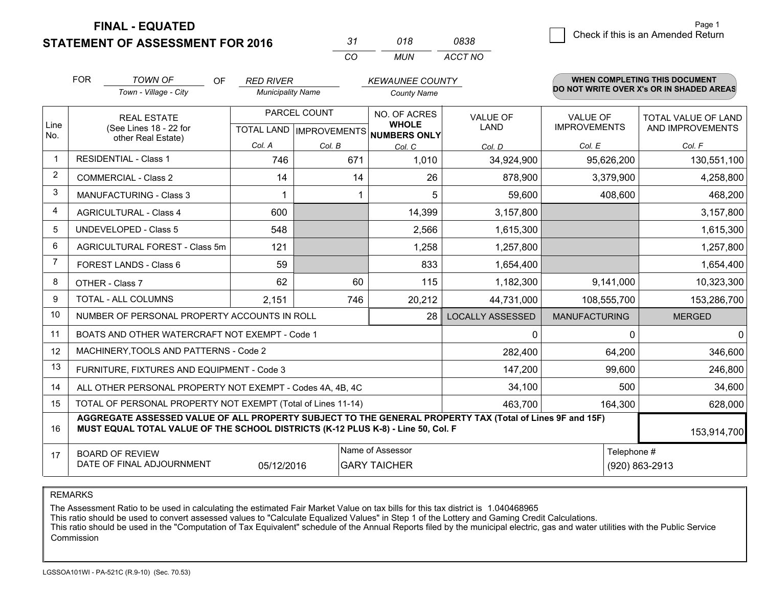**STATEMENT OF ASSESSMENT FOR 2016** 

| -31 | 018   | 0838    |
|-----|-------|---------|
| CO. | MI IN | ACCT NO |

|                | <b>FOR</b><br><b>TOWN OF</b><br>OF<br><b>RED RIVER</b> |                                                                                                                                                                                              |                          |                           | <b>KEWAUNEE COUNTY</b>       |                         | <b>WHEN COMPLETING THIS DOCUMENT</b><br>DO NOT WRITE OVER X's OR IN SHADED AREAS |                     |  |
|----------------|--------------------------------------------------------|----------------------------------------------------------------------------------------------------------------------------------------------------------------------------------------------|--------------------------|---------------------------|------------------------------|-------------------------|----------------------------------------------------------------------------------|---------------------|--|
|                |                                                        | Town - Village - City                                                                                                                                                                        | <b>Municipality Name</b> |                           | <b>County Name</b>           |                         |                                                                                  |                     |  |
|                |                                                        | <b>REAL ESTATE</b>                                                                                                                                                                           | PARCEL COUNT             |                           | NO. OF ACRES                 | <b>VALUE OF</b>         | <b>VALUE OF</b>                                                                  | TOTAL VALUE OF LAND |  |
| Line<br>No.    |                                                        | (See Lines 18 - 22 for<br>other Real Estate)                                                                                                                                                 |                          | TOTAL LAND   IMPROVEMENTS | <b>WHOLE</b><br>NUMBERS ONLY | <b>LAND</b>             | <b>IMPROVEMENTS</b>                                                              | AND IMPROVEMENTS    |  |
|                |                                                        |                                                                                                                                                                                              | Col. A                   | Col. B                    | Col. C                       | Col. D                  | Col. E                                                                           | Col. F              |  |
| $\mathbf 1$    |                                                        | <b>RESIDENTIAL - Class 1</b>                                                                                                                                                                 | 746                      | 671                       | 1,010                        | 34,924,900              | 95,626,200                                                                       | 130,551,100         |  |
| 2              |                                                        | <b>COMMERCIAL - Class 2</b>                                                                                                                                                                  | 14                       | 14                        | 26                           | 878,900                 | 3,379,900                                                                        | 4,258,800           |  |
| 3              |                                                        | MANUFACTURING - Class 3                                                                                                                                                                      |                          |                           | 5                            | 59,600                  | 408,600                                                                          | 468,200             |  |
| $\overline{4}$ |                                                        | <b>AGRICULTURAL - Class 4</b>                                                                                                                                                                | 600                      |                           | 14,399                       | 3,157,800               |                                                                                  | 3,157,800           |  |
| 5              |                                                        | UNDEVELOPED - Class 5                                                                                                                                                                        | 548                      |                           | 2,566                        | 1,615,300               |                                                                                  | 1,615,300           |  |
| 6              |                                                        | AGRICULTURAL FOREST - Class 5m                                                                                                                                                               | 121                      |                           | 1,258                        | 1,257,800               |                                                                                  | 1,257,800           |  |
| $\overline{7}$ |                                                        | FOREST LANDS - Class 6                                                                                                                                                                       | 59                       |                           | 833                          | 1,654,400               |                                                                                  | 1,654,400           |  |
| 8              |                                                        | OTHER - Class 7                                                                                                                                                                              | 62                       | 60                        | 115                          | 1,182,300               | 9,141,000                                                                        | 10,323,300          |  |
| 9              |                                                        | TOTAL - ALL COLUMNS                                                                                                                                                                          | 2,151                    | 746                       | 20,212                       | 44,731,000              | 108,555,700                                                                      | 153,286,700         |  |
| 10             |                                                        | NUMBER OF PERSONAL PROPERTY ACCOUNTS IN ROLL                                                                                                                                                 |                          |                           | 28                           | <b>LOCALLY ASSESSED</b> | <b>MANUFACTURING</b>                                                             | <b>MERGED</b>       |  |
| 11             |                                                        | BOATS AND OTHER WATERCRAFT NOT EXEMPT - Code 1                                                                                                                                               |                          |                           |                              | $\mathbf{0}$            | $\mathbf 0$                                                                      | 0                   |  |
| 12             |                                                        | MACHINERY, TOOLS AND PATTERNS - Code 2                                                                                                                                                       |                          |                           |                              | 282,400                 | 64,200                                                                           | 346,600             |  |
| 13             |                                                        | FURNITURE, FIXTURES AND EQUIPMENT - Code 3                                                                                                                                                   |                          |                           |                              | 147,200                 | 99,600                                                                           | 246,800             |  |
| 14             |                                                        | ALL OTHER PERSONAL PROPERTY NOT EXEMPT - Codes 4A, 4B, 4C                                                                                                                                    |                          |                           |                              | 34,100                  | 500                                                                              | 34,600              |  |
| 15             |                                                        | TOTAL OF PERSONAL PROPERTY NOT EXEMPT (Total of Lines 11-14)                                                                                                                                 |                          |                           |                              | 463,700                 | 164,300                                                                          | 628,000             |  |
| 16             |                                                        | AGGREGATE ASSESSED VALUE OF ALL PROPERTY SUBJECT TO THE GENERAL PROPERTY TAX (Total of Lines 9F and 15F)<br>MUST EQUAL TOTAL VALUE OF THE SCHOOL DISTRICTS (K-12 PLUS K-8) - Line 50, Col. F |                          |                           |                              |                         |                                                                                  | 153,914,700         |  |
| 17             |                                                        | <b>BOARD OF REVIEW</b>                                                                                                                                                                       |                          |                           | Name of Assessor             |                         | Telephone #                                                                      |                     |  |
|                |                                                        | DATE OF FINAL ADJOURNMENT                                                                                                                                                                    | 05/12/2016               |                           | <b>GARY TAICHER</b>          |                         |                                                                                  | (920) 863-2913      |  |

REMARKS

The Assessment Ratio to be used in calculating the estimated Fair Market Value on tax bills for this tax district is 1.040468965

This ratio should be used to convert assessed values to "Calculate Equalized Values" in Step 1 of the Lottery and Gaming Credit Calculations.<br>This ratio should be used in the "Computation of Tax Equivalent" schedule of the Commission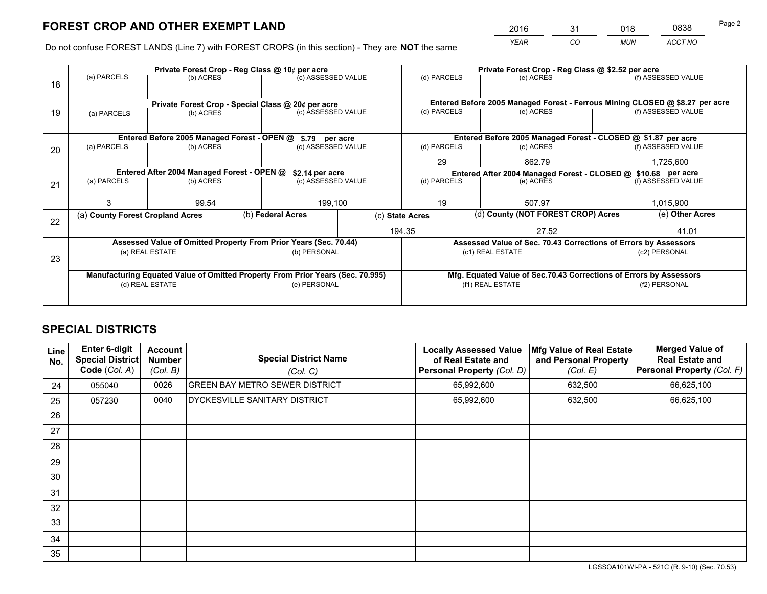*YEAR CO MUN ACCT NO* <sup>2016</sup> <sup>31</sup> <sup>018</sup> <sup>0838</sup>

Do not confuse FOREST LANDS (Line 7) with FOREST CROPS (in this section) - They are **NOT** the same

|    |                                                                                |                                             |  | Private Forest Crop - Reg Class @ 10¢ per acre                   |           | Private Forest Crop - Reg Class @ \$2.52 per acre |                                                                              |  |                    |  |
|----|--------------------------------------------------------------------------------|---------------------------------------------|--|------------------------------------------------------------------|-----------|---------------------------------------------------|------------------------------------------------------------------------------|--|--------------------|--|
| 18 | (a) PARCELS                                                                    | (b) ACRES                                   |  | (c) ASSESSED VALUE                                               |           | (d) PARCELS                                       | (e) ACRES                                                                    |  | (f) ASSESSED VALUE |  |
|    |                                                                                |                                             |  |                                                                  |           |                                                   |                                                                              |  |                    |  |
|    | Private Forest Crop - Special Class @ 20¢ per acre                             |                                             |  |                                                                  |           |                                                   | Entered Before 2005 Managed Forest - Ferrous Mining CLOSED @ \$8.27 per acre |  |                    |  |
| 19 | (a) PARCELS                                                                    | (b) ACRES                                   |  | (c) ASSESSED VALUE                                               |           | (d) PARCELS                                       | (e) ACRES                                                                    |  | (f) ASSESSED VALUE |  |
|    |                                                                                |                                             |  |                                                                  |           |                                                   |                                                                              |  |                    |  |
|    |                                                                                | Entered Before 2005 Managed Forest - OPEN @ |  | \$.79 per acre                                                   |           |                                                   | Entered Before 2005 Managed Forest - CLOSED @ \$1.87 per acre                |  |                    |  |
| 20 | (a) PARCELS                                                                    | (b) ACRES<br>(c) ASSESSED VALUE             |  | (d) PARCELS                                                      | (e) ACRES |                                                   |                                                                              |  |                    |  |
|    |                                                                                |                                             |  |                                                                  |           | 29                                                | 862.79                                                                       |  | 1,725,600          |  |
|    |                                                                                | Entered After 2004 Managed Forest - OPEN @  |  | \$2.14 per acre                                                  |           |                                                   | Entered After 2004 Managed Forest - CLOSED @ \$10.68 per acre                |  |                    |  |
| 21 | (a) PARCELS                                                                    | (b) ACRES                                   |  | (c) ASSESSED VALUE                                               |           | (d) PARCELS<br>(e) ACRES                          |                                                                              |  | (f) ASSESSED VALUE |  |
|    |                                                                                |                                             |  |                                                                  |           |                                                   |                                                                              |  |                    |  |
|    |                                                                                | 99.54                                       |  | 199,100                                                          |           | 19                                                | 507.97                                                                       |  |                    |  |
|    | (a) County Forest Cropland Acres                                               |                                             |  | (b) Federal Acres<br>(c) State Acres                             |           |                                                   | (d) County (NOT FOREST CROP) Acres                                           |  | (e) Other Acres    |  |
| 22 |                                                                                |                                             |  |                                                                  |           | 194.35<br>27.52                                   |                                                                              |  | 41.01              |  |
|    |                                                                                |                                             |  | Assessed Value of Omitted Property From Prior Years (Sec. 70.44) |           |                                                   | Assessed Value of Sec. 70.43 Corrections of Errors by Assessors              |  |                    |  |
|    |                                                                                | (a) REAL ESTATE                             |  | (b) PERSONAL                                                     |           |                                                   | (c1) REAL ESTATE                                                             |  | (c2) PERSONAL      |  |
| 23 |                                                                                |                                             |  |                                                                  |           |                                                   |                                                                              |  |                    |  |
|    |                                                                                |                                             |  |                                                                  |           |                                                   |                                                                              |  |                    |  |
|    | Manufacturing Equated Value of Omitted Property From Prior Years (Sec. 70.995) |                                             |  |                                                                  |           |                                                   | Mfg. Equated Value of Sec.70.43 Corrections of Errors by Assessors           |  |                    |  |
|    |                                                                                | (d) REAL ESTATE                             |  | (e) PERSONAL                                                     |           |                                                   | (f1) REAL ESTATE                                                             |  | (f2) PERSONAL      |  |
|    |                                                                                |                                             |  |                                                                  |           |                                                   |                                                                              |  |                    |  |

## **SPECIAL DISTRICTS**

| Line<br>No. | <b>Enter 6-digit</b><br><b>Special District</b><br>Code (Col. A) | <b>Account</b><br><b>Number</b><br>(Col. B) | <b>Special District Name</b><br>(Col. C) | <b>Locally Assessed Value</b><br>of Real Estate and<br>Personal Property (Col. D) | Mfg Value of Real Estate<br>and Personal Property<br>(Col. E) | <b>Merged Value of</b><br><b>Real Estate and</b><br>Personal Property (Col. F) |
|-------------|------------------------------------------------------------------|---------------------------------------------|------------------------------------------|-----------------------------------------------------------------------------------|---------------------------------------------------------------|--------------------------------------------------------------------------------|
| 24          | 055040                                                           | 0026                                        | <b>GREEN BAY METRO SEWER DISTRICT</b>    | 65,992,600                                                                        | 632,500                                                       | 66,625,100                                                                     |
| 25          | 057230                                                           | 0040                                        | DYCKESVILLE SANITARY DISTRICT            | 65,992,600                                                                        | 632,500                                                       | 66,625,100                                                                     |
| 26          |                                                                  |                                             |                                          |                                                                                   |                                                               |                                                                                |
| 27          |                                                                  |                                             |                                          |                                                                                   |                                                               |                                                                                |
| 28          |                                                                  |                                             |                                          |                                                                                   |                                                               |                                                                                |
| 29          |                                                                  |                                             |                                          |                                                                                   |                                                               |                                                                                |
| 30          |                                                                  |                                             |                                          |                                                                                   |                                                               |                                                                                |
| 31          |                                                                  |                                             |                                          |                                                                                   |                                                               |                                                                                |
| 32          |                                                                  |                                             |                                          |                                                                                   |                                                               |                                                                                |
| 33          |                                                                  |                                             |                                          |                                                                                   |                                                               |                                                                                |
| 34          |                                                                  |                                             |                                          |                                                                                   |                                                               |                                                                                |
| 35          |                                                                  |                                             |                                          |                                                                                   |                                                               |                                                                                |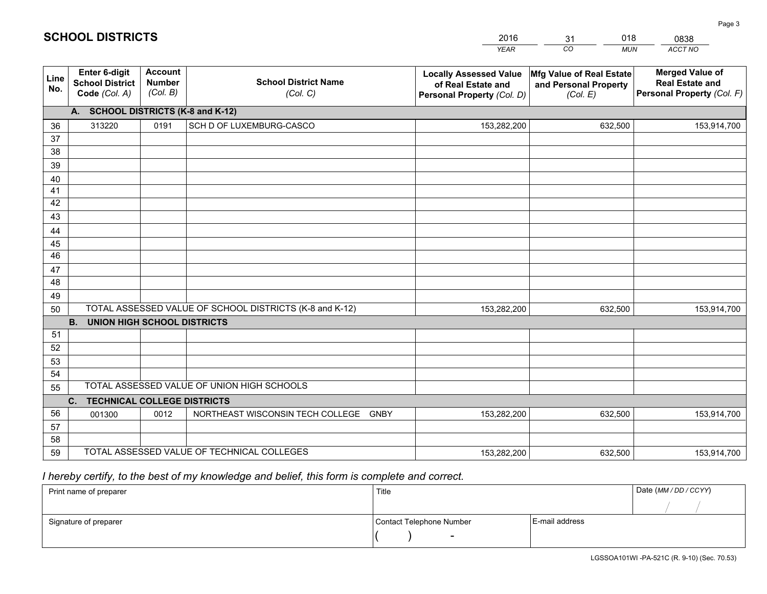|             |                                                          |                                             |                                                         | <b>YEAR</b>                                                                       | CO<br><b>MUN</b>                                              | ACCT NO                                                                        |
|-------------|----------------------------------------------------------|---------------------------------------------|---------------------------------------------------------|-----------------------------------------------------------------------------------|---------------------------------------------------------------|--------------------------------------------------------------------------------|
| Line<br>No. | Enter 6-digit<br><b>School District</b><br>Code (Col. A) | <b>Account</b><br><b>Number</b><br>(Col. B) | <b>School District Name</b><br>(Col. C)                 | <b>Locally Assessed Value</b><br>of Real Estate and<br>Personal Property (Col. D) | Mfg Value of Real Estate<br>and Personal Property<br>(Col. E) | <b>Merged Value of</b><br><b>Real Estate and</b><br>Personal Property (Col. F) |
|             | A. SCHOOL DISTRICTS (K-8 and K-12)                       |                                             |                                                         |                                                                                   |                                                               |                                                                                |
| 36          | 313220                                                   | 0191                                        | SCH D OF LUXEMBURG-CASCO                                | 153,282,200                                                                       | 632,500                                                       | 153,914,700                                                                    |
| 37          |                                                          |                                             |                                                         |                                                                                   |                                                               |                                                                                |
| 38          |                                                          |                                             |                                                         |                                                                                   |                                                               |                                                                                |
| 39          |                                                          |                                             |                                                         |                                                                                   |                                                               |                                                                                |
| 40<br>41    |                                                          |                                             |                                                         |                                                                                   |                                                               |                                                                                |
| 42          |                                                          |                                             |                                                         |                                                                                   |                                                               |                                                                                |
| 43          |                                                          |                                             |                                                         |                                                                                   |                                                               |                                                                                |
| 44          |                                                          |                                             |                                                         |                                                                                   |                                                               |                                                                                |
| 45          |                                                          |                                             |                                                         |                                                                                   |                                                               |                                                                                |
| 46          |                                                          |                                             |                                                         |                                                                                   |                                                               |                                                                                |
| 47          |                                                          |                                             |                                                         |                                                                                   |                                                               |                                                                                |
| 48          |                                                          |                                             |                                                         |                                                                                   |                                                               |                                                                                |
| 49          |                                                          |                                             |                                                         |                                                                                   |                                                               |                                                                                |
| 50          |                                                          |                                             | TOTAL ASSESSED VALUE OF SCHOOL DISTRICTS (K-8 and K-12) | 153,282,200                                                                       | 632,500                                                       | 153,914,700                                                                    |
|             | <b>B.</b><br><b>UNION HIGH SCHOOL DISTRICTS</b>          |                                             |                                                         |                                                                                   |                                                               |                                                                                |
| 51<br>52    |                                                          |                                             |                                                         |                                                                                   |                                                               |                                                                                |
|             |                                                          |                                             |                                                         |                                                                                   |                                                               |                                                                                |
| 53<br>54    |                                                          |                                             |                                                         |                                                                                   |                                                               |                                                                                |
| 55          |                                                          |                                             | TOTAL ASSESSED VALUE OF UNION HIGH SCHOOLS              |                                                                                   |                                                               |                                                                                |
|             | C.<br><b>TECHNICAL COLLEGE DISTRICTS</b>                 |                                             |                                                         |                                                                                   |                                                               |                                                                                |
| 56          | 001300                                                   | 0012                                        | NORTHEAST WISCONSIN TECH COLLEGE GNBY                   | 153,282,200                                                                       | 632,500                                                       | 153,914,700                                                                    |
| 57          |                                                          |                                             |                                                         |                                                                                   |                                                               |                                                                                |
| 58          |                                                          |                                             |                                                         |                                                                                   |                                                               |                                                                                |
| 59          |                                                          |                                             | TOTAL ASSESSED VALUE OF TECHNICAL COLLEGES              | 153,282,200                                                                       | 632,500                                                       | 153,914,700                                                                    |

31

018

 *I hereby certify, to the best of my knowledge and belief, this form is complete and correct.*

**SCHOOL DISTRICTS**

| Print name of preparer | Title                    |                | Date (MM / DD / CCYY) |
|------------------------|--------------------------|----------------|-----------------------|
|                        |                          |                |                       |
| Signature of preparer  | Contact Telephone Number | E-mail address |                       |
|                        | $\sim$                   |                |                       |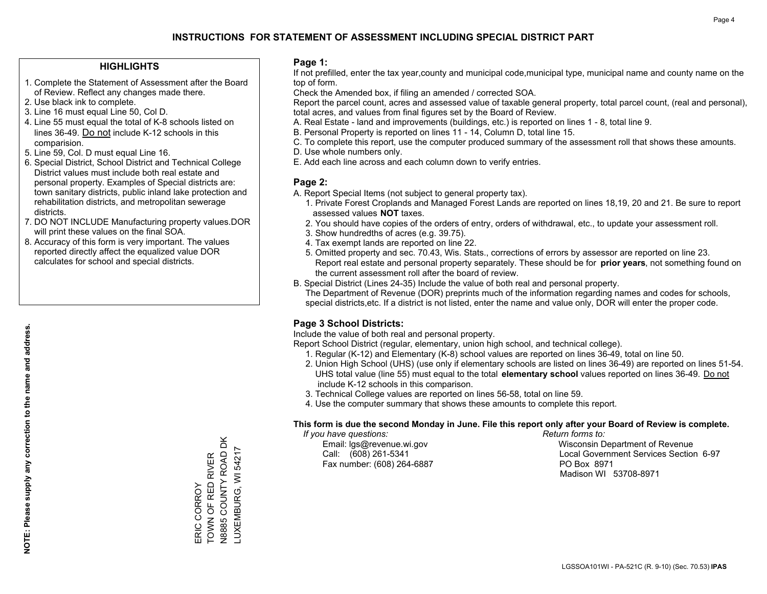## **HIGHLIGHTS**

- 1. Complete the Statement of Assessment after the Board of Review. Reflect any changes made there.
- 2. Use black ink to complete.
- 3. Line 16 must equal Line 50, Col D.
- 4. Line 55 must equal the total of K-8 schools listed on lines 36-49. Do not include K-12 schools in this comparision.
- 5. Line 59, Col. D must equal Line 16.
- 6. Special District, School District and Technical College District values must include both real estate and personal property. Examples of Special districts are: town sanitary districts, public inland lake protection and rehabilitation districts, and metropolitan sewerage districts.
- 7. DO NOT INCLUDE Manufacturing property values.DOR will print these values on the final SOA.

ERIC CORROY

TOWN OF RED RIVER N8885 COUNTY ROAD DK LUXEMBURG, WI 54217

LUXEMBURG, WI 54217

ERIC CORROY<br>TOWN OF RED RIVER<br>N8885 COUNTY ROAD DK

 8. Accuracy of this form is very important. The values reported directly affect the equalized value DOR calculates for school and special districts.

### **Page 1:**

 If not prefilled, enter the tax year,county and municipal code,municipal type, municipal name and county name on the top of form.

Check the Amended box, if filing an amended / corrected SOA.

 Report the parcel count, acres and assessed value of taxable general property, total parcel count, (real and personal), total acres, and values from final figures set by the Board of Review.

- A. Real Estate land and improvements (buildings, etc.) is reported on lines 1 8, total line 9.
- B. Personal Property is reported on lines 11 14, Column D, total line 15.
- C. To complete this report, use the computer produced summary of the assessment roll that shows these amounts.
- D. Use whole numbers only.
- E. Add each line across and each column down to verify entries.

## **Page 2:**

- A. Report Special Items (not subject to general property tax).
- 1. Private Forest Croplands and Managed Forest Lands are reported on lines 18,19, 20 and 21. Be sure to report assessed values **NOT** taxes.
- 2. You should have copies of the orders of entry, orders of withdrawal, etc., to update your assessment roll.
	- 3. Show hundredths of acres (e.g. 39.75).
- 4. Tax exempt lands are reported on line 22.
- 5. Omitted property and sec. 70.43, Wis. Stats., corrections of errors by assessor are reported on line 23. Report real estate and personal property separately. These should be for **prior years**, not something found on the current assessment roll after the board of review.
- B. Special District (Lines 24-35) Include the value of both real and personal property.

 The Department of Revenue (DOR) preprints much of the information regarding names and codes for schools, special districts,etc. If a district is not listed, enter the name and value only, DOR will enter the proper code.

## **Page 3 School Districts:**

Include the value of both real and personal property.

Report School District (regular, elementary, union high school, and technical college).

- 1. Regular (K-12) and Elementary (K-8) school values are reported on lines 36-49, total on line 50.
- 2. Union High School (UHS) (use only if elementary schools are listed on lines 36-49) are reported on lines 51-54. UHS total value (line 55) must equal to the total **elementary school** values reported on lines 36-49. Do notinclude K-12 schools in this comparison.
- 3. Technical College values are reported on lines 56-58, total on line 59.
- 4. Use the computer summary that shows these amounts to complete this report.

#### **This form is due the second Monday in June. File this report only after your Board of Review is complete.**

 *If you have questions: Return forms to:*

Fax number: (608) 264-6887 PO Box 8971

 Email: lgs@revenue.wi.gov Wisconsin Department of Revenue Call: (608) 261-5341 Local Government Services Section 6-97Madison WI 53708-8971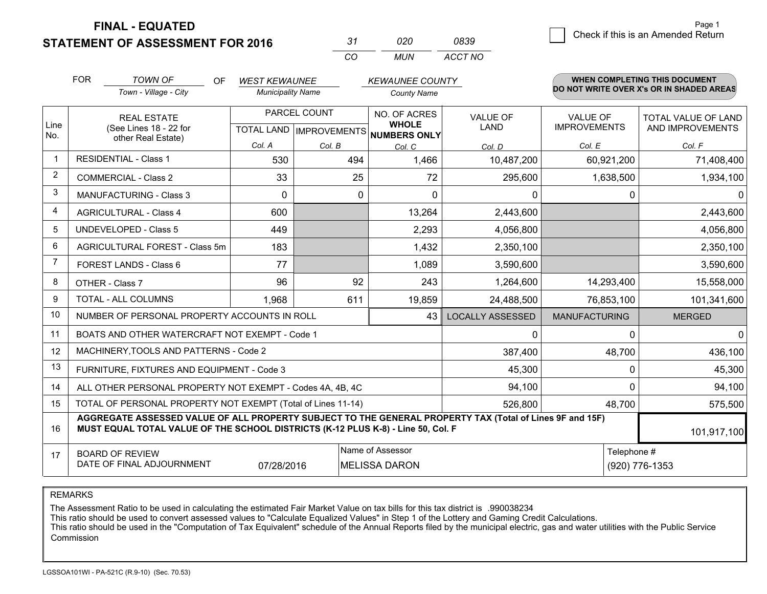**STATEMENT OF ASSESSMENT FOR 2016** 

| -31 | 020 | 0839    |
|-----|-----|---------|
| CО  | MUN | ACCT NO |

|                | <b>FOR</b>                                                                                                    | <b>TOWN OF</b><br>OF                                                                                                                                                                         | <b>WEST KEWAUNEE</b>     |              | <b>KEWAUNEE COUNTY</b>                                               |                                |                                        | WHEN COMPLETING THIS DOCUMENT                  |
|----------------|---------------------------------------------------------------------------------------------------------------|----------------------------------------------------------------------------------------------------------------------------------------------------------------------------------------------|--------------------------|--------------|----------------------------------------------------------------------|--------------------------------|----------------------------------------|------------------------------------------------|
|                |                                                                                                               | Town - Village - City                                                                                                                                                                        | <b>Municipality Name</b> |              | <b>County Name</b>                                                   |                                |                                        | DO NOT WRITE OVER X's OR IN SHADED AREAS       |
| Line<br>No.    |                                                                                                               | <b>REAL ESTATE</b><br>(See Lines 18 - 22 for                                                                                                                                                 |                          | PARCEL COUNT | NO. OF ACRES<br><b>WHOLE</b><br>TOTAL LAND IMPROVEMENTS NUMBERS ONLY | <b>VALUE OF</b><br><b>LAND</b> | <b>VALUE OF</b><br><b>IMPROVEMENTS</b> | <b>TOTAL VALUE OF LAND</b><br>AND IMPROVEMENTS |
|                |                                                                                                               | other Real Estate)                                                                                                                                                                           | Col. A                   | Col. B       | Col. C                                                               | Col. D                         | Col. E                                 | Col. F                                         |
| $\mathbf 1$    |                                                                                                               | <b>RESIDENTIAL - Class 1</b>                                                                                                                                                                 | 530                      | 494          | 1,466                                                                | 10,487,200                     | 60,921,200                             | 71,408,400                                     |
| $\overline{2}$ |                                                                                                               | <b>COMMERCIAL - Class 2</b>                                                                                                                                                                  | 33                       | 25           | 72                                                                   | 295,600                        | 1,638,500                              | 1,934,100                                      |
| 3              |                                                                                                               | <b>MANUFACTURING - Class 3</b>                                                                                                                                                               | $\Omega$                 | 0            | $\Omega$                                                             | 0                              | $\Omega$                               | $\mathbf 0$                                    |
| 4              |                                                                                                               | <b>AGRICULTURAL - Class 4</b>                                                                                                                                                                | 600                      |              | 13,264                                                               | 2,443,600                      |                                        | 2,443,600                                      |
| 5              |                                                                                                               | <b>UNDEVELOPED - Class 5</b>                                                                                                                                                                 | 449                      |              | 2,293                                                                | 4,056,800                      |                                        | 4,056,800                                      |
| 6              |                                                                                                               | AGRICULTURAL FOREST - Class 5m                                                                                                                                                               | 183                      |              | 1,432                                                                | 2,350,100                      |                                        | 2,350,100                                      |
| $\overline{7}$ |                                                                                                               | <b>FOREST LANDS - Class 6</b>                                                                                                                                                                | 77                       |              | 1,089                                                                | 3,590,600                      |                                        | 3,590,600                                      |
| 8              |                                                                                                               | OTHER - Class 7                                                                                                                                                                              | 96                       | 92           | 243                                                                  | 1,264,600                      | 14,293,400                             | 15,558,000                                     |
| 9              |                                                                                                               | TOTAL - ALL COLUMNS                                                                                                                                                                          | 1,968                    | 611          | 19,859                                                               | 24,488,500                     | 76,853,100                             | 101,341,600                                    |
| 10             |                                                                                                               | NUMBER OF PERSONAL PROPERTY ACCOUNTS IN ROLL                                                                                                                                                 |                          |              | 43                                                                   | <b>LOCALLY ASSESSED</b>        | <b>MANUFACTURING</b>                   | <b>MERGED</b>                                  |
| 11             |                                                                                                               | BOATS AND OTHER WATERCRAFT NOT EXEMPT - Code 1                                                                                                                                               |                          |              |                                                                      | 0                              | $\Omega$                               | $\mathbf{0}$                                   |
| 12             |                                                                                                               | MACHINERY, TOOLS AND PATTERNS - Code 2                                                                                                                                                       |                          |              |                                                                      | 387,400                        | 48,700                                 | 436,100                                        |
| 13             |                                                                                                               | FURNITURE, FIXTURES AND EQUIPMENT - Code 3                                                                                                                                                   |                          |              |                                                                      | 45,300                         | $\Omega$                               | 45,300                                         |
| 14             |                                                                                                               | ALL OTHER PERSONAL PROPERTY NOT EXEMPT - Codes 4A, 4B, 4C                                                                                                                                    |                          |              |                                                                      | 94,100                         | $\Omega$                               | 94,100                                         |
| 15             |                                                                                                               | TOTAL OF PERSONAL PROPERTY NOT EXEMPT (Total of Lines 11-14)                                                                                                                                 |                          |              |                                                                      | 526,800                        | 48,700                                 | 575,500                                        |
| 16             |                                                                                                               | AGGREGATE ASSESSED VALUE OF ALL PROPERTY SUBJECT TO THE GENERAL PROPERTY TAX (Total of Lines 9F and 15F)<br>MUST EQUAL TOTAL VALUE OF THE SCHOOL DISTRICTS (K-12 PLUS K-8) - Line 50, Col. F |                          |              |                                                                      |                                |                                        | 101,917,100                                    |
| 17             | Name of Assessor<br><b>BOARD OF REVIEW</b><br>DATE OF FINAL ADJOURNMENT<br><b>MELISSA DARON</b><br>07/28/2016 |                                                                                                                                                                                              |                          |              |                                                                      |                                |                                        | Telephone #<br>(920) 776-1353                  |

REMARKS

The Assessment Ratio to be used in calculating the estimated Fair Market Value on tax bills for this tax district is .990038234

This ratio should be used to convert assessed values to "Calculate Equalized Values" in Step 1 of the Lottery and Gaming Credit Calculations.<br>This ratio should be used in the "Computation of Tax Equivalent" schedule of the Commission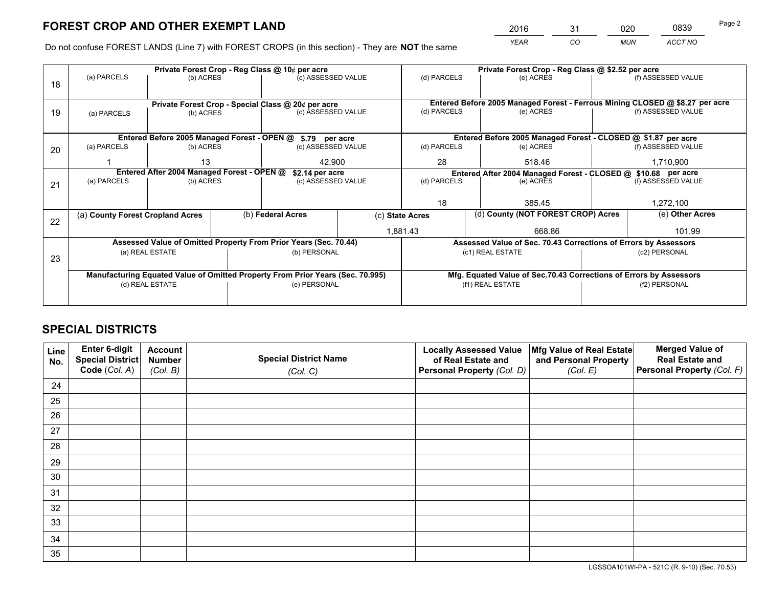*YEAR CO MUN ACCT NO* <sup>2016</sup> <sup>31</sup> <sup>020</sup> <sup>0839</sup>

Do not confuse FOREST LANDS (Line 7) with FOREST CROPS (in this section) - They are **NOT** the same

|    |                                  |                                            |  | Private Forest Crop - Reg Class @ 10¢ per acre                                 |                    |                                                                              | Private Forest Crop - Reg Class @ \$2.52 per acre               |           |                    |  |
|----|----------------------------------|--------------------------------------------|--|--------------------------------------------------------------------------------|--------------------|------------------------------------------------------------------------------|-----------------------------------------------------------------|-----------|--------------------|--|
| 18 | (a) PARCELS                      | (b) ACRES                                  |  | (c) ASSESSED VALUE                                                             |                    | (d) PARCELS                                                                  | (e) ACRES                                                       |           | (f) ASSESSED VALUE |  |
|    |                                  |                                            |  |                                                                                |                    |                                                                              |                                                                 |           |                    |  |
|    |                                  |                                            |  | Private Forest Crop - Special Class @ 20¢ per acre                             |                    | Entered Before 2005 Managed Forest - Ferrous Mining CLOSED @ \$8.27 per acre |                                                                 |           |                    |  |
| 19 | (a) PARCELS                      | (b) ACRES                                  |  | (c) ASSESSED VALUE                                                             |                    | (d) PARCELS                                                                  | (e) ACRES                                                       |           | (f) ASSESSED VALUE |  |
|    |                                  |                                            |  |                                                                                |                    |                                                                              |                                                                 |           |                    |  |
|    |                                  |                                            |  | Entered Before 2005 Managed Forest - OPEN @ \$.79 per acre                     |                    |                                                                              | Entered Before 2005 Managed Forest - CLOSED @ \$1.87 per acre   |           |                    |  |
| 20 | (a) PARCELS                      | (b) ACRES<br>(c) ASSESSED VALUE            |  | (d) PARCELS                                                                    | (e) ACRES          |                                                                              | (f) ASSESSED VALUE                                              |           |                    |  |
|    |                                  | 13<br>42.900                               |  |                                                                                | 28                 | 518.46                                                                       |                                                                 | 1,710,900 |                    |  |
|    |                                  | Entered After 2004 Managed Forest - OPEN @ |  | \$2.14 per acre                                                                |                    |                                                                              | Entered After 2004 Managed Forest - CLOSED @ \$10.68 per acre   |           |                    |  |
| 21 | (a) PARCELS                      | (b) ACRES                                  |  |                                                                                | (c) ASSESSED VALUE |                                                                              | (e) ACRES                                                       |           | (f) ASSESSED VALUE |  |
|    |                                  |                                            |  |                                                                                |                    |                                                                              |                                                                 |           |                    |  |
|    |                                  |                                            |  |                                                                                |                    | 18                                                                           | 385.45                                                          |           | 1,272,100          |  |
|    | (a) County Forest Cropland Acres |                                            |  | (b) Federal Acres                                                              |                    | (d) County (NOT FOREST CROP) Acres<br>(c) State Acres                        |                                                                 |           | (e) Other Acres    |  |
| 22 |                                  |                                            |  |                                                                                |                    | 1,881.43                                                                     | 668.86                                                          |           | 101.99             |  |
|    |                                  |                                            |  |                                                                                |                    |                                                                              |                                                                 |           |                    |  |
|    |                                  |                                            |  | Assessed Value of Omitted Property From Prior Years (Sec. 70.44)               |                    |                                                                              | Assessed Value of Sec. 70.43 Corrections of Errors by Assessors |           |                    |  |
| 23 |                                  | (a) REAL ESTATE                            |  | (b) PERSONAL                                                                   |                    |                                                                              | (c1) REAL ESTATE                                                |           | (c2) PERSONAL      |  |
|    |                                  |                                            |  |                                                                                |                    |                                                                              |                                                                 |           |                    |  |
|    |                                  |                                            |  | Manufacturing Equated Value of Omitted Property From Prior Years (Sec. 70.995) |                    | Mfg. Equated Value of Sec.70.43 Corrections of Errors by Assessors           |                                                                 |           |                    |  |
|    |                                  | (d) REAL ESTATE                            |  | (e) PERSONAL                                                                   |                    |                                                                              | (f1) REAL ESTATE                                                |           | (f2) PERSONAL      |  |
|    |                                  |                                            |  |                                                                                |                    |                                                                              |                                                                 |           |                    |  |

## **SPECIAL DISTRICTS**

| Line<br>No. | Enter 6-digit<br>Special District<br>Code (Col. A) | <b>Account</b><br><b>Number</b> | <b>Special District Name</b> | <b>Locally Assessed Value</b><br>of Real Estate and | Mfg Value of Real Estate<br>and Personal Property | <b>Merged Value of</b><br><b>Real Estate and</b><br>Personal Property (Col. F) |
|-------------|----------------------------------------------------|---------------------------------|------------------------------|-----------------------------------------------------|---------------------------------------------------|--------------------------------------------------------------------------------|
|             |                                                    | (Col. B)                        | (Col. C)                     | Personal Property (Col. D)                          | (Col. E)                                          |                                                                                |
| 24          |                                                    |                                 |                              |                                                     |                                                   |                                                                                |
| 25          |                                                    |                                 |                              |                                                     |                                                   |                                                                                |
| 26          |                                                    |                                 |                              |                                                     |                                                   |                                                                                |
| 27          |                                                    |                                 |                              |                                                     |                                                   |                                                                                |
| 28          |                                                    |                                 |                              |                                                     |                                                   |                                                                                |
| 29          |                                                    |                                 |                              |                                                     |                                                   |                                                                                |
| 30          |                                                    |                                 |                              |                                                     |                                                   |                                                                                |
| 31          |                                                    |                                 |                              |                                                     |                                                   |                                                                                |
| 32          |                                                    |                                 |                              |                                                     |                                                   |                                                                                |
| 33          |                                                    |                                 |                              |                                                     |                                                   |                                                                                |
| 34          |                                                    |                                 |                              |                                                     |                                                   |                                                                                |
| 35          |                                                    |                                 |                              |                                                     |                                                   |                                                                                |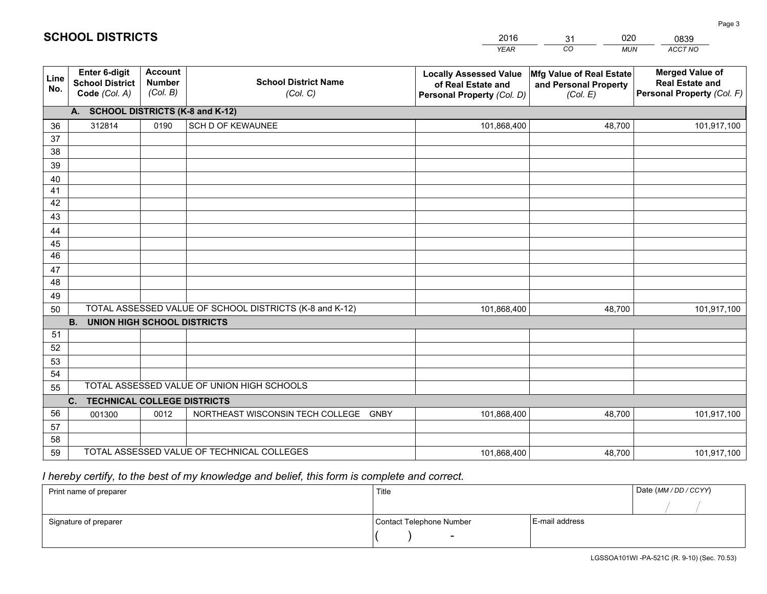|             |                                                                 |                                             |                                                         | <b>YEAR</b>                                                                       | CO<br><b>MUN</b>                                              | ACCT NO                                                                        |
|-------------|-----------------------------------------------------------------|---------------------------------------------|---------------------------------------------------------|-----------------------------------------------------------------------------------|---------------------------------------------------------------|--------------------------------------------------------------------------------|
| Line<br>No. | <b>Enter 6-digit</b><br><b>School District</b><br>Code (Col. A) | <b>Account</b><br><b>Number</b><br>(Col. B) | <b>School District Name</b><br>(Col. C)                 | <b>Locally Assessed Value</b><br>of Real Estate and<br>Personal Property (Col. D) | Mfg Value of Real Estate<br>and Personal Property<br>(Col. E) | <b>Merged Value of</b><br><b>Real Estate and</b><br>Personal Property (Col. F) |
|             | A. SCHOOL DISTRICTS (K-8 and K-12)                              |                                             |                                                         |                                                                                   |                                                               |                                                                                |
| 36          | 312814                                                          | 0190                                        | SCH D OF KEWAUNEE                                       | 101,868,400                                                                       | 48,700                                                        | 101,917,100                                                                    |
| 37          |                                                                 |                                             |                                                         |                                                                                   |                                                               |                                                                                |
| 38          |                                                                 |                                             |                                                         |                                                                                   |                                                               |                                                                                |
| 39          |                                                                 |                                             |                                                         |                                                                                   |                                                               |                                                                                |
| 40          |                                                                 |                                             |                                                         |                                                                                   |                                                               |                                                                                |
| 41          |                                                                 |                                             |                                                         |                                                                                   |                                                               |                                                                                |
| 42          |                                                                 |                                             |                                                         |                                                                                   |                                                               |                                                                                |
| 43          |                                                                 |                                             |                                                         |                                                                                   |                                                               |                                                                                |
| 44          |                                                                 |                                             |                                                         |                                                                                   |                                                               |                                                                                |
| 45<br>46    |                                                                 |                                             |                                                         |                                                                                   |                                                               |                                                                                |
| 47          |                                                                 |                                             |                                                         |                                                                                   |                                                               |                                                                                |
| 48          |                                                                 |                                             |                                                         |                                                                                   |                                                               |                                                                                |
| 49          |                                                                 |                                             |                                                         |                                                                                   |                                                               |                                                                                |
| 50          |                                                                 |                                             | TOTAL ASSESSED VALUE OF SCHOOL DISTRICTS (K-8 and K-12) | 101,868,400                                                                       | 48,700                                                        | 101,917,100                                                                    |
|             | <b>B.</b><br><b>UNION HIGH SCHOOL DISTRICTS</b>                 |                                             |                                                         |                                                                                   |                                                               |                                                                                |
| 51          |                                                                 |                                             |                                                         |                                                                                   |                                                               |                                                                                |
| 52          |                                                                 |                                             |                                                         |                                                                                   |                                                               |                                                                                |
| 53          |                                                                 |                                             |                                                         |                                                                                   |                                                               |                                                                                |
| 54          |                                                                 |                                             |                                                         |                                                                                   |                                                               |                                                                                |
| 55          |                                                                 |                                             | TOTAL ASSESSED VALUE OF UNION HIGH SCHOOLS              |                                                                                   |                                                               |                                                                                |
|             | C.<br><b>TECHNICAL COLLEGE DISTRICTS</b>                        |                                             |                                                         |                                                                                   |                                                               |                                                                                |
| 56          | 001300                                                          | 0012                                        | NORTHEAST WISCONSIN TECH COLLEGE<br><b>GNBY</b>         | 101,868,400                                                                       | 48,700                                                        | 101,917,100                                                                    |
| 57          |                                                                 |                                             |                                                         |                                                                                   |                                                               |                                                                                |
| 58          |                                                                 |                                             |                                                         |                                                                                   |                                                               |                                                                                |
| 59          |                                                                 |                                             | TOTAL ASSESSED VALUE OF TECHNICAL COLLEGES              | 101,868,400                                                                       | 48,700                                                        | 101,917,100                                                                    |

31

020

## *I hereby certify, to the best of my knowledge and belief, this form is complete and correct.*

**SCHOOL DISTRICTS**

| Print name of preparer | Title                    |                | Date (MM / DD / CCYY) |
|------------------------|--------------------------|----------------|-----------------------|
|                        |                          |                |                       |
| Signature of preparer  | Contact Telephone Number | E-mail address |                       |
|                        | $\overline{\phantom{0}}$ |                |                       |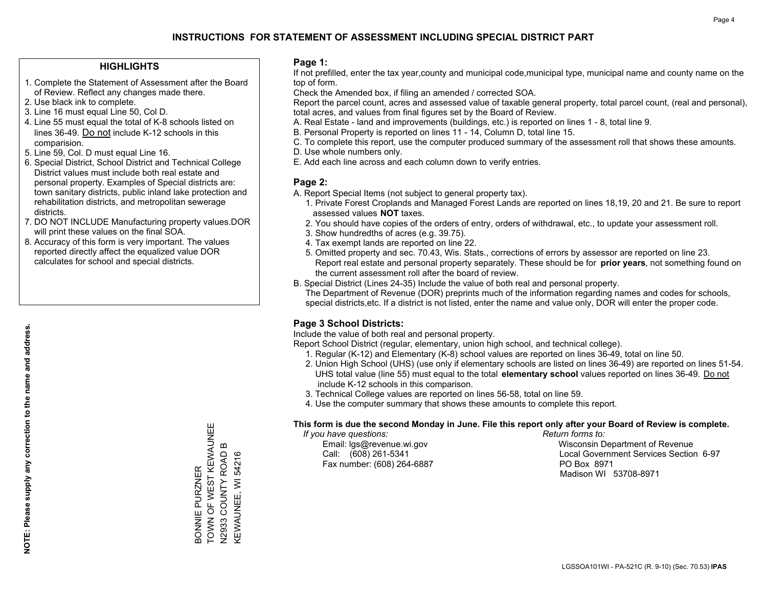## **HIGHLIGHTS**

- 1. Complete the Statement of Assessment after the Board of Review. Reflect any changes made there.
- 2. Use black ink to complete.
- 3. Line 16 must equal Line 50, Col D.
- 4. Line 55 must equal the total of K-8 schools listed on lines 36-49. Do not include K-12 schools in this comparision.
- 5. Line 59, Col. D must equal Line 16.
- 6. Special District, School District and Technical College District values must include both real estate and personal property. Examples of Special districts are: town sanitary districts, public inland lake protection and rehabilitation districts, and metropolitan sewerage districts.
- 7. DO NOT INCLUDE Manufacturing property values.DOR will print these values on the final SOA.
- 8. Accuracy of this form is very important. The values reported directly affect the equalized value DOR calculates for school and special districts.

### **Page 1:**

 If not prefilled, enter the tax year,county and municipal code,municipal type, municipal name and county name on the top of form.

Check the Amended box, if filing an amended / corrected SOA.

 Report the parcel count, acres and assessed value of taxable general property, total parcel count, (real and personal), total acres, and values from final figures set by the Board of Review.

- A. Real Estate land and improvements (buildings, etc.) is reported on lines 1 8, total line 9.
- B. Personal Property is reported on lines 11 14, Column D, total line 15.
- C. To complete this report, use the computer produced summary of the assessment roll that shows these amounts.
- D. Use whole numbers only.
- E. Add each line across and each column down to verify entries.

## **Page 2:**

- A. Report Special Items (not subject to general property tax).
- 1. Private Forest Croplands and Managed Forest Lands are reported on lines 18,19, 20 and 21. Be sure to report assessed values **NOT** taxes.
- 2. You should have copies of the orders of entry, orders of withdrawal, etc., to update your assessment roll.
	- 3. Show hundredths of acres (e.g. 39.75).
- 4. Tax exempt lands are reported on line 22.
- 5. Omitted property and sec. 70.43, Wis. Stats., corrections of errors by assessor are reported on line 23. Report real estate and personal property separately. These should be for **prior years**, not something found on the current assessment roll after the board of review.
- B. Special District (Lines 24-35) Include the value of both real and personal property.
- The Department of Revenue (DOR) preprints much of the information regarding names and codes for schools, special districts,etc. If a district is not listed, enter the name and value only, DOR will enter the proper code.

## **Page 3 School Districts:**

Include the value of both real and personal property.

Report School District (regular, elementary, union high school, and technical college).

- 1. Regular (K-12) and Elementary (K-8) school values are reported on lines 36-49, total on line 50.
- 2. Union High School (UHS) (use only if elementary schools are listed on lines 36-49) are reported on lines 51-54. UHS total value (line 55) must equal to the total **elementary school** values reported on lines 36-49. Do notinclude K-12 schools in this comparison.
- 3. Technical College values are reported on lines 56-58, total on line 59.
- 4. Use the computer summary that shows these amounts to complete this report.

#### **This form is due the second Monday in June. File this report only after your Board of Review is complete.**

 *If you have questions: Return forms to:*

Fax number: (608) 264-6887 PO Box 8971

 Email: lgs@revenue.wi.gov Wisconsin Department of Revenue Call: (608) 261-5341 Local Government Services Section 6-97Madison WI 53708-8971

BONNIE PURZNER<br>TOWN OF WEST KEWAUNEE TOWN OF WEST KEWAUNEE  $\boldsymbol{\Omega}$ N2933 COUNTY ROAD B N2933 COUNTY ROAD KEWAUNEE, WI 54216 KEWAUNEE, WI 54216 BONNIE PURZNER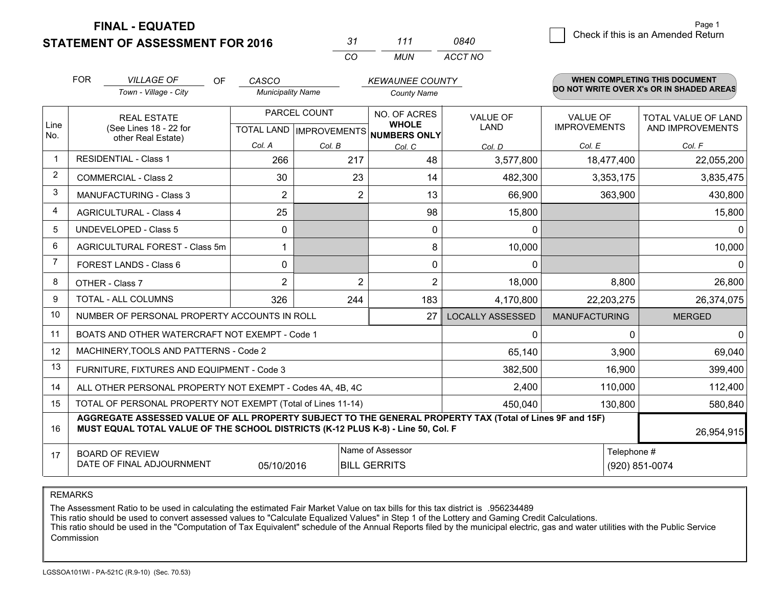## **STATEMENT OF ASSESSMENT FOR 2016**

*CO MUN <sup>31</sup> <sup>111</sup> ACCT NO0840*

|                | <b>FOR</b><br><b>VILLAGE OF</b><br><b>OF</b><br>CASCO<br><b>Municipality Name</b>                                                                                                            |  |                | WHEN COMPLETING THIS DOCUMENT<br><b>KEWAUNEE COUNTY</b><br>DO NOT WRITE OVER X's OR IN SHADED AREAS |                                     |                         |                                        |                            |
|----------------|----------------------------------------------------------------------------------------------------------------------------------------------------------------------------------------------|--|----------------|-----------------------------------------------------------------------------------------------------|-------------------------------------|-------------------------|----------------------------------------|----------------------------|
|                | Town - Village - City                                                                                                                                                                        |  |                |                                                                                                     | <b>County Name</b>                  |                         |                                        |                            |
| Line           | <b>REAL ESTATE</b>                                                                                                                                                                           |  |                | PARCEL COUNT                                                                                        | NO. OF ACRES<br><b>WHOLE</b>        | <b>VALUE OF</b><br>LAND | <b>VALUE OF</b><br><b>IMPROVEMENTS</b> | <b>TOTAL VALUE OF LAND</b> |
| No.            | (See Lines 18 - 22 for<br>other Real Estate)                                                                                                                                                 |  |                |                                                                                                     | TOTAL LAND MPROVEMENTS NUMBERS ONLY |                         |                                        | AND IMPROVEMENTS           |
|                |                                                                                                                                                                                              |  | Col. A         | Col. B                                                                                              | Col. C                              | Col. D                  | Col. E                                 | Col. F                     |
| $\mathbf 1$    | <b>RESIDENTIAL - Class 1</b>                                                                                                                                                                 |  | 266            | 217                                                                                                 | 48                                  | 3,577,800               | 18,477,400                             | 22,055,200                 |
| 2              | <b>COMMERCIAL - Class 2</b>                                                                                                                                                                  |  | 30             | 23                                                                                                  | 14                                  | 482,300                 | 3,353,175                              | 3,835,475                  |
| 3              | <b>MANUFACTURING - Class 3</b>                                                                                                                                                               |  | $\overline{2}$ | $\overline{2}$                                                                                      | 13                                  | 66,900                  | 363,900                                | 430,800                    |
| 4              | <b>AGRICULTURAL - Class 4</b>                                                                                                                                                                |  | 25             |                                                                                                     | 98                                  | 15,800                  |                                        | 15,800                     |
| 5              | <b>UNDEVELOPED - Class 5</b>                                                                                                                                                                 |  | 0              |                                                                                                     | $\Omega$                            | $\Omega$                |                                        | 0                          |
| 6              | AGRICULTURAL FOREST - Class 5m                                                                                                                                                               |  | 1              |                                                                                                     | 8                                   | 10,000                  |                                        | 10,000                     |
| $\overline{7}$ | FOREST LANDS - Class 6                                                                                                                                                                       |  | 0              |                                                                                                     | 0                                   | $\Omega$                |                                        | 0                          |
| 8              | OTHER - Class 7                                                                                                                                                                              |  | $\overline{2}$ | $\overline{2}$                                                                                      | $\overline{2}$                      | 18,000                  | 8,800                                  | 26,800                     |
| 9              | TOTAL - ALL COLUMNS                                                                                                                                                                          |  | 326            | 244                                                                                                 | 183                                 | 4,170,800               | 22,203,275                             | 26,374,075                 |
| 10             | NUMBER OF PERSONAL PROPERTY ACCOUNTS IN ROLL                                                                                                                                                 |  |                |                                                                                                     | 27                                  | <b>LOCALLY ASSESSED</b> | <b>MANUFACTURING</b>                   | <b>MERGED</b>              |
| 11             | BOATS AND OTHER WATERCRAFT NOT EXEMPT - Code 1                                                                                                                                               |  |                |                                                                                                     |                                     | 0                       | 0                                      | 0                          |
| 12             | MACHINERY, TOOLS AND PATTERNS - Code 2                                                                                                                                                       |  |                |                                                                                                     |                                     | 65,140                  | 3,900                                  | 69,040                     |
| 13             | FURNITURE, FIXTURES AND EQUIPMENT - Code 3                                                                                                                                                   |  |                |                                                                                                     |                                     | 382,500                 | 16,900                                 | 399,400                    |
| 14             | ALL OTHER PERSONAL PROPERTY NOT EXEMPT - Codes 4A, 4B, 4C                                                                                                                                    |  |                |                                                                                                     |                                     | 2,400                   | 110,000                                | 112,400                    |
| 15             | TOTAL OF PERSONAL PROPERTY NOT EXEMPT (Total of Lines 11-14)                                                                                                                                 |  |                |                                                                                                     |                                     | 450,040                 | 130,800                                | 580,840                    |
| 16             | AGGREGATE ASSESSED VALUE OF ALL PROPERTY SUBJECT TO THE GENERAL PROPERTY TAX (Total of Lines 9F and 15F)<br>MUST EQUAL TOTAL VALUE OF THE SCHOOL DISTRICTS (K-12 PLUS K-8) - Line 50, Col. F |  |                |                                                                                                     |                                     |                         |                                        | 26,954,915                 |
| 17             | <b>BOARD OF REVIEW</b>                                                                                                                                                                       |  |                |                                                                                                     | Name of Assessor                    |                         |                                        | Telephone #                |
|                | DATE OF FINAL ADJOURNMENT                                                                                                                                                                    |  | 05/10/2016     |                                                                                                     | <b>BILL GERRITS</b>                 |                         |                                        | (920) 851-0074             |

REMARKS

The Assessment Ratio to be used in calculating the estimated Fair Market Value on tax bills for this tax district is .956234489<br>This ratio should be used to convert assessed values to "Calculate Equalized Values" in Step 1 Commission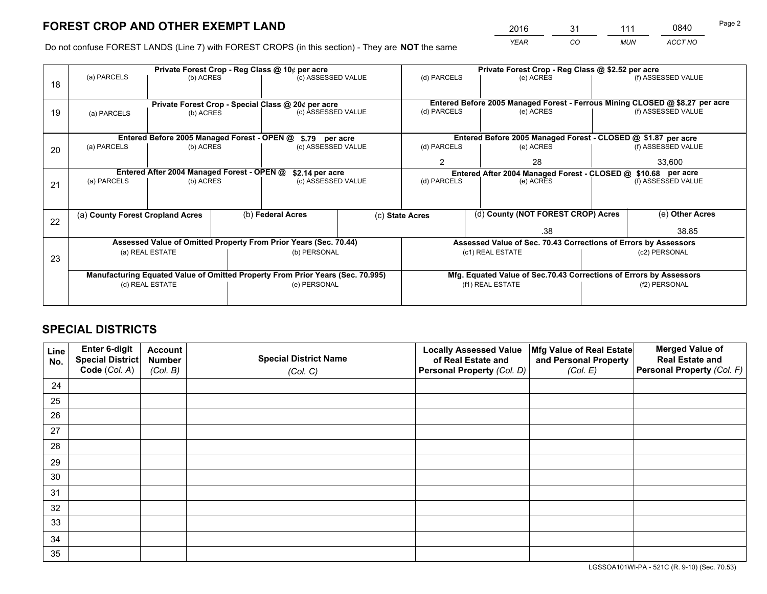*YEAR CO MUN ACCT NO* <sup>2016</sup> <sup>31</sup> <sup>111</sup> <sup>0840</sup>

Do not confuse FOREST LANDS (Line 7) with FOREST CROPS (in this section) - They are **NOT** the same

| (a) PARCELS              |           |                                                     | Private Forest Crop - Reg Class @ 10¢ per acre |                                                                                                                | Private Forest Crop - Reg Class @ \$2.52 per acre                                                                                                                                                                                                                                                         |                                                                 |                                                                      |                                                                                                                                                                                                                                                                                                                                                                                               |
|--------------------------|-----------|-----------------------------------------------------|------------------------------------------------|----------------------------------------------------------------------------------------------------------------|-----------------------------------------------------------------------------------------------------------------------------------------------------------------------------------------------------------------------------------------------------------------------------------------------------------|-----------------------------------------------------------------|----------------------------------------------------------------------|-----------------------------------------------------------------------------------------------------------------------------------------------------------------------------------------------------------------------------------------------------------------------------------------------------------------------------------------------------------------------------------------------|
|                          | (b) ACRES |                                                     | (c) ASSESSED VALUE                             |                                                                                                                | (d) PARCELS                                                                                                                                                                                                                                                                                               | (e) ACRES                                                       |                                                                      | (f) ASSESSED VALUE                                                                                                                                                                                                                                                                                                                                                                            |
|                          |           |                                                     |                                                |                                                                                                                |                                                                                                                                                                                                                                                                                                           |                                                                 |                                                                      |                                                                                                                                                                                                                                                                                                                                                                                               |
| (b) ACRES<br>(a) PARCELS |           |                                                     | (c) ASSESSED VALUE                             |                                                                                                                | (d) PARCELS                                                                                                                                                                                                                                                                                               | (e) ACRES                                                       |                                                                      | (f) ASSESSED VALUE                                                                                                                                                                                                                                                                                                                                                                            |
|                          |           |                                                     |                                                |                                                                                                                |                                                                                                                                                                                                                                                                                                           |                                                                 |                                                                      |                                                                                                                                                                                                                                                                                                                                                                                               |
| (a) PARCELS              |           |                                                     |                                                |                                                                                                                |                                                                                                                                                                                                                                                                                                           |                                                                 |                                                                      | (f) ASSESSED VALUE                                                                                                                                                                                                                                                                                                                                                                            |
|                          |           |                                                     |                                                |                                                                                                                |                                                                                                                                                                                                                                                                                                           |                                                                 |                                                                      |                                                                                                                                                                                                                                                                                                                                                                                               |
|                          |           |                                                     |                                                |                                                                                                                |                                                                                                                                                                                                                                                                                                           |                                                                 | 33,600                                                               |                                                                                                                                                                                                                                                                                                                                                                                               |
|                          |           |                                                     |                                                |                                                                                                                |                                                                                                                                                                                                                                                                                                           |                                                                 |                                                                      |                                                                                                                                                                                                                                                                                                                                                                                               |
| (a) PARCELS              |           |                                                     |                                                |                                                                                                                |                                                                                                                                                                                                                                                                                                           | (f) ASSESSED VALUE                                              |                                                                      |                                                                                                                                                                                                                                                                                                                                                                                               |
|                          |           |                                                     |                                                |                                                                                                                |                                                                                                                                                                                                                                                                                                           |                                                                 |                                                                      |                                                                                                                                                                                                                                                                                                                                                                                               |
|                          |           |                                                     |                                                |                                                                                                                |                                                                                                                                                                                                                                                                                                           |                                                                 |                                                                      | (e) Other Acres                                                                                                                                                                                                                                                                                                                                                                               |
|                          |           |                                                     |                                                |                                                                                                                | .38                                                                                                                                                                                                                                                                                                       |                                                                 |                                                                      | 38.85                                                                                                                                                                                                                                                                                                                                                                                         |
|                          |           |                                                     |                                                |                                                                                                                |                                                                                                                                                                                                                                                                                                           |                                                                 |                                                                      |                                                                                                                                                                                                                                                                                                                                                                                               |
|                          |           |                                                     |                                                |                                                                                                                |                                                                                                                                                                                                                                                                                                           |                                                                 |                                                                      | (c2) PERSONAL                                                                                                                                                                                                                                                                                                                                                                                 |
|                          |           |                                                     |                                                |                                                                                                                |                                                                                                                                                                                                                                                                                                           |                                                                 |                                                                      |                                                                                                                                                                                                                                                                                                                                                                                               |
|                          |           |                                                     |                                                |                                                                                                                |                                                                                                                                                                                                                                                                                                           |                                                                 |                                                                      |                                                                                                                                                                                                                                                                                                                                                                                               |
| (d) REAL ESTATE          |           |                                                     | (e) PERSONAL                                   |                                                                                                                |                                                                                                                                                                                                                                                                                                           |                                                                 | (f2) PERSONAL                                                        |                                                                                                                                                                                                                                                                                                                                                                                               |
|                          |           |                                                     |                                                |                                                                                                                |                                                                                                                                                                                                                                                                                                           |                                                                 |                                                                      |                                                                                                                                                                                                                                                                                                                                                                                               |
|                          |           | (a) County Forest Cropland Acres<br>(a) REAL ESTATE | (b) ACRES<br>(b) ACRES                         | Entered Before 2005 Managed Forest - OPEN @<br>Entered After 2004 Managed Forest - OPEN @<br>(b) Federal Acres | Private Forest Crop - Special Class @ 20¢ per acre<br>\$.79 per acre<br>(c) ASSESSED VALUE<br>\$2.14 per acre<br>(c) ASSESSED VALUE<br>Assessed Value of Omitted Property From Prior Years (Sec. 70.44)<br>(b) PERSONAL<br>Manufacturing Equated Value of Omitted Property From Prior Years (Sec. 70.995) | (d) PARCELS<br>$\overline{2}$<br>(d) PARCELS<br>(c) State Acres | (e) ACRES<br>28<br>(e) ACRES<br>(c1) REAL ESTATE<br>(f1) REAL ESTATE | Entered Before 2005 Managed Forest - Ferrous Mining CLOSED @ \$8.27 per acre<br>Entered Before 2005 Managed Forest - CLOSED @ \$1.87 per acre<br>Entered After 2004 Managed Forest - CLOSED @ \$10.68 per acre<br>(d) County (NOT FOREST CROP) Acres<br>Assessed Value of Sec. 70.43 Corrections of Errors by Assessors<br>Mfg. Equated Value of Sec.70.43 Corrections of Errors by Assessors |

## **SPECIAL DISTRICTS**

| Line<br>No. | Enter 6-digit<br><b>Special District</b> | <b>Account</b><br><b>Number</b> | <b>Special District Name</b> | <b>Locally Assessed Value</b><br>of Real Estate and | Mfg Value of Real Estate<br>and Personal Property | <b>Merged Value of</b><br><b>Real Estate and</b> |
|-------------|------------------------------------------|---------------------------------|------------------------------|-----------------------------------------------------|---------------------------------------------------|--------------------------------------------------|
|             | Code (Col. A)                            | (Col. B)                        | (Col. C)                     | Personal Property (Col. D)                          | (Col. E)                                          | Personal Property (Col. F)                       |
| 24          |                                          |                                 |                              |                                                     |                                                   |                                                  |
| 25          |                                          |                                 |                              |                                                     |                                                   |                                                  |
| 26          |                                          |                                 |                              |                                                     |                                                   |                                                  |
| 27          |                                          |                                 |                              |                                                     |                                                   |                                                  |
| 28          |                                          |                                 |                              |                                                     |                                                   |                                                  |
| 29          |                                          |                                 |                              |                                                     |                                                   |                                                  |
| 30          |                                          |                                 |                              |                                                     |                                                   |                                                  |
| 31          |                                          |                                 |                              |                                                     |                                                   |                                                  |
| 32          |                                          |                                 |                              |                                                     |                                                   |                                                  |
| 33          |                                          |                                 |                              |                                                     |                                                   |                                                  |
| 34          |                                          |                                 |                              |                                                     |                                                   |                                                  |
| 35          |                                          |                                 |                              |                                                     |                                                   |                                                  |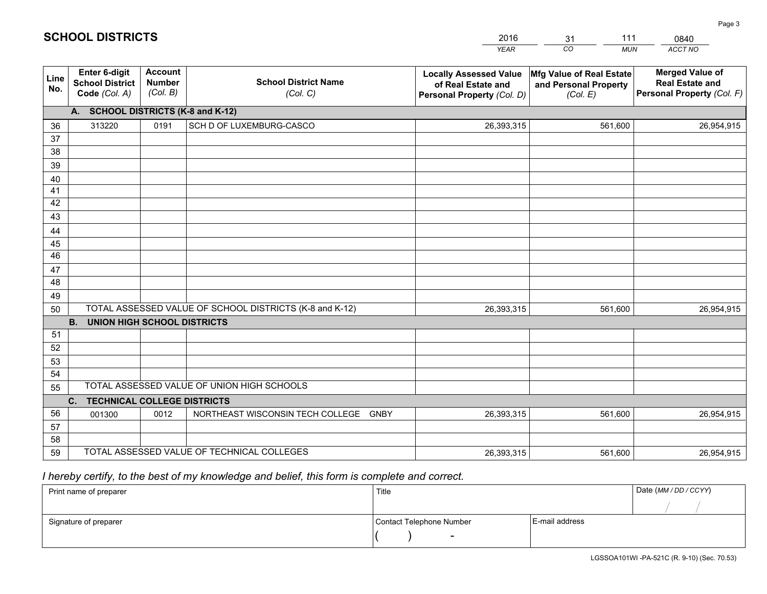|             |                                                                 |                                             |                                                         | <b>YEAR</b>                                                                       | CO<br><b>MUN</b>                                              | ACCT NO                                                                        |
|-------------|-----------------------------------------------------------------|---------------------------------------------|---------------------------------------------------------|-----------------------------------------------------------------------------------|---------------------------------------------------------------|--------------------------------------------------------------------------------|
| Line<br>No. | <b>Enter 6-digit</b><br><b>School District</b><br>Code (Col. A) | <b>Account</b><br><b>Number</b><br>(Col. B) | <b>School District Name</b><br>(Col. C)                 | <b>Locally Assessed Value</b><br>of Real Estate and<br>Personal Property (Col. D) | Mfg Value of Real Estate<br>and Personal Property<br>(Col. E) | <b>Merged Value of</b><br><b>Real Estate and</b><br>Personal Property (Col. F) |
|             | A. SCHOOL DISTRICTS (K-8 and K-12)                              |                                             |                                                         |                                                                                   |                                                               |                                                                                |
| 36          | 313220                                                          | 0191                                        | SCH D OF LUXEMBURG-CASCO                                | 26,393,315                                                                        | 561,600                                                       | 26,954,915                                                                     |
| 37          |                                                                 |                                             |                                                         |                                                                                   |                                                               |                                                                                |
| 38          |                                                                 |                                             |                                                         |                                                                                   |                                                               |                                                                                |
| 39          |                                                                 |                                             |                                                         |                                                                                   |                                                               |                                                                                |
| 40          |                                                                 |                                             |                                                         |                                                                                   |                                                               |                                                                                |
| 41          |                                                                 |                                             |                                                         |                                                                                   |                                                               |                                                                                |
| 42<br>43    |                                                                 |                                             |                                                         |                                                                                   |                                                               |                                                                                |
| 44          |                                                                 |                                             |                                                         |                                                                                   |                                                               |                                                                                |
| 45          |                                                                 |                                             |                                                         |                                                                                   |                                                               |                                                                                |
| 46          |                                                                 |                                             |                                                         |                                                                                   |                                                               |                                                                                |
| 47          |                                                                 |                                             |                                                         |                                                                                   |                                                               |                                                                                |
| 48          |                                                                 |                                             |                                                         |                                                                                   |                                                               |                                                                                |
| 49          |                                                                 |                                             |                                                         |                                                                                   |                                                               |                                                                                |
| 50          |                                                                 |                                             | TOTAL ASSESSED VALUE OF SCHOOL DISTRICTS (K-8 and K-12) | 26,393,315                                                                        | 561,600                                                       | 26,954,915                                                                     |
|             | <b>B.</b><br><b>UNION HIGH SCHOOL DISTRICTS</b>                 |                                             |                                                         |                                                                                   |                                                               |                                                                                |
| 51          |                                                                 |                                             |                                                         |                                                                                   |                                                               |                                                                                |
| 52          |                                                                 |                                             |                                                         |                                                                                   |                                                               |                                                                                |
| 53          |                                                                 |                                             |                                                         |                                                                                   |                                                               |                                                                                |
| 54          |                                                                 |                                             |                                                         |                                                                                   |                                                               |                                                                                |
| 55          |                                                                 |                                             | TOTAL ASSESSED VALUE OF UNION HIGH SCHOOLS              |                                                                                   |                                                               |                                                                                |
|             | C.<br><b>TECHNICAL COLLEGE DISTRICTS</b>                        |                                             |                                                         |                                                                                   |                                                               |                                                                                |
| 56          | 001300                                                          | 0012                                        | NORTHEAST WISCONSIN TECH COLLEGE<br><b>GNBY</b>         | 26,393,315                                                                        | 561,600                                                       | 26,954,915                                                                     |
| 57<br>58    |                                                                 |                                             |                                                         |                                                                                   |                                                               |                                                                                |
| 59          |                                                                 |                                             | TOTAL ASSESSED VALUE OF TECHNICAL COLLEGES              | 26,393,315                                                                        | 561,600                                                       | 26,954,915                                                                     |
|             |                                                                 |                                             |                                                         |                                                                                   |                                                               |                                                                                |

## *I hereby certify, to the best of my knowledge and belief, this form is complete and correct.*

| Print name of preparer | Title                    | Date (MM / DD / CCYY) |  |
|------------------------|--------------------------|-----------------------|--|
|                        |                          |                       |  |
| Signature of preparer  | Contact Telephone Number | E-mail address        |  |
|                        | $\overline{\phantom{0}}$ |                       |  |

Page 3

|  |  | <b>SCHOOL DISTRICTS</b> |  |
|--|--|-------------------------|--|
|  |  |                         |  |

31

2016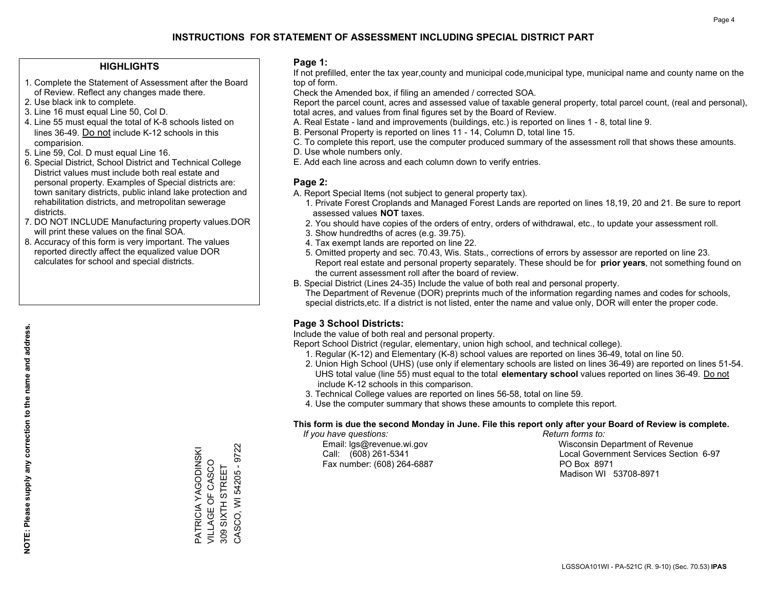## **HIGHLIGHTS**

- 1. Complete the Statement of Assessment after the Board of Review. Reflect any changes made there.
- 2. Use black ink to complete.
- 3. Line 16 must equal Line 50, Col D.
- 4. Line 55 must equal the total of K-8 schools listed on lines 36-49. Do not include K-12 schools in this comparision.
- 5. Line 59, Col. D must equal Line 16.
- 6. Special District, School District and Technical College District values must include both real estate and personal property. Examples of Special districts are: town sanitary districts, public inland lake protection and rehabilitation districts, and metropolitan sewerage districts.
- 7. DO NOT INCLUDE Manufacturing property values.DOR will print these values on the final SOA.
- 8. Accuracy of this form is very important. The values reported directly affect the equalized value DOR calculates for school and special districts.

### **Page 1:**

 If not prefilled, enter the tax year,county and municipal code,municipal type, municipal name and county name on the top of form.

Check the Amended box, if filing an amended / corrected SOA.

 Report the parcel count, acres and assessed value of taxable general property, total parcel count, (real and personal), total acres, and values from final figures set by the Board of Review.

- A. Real Estate land and improvements (buildings, etc.) is reported on lines 1 8, total line 9.
- B. Personal Property is reported on lines 11 14, Column D, total line 15.
- C. To complete this report, use the computer produced summary of the assessment roll that shows these amounts.
- D. Use whole numbers only.
- E. Add each line across and each column down to verify entries.

### **Page 2:**

- A. Report Special Items (not subject to general property tax).
- 1. Private Forest Croplands and Managed Forest Lands are reported on lines 18,19, 20 and 21. Be sure to report assessed values **NOT** taxes.
- 2. You should have copies of the orders of entry, orders of withdrawal, etc., to update your assessment roll.
	- 3. Show hundredths of acres (e.g. 39.75).
- 4. Tax exempt lands are reported on line 22.
- 5. Omitted property and sec. 70.43, Wis. Stats., corrections of errors by assessor are reported on line 23. Report real estate and personal property separately. These should be for **prior years**, not something found on the current assessment roll after the board of review.
- B. Special District (Lines 24-35) Include the value of both real and personal property.
- The Department of Revenue (DOR) preprints much of the information regarding names and codes for schools, special districts,etc. If a district is not listed, enter the name and value only, DOR will enter the proper code.

## **Page 3 School Districts:**

Include the value of both real and personal property.

Report School District (regular, elementary, union high school, and technical college).

- 1. Regular (K-12) and Elementary (K-8) school values are reported on lines 36-49, total on line 50.
- 2. Union High School (UHS) (use only if elementary schools are listed on lines 36-49) are reported on lines 51-54. UHS total value (line 55) must equal to the total **elementary school** values reported on lines 36-49. Do notinclude K-12 schools in this comparison.
- 3. Technical College values are reported on lines 56-58, total on line 59.
- 4. Use the computer summary that shows these amounts to complete this report.

#### **This form is due the second Monday in June. File this report only after your Board of Review is complete.**

 *If you have questions: Return forms to:*

Fax number: (608) 264-6887 PO Box 8971

 Email: lgs@revenue.wi.gov Wisconsin Department of Revenue Call: (608) 261-5341 Local Government Services Section 6-97Madison WI 53708-8971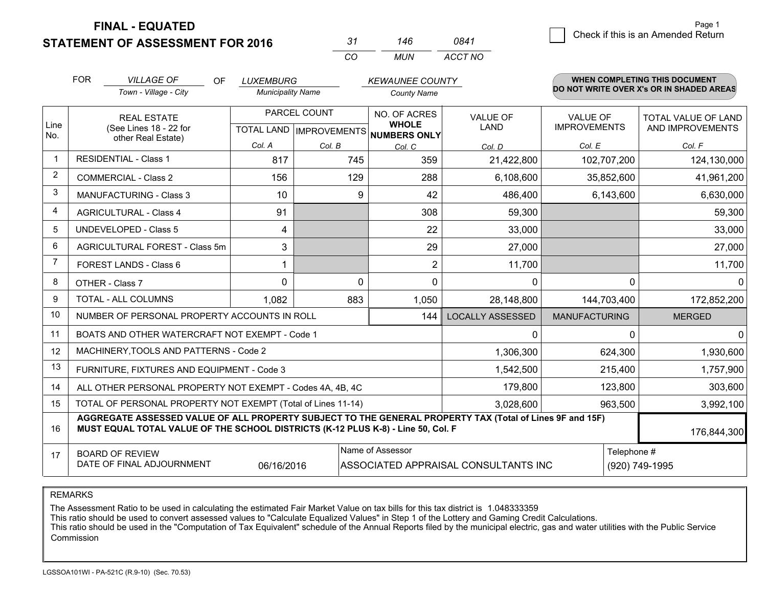**STATEMENT OF ASSESSMENT FOR 2016** 

| -31 | 146   | 0841    |
|-----|-------|---------|
| CO. | MI IN | ACCT NO |

|                         | <b>FOR</b><br><b>VILLAGE OF</b><br>OF.<br><b>LUXEMBURG</b><br>Town - Village - City<br><b>Municipality Name</b>                                                                              |            |              | <b>KEWAUNEE COUNTY</b>               |                                      |                      | WHEN COMPLETING THIS DOCUMENT<br>DO NOT WRITE OVER X's OR IN SHADED AREAS |
|-------------------------|----------------------------------------------------------------------------------------------------------------------------------------------------------------------------------------------|------------|--------------|--------------------------------------|--------------------------------------|----------------------|---------------------------------------------------------------------------|
|                         |                                                                                                                                                                                              |            |              | <b>County Name</b>                   |                                      |                      |                                                                           |
| Line                    | <b>REAL ESTATE</b>                                                                                                                                                                           |            | PARCEL COUNT | NO. OF ACRES<br><b>WHOLE</b>         | <b>VALUE OF</b>                      | VALUE OF             | TOTAL VALUE OF LAND                                                       |
| No.                     | (See Lines 18 - 22 for<br>other Real Estate)                                                                                                                                                 |            |              | TOTAL LAND IMPROVEMENTS NUMBERS ONLY | LAND                                 | <b>IMPROVEMENTS</b>  | AND IMPROVEMENTS                                                          |
|                         |                                                                                                                                                                                              | Col. A     | Col. B       | Col. C                               | Col. D                               | Col. E               | Col. F                                                                    |
| $\mathbf{1}$            | <b>RESIDENTIAL - Class 1</b>                                                                                                                                                                 | 817        | 745          | 359                                  | 21,422,800                           | 102,707,200          | 124,130,000                                                               |
| $\overline{2}$          | <b>COMMERCIAL - Class 2</b>                                                                                                                                                                  | 156        | 129          | 288                                  | 6,108,600                            | 35,852,600           | 41,961,200                                                                |
| 3                       | MANUFACTURING - Class 3                                                                                                                                                                      | 10         | 9            | 42                                   | 486,400                              | 6,143,600            | 6,630,000                                                                 |
| $\overline{\mathbf{4}}$ | <b>AGRICULTURAL - Class 4</b>                                                                                                                                                                | 91         |              | 308                                  | 59,300                               |                      | 59,300                                                                    |
| 5                       | <b>UNDEVELOPED - Class 5</b>                                                                                                                                                                 | 4          |              | 22                                   | 33,000                               |                      | 33,000                                                                    |
| 6                       | AGRICULTURAL FOREST - Class 5m                                                                                                                                                               | 3          |              | 29                                   | 27,000                               |                      | 27,000                                                                    |
| $\overline{7}$          | FOREST LANDS - Class 6                                                                                                                                                                       |            |              | $\overline{2}$                       | 11,700                               |                      | 11,700                                                                    |
| 8                       | OTHER - Class 7                                                                                                                                                                              | $\Omega$   | $\Omega$     | $\Omega$                             | $\Omega$                             | $\Omega$             | 0                                                                         |
| 9                       | TOTAL - ALL COLUMNS                                                                                                                                                                          | 1,082      | 883          | 1,050                                | 28,148,800                           | 144,703,400          | 172,852,200                                                               |
| 10                      | NUMBER OF PERSONAL PROPERTY ACCOUNTS IN ROLL                                                                                                                                                 |            |              | 144                                  | <b>LOCALLY ASSESSED</b>              | <b>MANUFACTURING</b> | <b>MERGED</b>                                                             |
| 11                      | BOATS AND OTHER WATERCRAFT NOT EXEMPT - Code 1                                                                                                                                               |            |              |                                      | 0                                    | 0                    | 0                                                                         |
| 12                      | MACHINERY, TOOLS AND PATTERNS - Code 2                                                                                                                                                       |            |              |                                      | 1,306,300                            | 624,300              | 1,930,600                                                                 |
| 13                      | FURNITURE, FIXTURES AND EQUIPMENT - Code 3                                                                                                                                                   |            |              |                                      | 1,542,500                            | 215,400              | 1,757,900                                                                 |
| 14                      | ALL OTHER PERSONAL PROPERTY NOT EXEMPT - Codes 4A, 4B, 4C                                                                                                                                    |            |              |                                      | 179,800                              | 123,800              | 303,600                                                                   |
| 15                      | TOTAL OF PERSONAL PROPERTY NOT EXEMPT (Total of Lines 11-14)                                                                                                                                 |            | 3,028,600    | 963,500                              | 3,992,100                            |                      |                                                                           |
| 16                      | AGGREGATE ASSESSED VALUE OF ALL PROPERTY SUBJECT TO THE GENERAL PROPERTY TAX (Total of Lines 9F and 15F)<br>MUST EQUAL TOTAL VALUE OF THE SCHOOL DISTRICTS (K-12 PLUS K-8) - Line 50, Col. F |            |              |                                      |                                      |                      | 176,844,300                                                               |
| 17                      | <b>BOARD OF REVIEW</b>                                                                                                                                                                       |            |              | Name of Assessor                     |                                      | Telephone #          |                                                                           |
|                         | DATE OF FINAL ADJOURNMENT                                                                                                                                                                    | 06/16/2016 |              |                                      | ASSOCIATED APPRAISAL CONSULTANTS INC |                      | (920) 749-1995                                                            |

REMARKS

The Assessment Ratio to be used in calculating the estimated Fair Market Value on tax bills for this tax district is 1.048333359

This ratio should be used to convert assessed values to "Calculate Equalized Values" in Step 1 of the Lottery and Gaming Credit Calculations.<br>This ratio should be used in the "Computation of Tax Equivalent" schedule of the Commission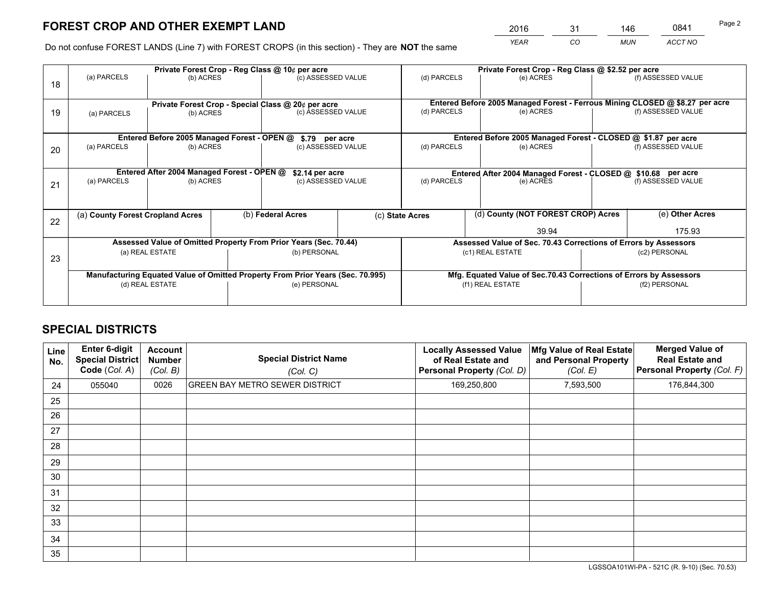*YEAR CO MUN ACCT NO* <sup>2016</sup> <sup>31</sup> <sup>146</sup> <sup>0841</sup>

Do not confuse FOREST LANDS (Line 7) with FOREST CROPS (in this section) - They are **NOT** the same

|    |                                                                                |                                             |  | Private Forest Crop - Reg Class @ 10¢ per acre                   |  |                                                                 | Private Forest Crop - Reg Class @ \$2.52 per acre                            |                                                                    |                    |  |
|----|--------------------------------------------------------------------------------|---------------------------------------------|--|------------------------------------------------------------------|--|-----------------------------------------------------------------|------------------------------------------------------------------------------|--------------------------------------------------------------------|--------------------|--|
| 18 | (a) PARCELS                                                                    | (b) ACRES                                   |  | (c) ASSESSED VALUE                                               |  | (d) PARCELS                                                     | (e) ACRES                                                                    |                                                                    | (f) ASSESSED VALUE |  |
|    |                                                                                |                                             |  |                                                                  |  |                                                                 |                                                                              |                                                                    |                    |  |
|    |                                                                                |                                             |  | Private Forest Crop - Special Class @ 20¢ per acre               |  |                                                                 | Entered Before 2005 Managed Forest - Ferrous Mining CLOSED @ \$8.27 per acre |                                                                    |                    |  |
| 19 | (a) PARCELS                                                                    | (b) ACRES                                   |  | (c) ASSESSED VALUE                                               |  | (d) PARCELS                                                     | (e) ACRES                                                                    |                                                                    | (f) ASSESSED VALUE |  |
|    |                                                                                |                                             |  |                                                                  |  |                                                                 |                                                                              |                                                                    |                    |  |
|    |                                                                                | Entered Before 2005 Managed Forest - OPEN @ |  | \$.79 per acre                                                   |  |                                                                 | Entered Before 2005 Managed Forest - CLOSED @ \$1.87 per acre                |                                                                    |                    |  |
| 20 | (a) PARCELS                                                                    | (b) ACRES                                   |  | (c) ASSESSED VALUE                                               |  | (d) PARCELS                                                     | (e) ACRES                                                                    |                                                                    | (f) ASSESSED VALUE |  |
|    |                                                                                |                                             |  |                                                                  |  |                                                                 |                                                                              |                                                                    |                    |  |
|    | Entered After 2004 Managed Forest - OPEN @                                     |                                             |  | \$2.14 per acre                                                  |  | Entered After 2004 Managed Forest - CLOSED @ \$10.68 per acre   |                                                                              |                                                                    |                    |  |
| 21 | (a) PARCELS                                                                    | (b) ACRES                                   |  | (c) ASSESSED VALUE                                               |  | (d) PARCELS<br>(e) ACRES                                        |                                                                              |                                                                    | (f) ASSESSED VALUE |  |
|    |                                                                                |                                             |  |                                                                  |  |                                                                 |                                                                              |                                                                    |                    |  |
|    |                                                                                |                                             |  |                                                                  |  |                                                                 |                                                                              |                                                                    |                    |  |
| 22 | (a) County Forest Cropland Acres                                               |                                             |  | (b) Federal Acres                                                |  | (c) State Acres                                                 | (d) County (NOT FOREST CROP) Acres                                           |                                                                    | (e) Other Acres    |  |
|    |                                                                                |                                             |  |                                                                  |  |                                                                 | 39.94                                                                        |                                                                    | 175.93             |  |
|    |                                                                                |                                             |  | Assessed Value of Omitted Property From Prior Years (Sec. 70.44) |  | Assessed Value of Sec. 70.43 Corrections of Errors by Assessors |                                                                              |                                                                    |                    |  |
| 23 |                                                                                | (a) REAL ESTATE                             |  | (b) PERSONAL                                                     |  |                                                                 | (c1) REAL ESTATE                                                             | (c2) PERSONAL                                                      |                    |  |
|    |                                                                                |                                             |  |                                                                  |  |                                                                 |                                                                              |                                                                    |                    |  |
|    | Manufacturing Equated Value of Omitted Property From Prior Years (Sec. 70.995) |                                             |  |                                                                  |  |                                                                 |                                                                              | Mfg. Equated Value of Sec.70.43 Corrections of Errors by Assessors |                    |  |
|    |                                                                                | (d) REAL ESTATE                             |  | (e) PERSONAL                                                     |  |                                                                 | (f1) REAL ESTATE                                                             |                                                                    | (f2) PERSONAL      |  |
|    |                                                                                |                                             |  |                                                                  |  |                                                                 |                                                                              |                                                                    |                    |  |

## **SPECIAL DISTRICTS**

| <b>Line</b><br>No. | Enter 6-digit<br><b>Special District</b><br>Code (Col. A) | <b>Account</b><br><b>Number</b><br>(Col. B) | <b>Special District Name</b><br>(Col. C) | <b>Locally Assessed Value</b><br>of Real Estate and<br><b>Personal Property (Col. D)</b> | Mfg Value of Real Estate<br>and Personal Property<br>(Col. E) | <b>Merged Value of</b><br><b>Real Estate and</b><br>Personal Property (Col. F) |
|--------------------|-----------------------------------------------------------|---------------------------------------------|------------------------------------------|------------------------------------------------------------------------------------------|---------------------------------------------------------------|--------------------------------------------------------------------------------|
| 24                 | 055040                                                    | 0026                                        | <b>GREEN BAY METRO SEWER DISTRICT</b>    | 169,250,800                                                                              | 7,593,500                                                     | 176,844,300                                                                    |
| 25                 |                                                           |                                             |                                          |                                                                                          |                                                               |                                                                                |
| 26                 |                                                           |                                             |                                          |                                                                                          |                                                               |                                                                                |
| 27                 |                                                           |                                             |                                          |                                                                                          |                                                               |                                                                                |
| 28                 |                                                           |                                             |                                          |                                                                                          |                                                               |                                                                                |
| 29                 |                                                           |                                             |                                          |                                                                                          |                                                               |                                                                                |
| 30                 |                                                           |                                             |                                          |                                                                                          |                                                               |                                                                                |
| 31                 |                                                           |                                             |                                          |                                                                                          |                                                               |                                                                                |
| 32                 |                                                           |                                             |                                          |                                                                                          |                                                               |                                                                                |
| 33                 |                                                           |                                             |                                          |                                                                                          |                                                               |                                                                                |
| 34                 |                                                           |                                             |                                          |                                                                                          |                                                               |                                                                                |
| 35                 |                                                           |                                             |                                          |                                                                                          |                                                               |                                                                                |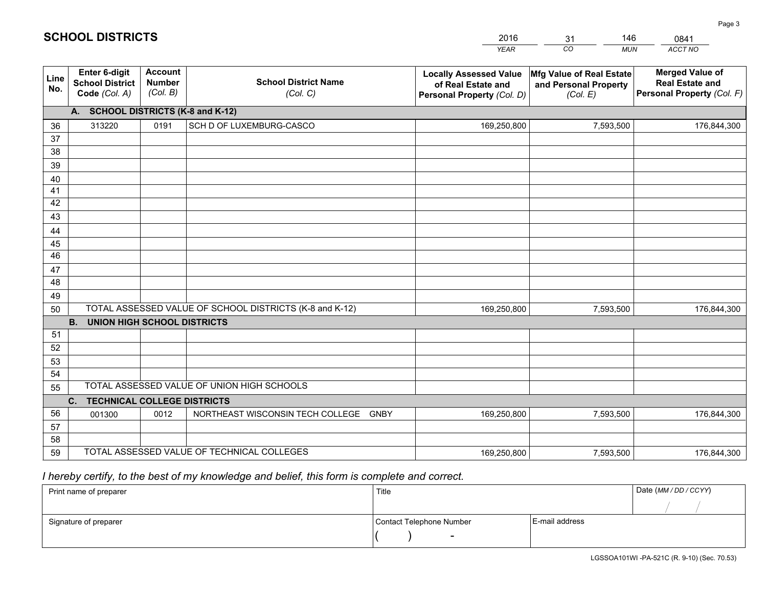|             |                                                          |                                             |                                                         | <b>YEAR</b>                                                                       | $\overline{co}$<br><b>MUN</b>                                 | ACCT NO                                                                        |
|-------------|----------------------------------------------------------|---------------------------------------------|---------------------------------------------------------|-----------------------------------------------------------------------------------|---------------------------------------------------------------|--------------------------------------------------------------------------------|
| Line<br>No. | Enter 6-digit<br><b>School District</b><br>Code (Col. A) | <b>Account</b><br><b>Number</b><br>(Col. B) | <b>School District Name</b><br>(Col. C)                 | <b>Locally Assessed Value</b><br>of Real Estate and<br>Personal Property (Col. D) | Mfg Value of Real Estate<br>and Personal Property<br>(Col. E) | <b>Merged Value of</b><br><b>Real Estate and</b><br>Personal Property (Col. F) |
|             | A. SCHOOL DISTRICTS (K-8 and K-12)                       |                                             |                                                         |                                                                                   |                                                               |                                                                                |
| 36          | 313220                                                   | 0191                                        | SCH D OF LUXEMBURG-CASCO                                | 169,250,800                                                                       | 7,593,500                                                     | 176,844,300                                                                    |
| 37          |                                                          |                                             |                                                         |                                                                                   |                                                               |                                                                                |
| 38          |                                                          |                                             |                                                         |                                                                                   |                                                               |                                                                                |
| 39          |                                                          |                                             |                                                         |                                                                                   |                                                               |                                                                                |
| 40          |                                                          |                                             |                                                         |                                                                                   |                                                               |                                                                                |
| 41<br>42    |                                                          |                                             |                                                         |                                                                                   |                                                               |                                                                                |
| 43          |                                                          |                                             |                                                         |                                                                                   |                                                               |                                                                                |
| 44          |                                                          |                                             |                                                         |                                                                                   |                                                               |                                                                                |
| 45          |                                                          |                                             |                                                         |                                                                                   |                                                               |                                                                                |
| 46          |                                                          |                                             |                                                         |                                                                                   |                                                               |                                                                                |
| 47          |                                                          |                                             |                                                         |                                                                                   |                                                               |                                                                                |
| 48          |                                                          |                                             |                                                         |                                                                                   |                                                               |                                                                                |
| 49          |                                                          |                                             |                                                         |                                                                                   |                                                               |                                                                                |
| 50          |                                                          |                                             | TOTAL ASSESSED VALUE OF SCHOOL DISTRICTS (K-8 and K-12) | 169,250,800                                                                       | 7,593,500                                                     | 176,844,300                                                                    |
|             | <b>B.</b><br><b>UNION HIGH SCHOOL DISTRICTS</b>          |                                             |                                                         |                                                                                   |                                                               |                                                                                |
| 51          |                                                          |                                             |                                                         |                                                                                   |                                                               |                                                                                |
| 52          |                                                          |                                             |                                                         |                                                                                   |                                                               |                                                                                |
| 53          |                                                          |                                             |                                                         |                                                                                   |                                                               |                                                                                |
| 54          |                                                          |                                             |                                                         |                                                                                   |                                                               |                                                                                |
| 55          |                                                          |                                             | TOTAL ASSESSED VALUE OF UNION HIGH SCHOOLS              |                                                                                   |                                                               |                                                                                |
|             | C.<br><b>TECHNICAL COLLEGE DISTRICTS</b>                 |                                             |                                                         |                                                                                   |                                                               |                                                                                |
| 56          | 001300                                                   | 0012                                        | NORTHEAST WISCONSIN TECH COLLEGE GNBY                   | 169,250,800                                                                       | 7,593,500                                                     | 176,844,300                                                                    |
| 57<br>58    |                                                          |                                             |                                                         |                                                                                   |                                                               |                                                                                |
| 59          |                                                          |                                             | TOTAL ASSESSED VALUE OF TECHNICAL COLLEGES              | 169,250,800                                                                       | 7,593,500                                                     | 176,844,300                                                                    |
|             |                                                          |                                             |                                                         |                                                                                   |                                                               |                                                                                |

31

146

 *I hereby certify, to the best of my knowledge and belief, this form is complete and correct.*

**SCHOOL DISTRICTS**

| Print name of preparer | Title                    | Date (MM/DD/CCYY) |  |
|------------------------|--------------------------|-------------------|--|
|                        |                          |                   |  |
| Signature of preparer  | Contact Telephone Number | E-mail address    |  |
|                        | $\overline{\phantom{a}}$ |                   |  |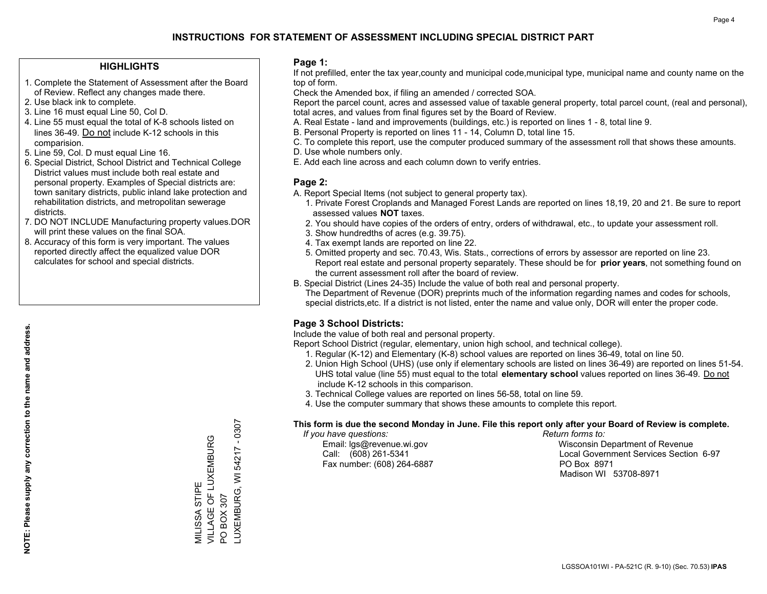## **HIGHLIGHTS**

- 1. Complete the Statement of Assessment after the Board of Review. Reflect any changes made there.
- 2. Use black ink to complete.
- 3. Line 16 must equal Line 50, Col D.
- 4. Line 55 must equal the total of K-8 schools listed on lines 36-49. Do not include K-12 schools in this comparision.
- 5. Line 59, Col. D must equal Line 16.
- 6. Special District, School District and Technical College District values must include both real estate and personal property. Examples of Special districts are: town sanitary districts, public inland lake protection and rehabilitation districts, and metropolitan sewerage districts.
- 7. DO NOT INCLUDE Manufacturing property values.DOR will print these values on the final SOA.

MILISSA STIPE

VILLAGE OF LUXEMBURG

MILISSA STIPE<br>VILLAGE OF LUXEMBURG

PO BOX 307

 $\overline{S}$ 

BOX 307

LUXEMBURG, WI 54217 - 0307

LUXEMBURG, WI 54217

 $-0307$ 

 8. Accuracy of this form is very important. The values reported directly affect the equalized value DOR calculates for school and special districts.

### **Page 1:**

 If not prefilled, enter the tax year,county and municipal code,municipal type, municipal name and county name on the top of form.

Check the Amended box, if filing an amended / corrected SOA.

 Report the parcel count, acres and assessed value of taxable general property, total parcel count, (real and personal), total acres, and values from final figures set by the Board of Review.

- A. Real Estate land and improvements (buildings, etc.) is reported on lines 1 8, total line 9.
- B. Personal Property is reported on lines 11 14, Column D, total line 15.
- C. To complete this report, use the computer produced summary of the assessment roll that shows these amounts.
- D. Use whole numbers only.
- E. Add each line across and each column down to verify entries.

### **Page 2:**

- A. Report Special Items (not subject to general property tax).
- 1. Private Forest Croplands and Managed Forest Lands are reported on lines 18,19, 20 and 21. Be sure to report assessed values **NOT** taxes.
- 2. You should have copies of the orders of entry, orders of withdrawal, etc., to update your assessment roll.
	- 3. Show hundredths of acres (e.g. 39.75).
- 4. Tax exempt lands are reported on line 22.
- 5. Omitted property and sec. 70.43, Wis. Stats., corrections of errors by assessor are reported on line 23. Report real estate and personal property separately. These should be for **prior years**, not something found on the current assessment roll after the board of review.
- B. Special District (Lines 24-35) Include the value of both real and personal property.
- The Department of Revenue (DOR) preprints much of the information regarding names and codes for schools, special districts,etc. If a district is not listed, enter the name and value only, DOR will enter the proper code.

## **Page 3 School Districts:**

Include the value of both real and personal property.

Report School District (regular, elementary, union high school, and technical college).

- 1. Regular (K-12) and Elementary (K-8) school values are reported on lines 36-49, total on line 50.
- 2. Union High School (UHS) (use only if elementary schools are listed on lines 36-49) are reported on lines 51-54. UHS total value (line 55) must equal to the total **elementary school** values reported on lines 36-49. Do notinclude K-12 schools in this comparison.
- 3. Technical College values are reported on lines 56-58, total on line 59.
- 4. Use the computer summary that shows these amounts to complete this report.

#### **This form is due the second Monday in June. File this report only after your Board of Review is complete.**

 *If you have questions: Return forms to:*

Fax number: (608) 264-6887 PO Box 8971

 Email: lgs@revenue.wi.gov Wisconsin Department of Revenue Call: (608) 261-5341 Local Government Services Section 6-97Madison WI 53708-8971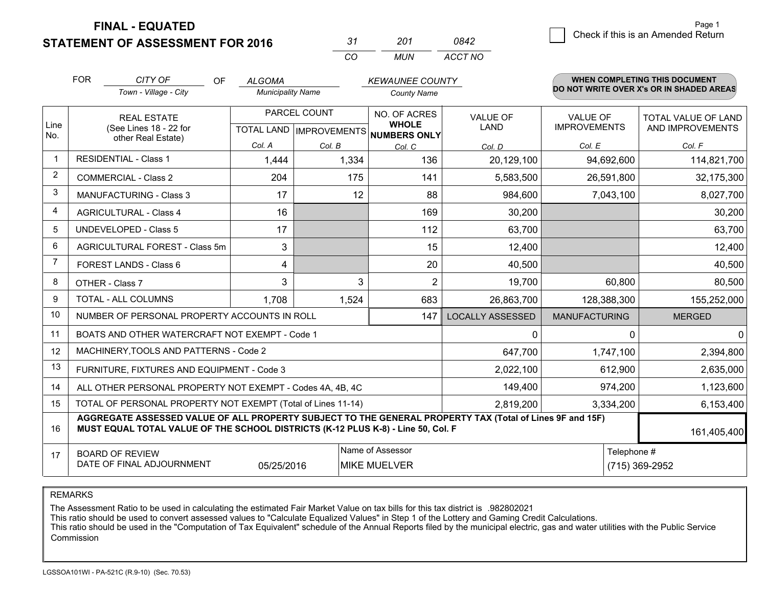**STATEMENT OF ASSESSMENT FOR 2016** 

| -37 | 201   | กล42    |
|-----|-------|---------|
| cо  | MI IN | ACCT NO |

|                | <b>FOR</b><br>CITY OF<br>OF<br><b>ALGOMA</b>                                                                                                                                                 |                                                           |                          |                           | <b>KEWAUNEE COUNTY</b>       |                         |                      | <b>WHEN COMPLETING THIS DOCUMENT</b><br>DO NOT WRITE OVER X's OR IN SHADED AREAS |  |
|----------------|----------------------------------------------------------------------------------------------------------------------------------------------------------------------------------------------|-----------------------------------------------------------|--------------------------|---------------------------|------------------------------|-------------------------|----------------------|----------------------------------------------------------------------------------|--|
|                |                                                                                                                                                                                              | Town - Village - City                                     | <b>Municipality Name</b> |                           | <b>County Name</b>           |                         |                      |                                                                                  |  |
| Line           | <b>REAL ESTATE</b>                                                                                                                                                                           |                                                           |                          | PARCEL COUNT              | NO. OF ACRES<br><b>WHOLE</b> | <b>VALUE OF</b>         | <b>VALUE OF</b>      | <b>TOTAL VALUE OF LAND</b>                                                       |  |
| No.            |                                                                                                                                                                                              | (See Lines 18 - 22 for<br>other Real Estate)              |                          | TOTAL LAND   IMPROVEMENTS | NUMBERS ONLY                 | <b>LAND</b>             | <b>IMPROVEMENTS</b>  | AND IMPROVEMENTS                                                                 |  |
|                |                                                                                                                                                                                              |                                                           | Col. A                   | Col. B                    | Col. C                       | Col. D                  | Col. E               | Col. F                                                                           |  |
| $\mathbf 1$    |                                                                                                                                                                                              | <b>RESIDENTIAL - Class 1</b>                              | 1,444                    | 1,334                     | 136                          | 20,129,100              | 94,692,600           | 114,821,700                                                                      |  |
| $\overline{2}$ |                                                                                                                                                                                              | <b>COMMERCIAL - Class 2</b>                               | 204                      | 175                       | 141                          | 5,583,500               | 26,591,800           | 32,175,300                                                                       |  |
| 3              |                                                                                                                                                                                              | <b>MANUFACTURING - Class 3</b>                            | 17                       | 12                        | 88                           | 984,600                 | 7,043,100            | 8,027,700                                                                        |  |
| 4              |                                                                                                                                                                                              | <b>AGRICULTURAL - Class 4</b>                             | 16                       |                           | 169                          | 30,200                  |                      | 30,200                                                                           |  |
| 5              |                                                                                                                                                                                              | <b>UNDEVELOPED - Class 5</b>                              | 17                       |                           | 112                          | 63,700                  |                      | 63,700                                                                           |  |
| 6              |                                                                                                                                                                                              | AGRICULTURAL FOREST - Class 5m                            | 3                        |                           | 15                           | 12,400                  |                      | 12,400                                                                           |  |
| 7              |                                                                                                                                                                                              | FOREST LANDS - Class 6                                    | 4                        |                           | 20                           | 40,500                  |                      | 40,500                                                                           |  |
| 8              |                                                                                                                                                                                              | OTHER - Class 7                                           | 3                        | 3                         | $\overline{2}$               | 19,700                  | 60,800               | 80,500                                                                           |  |
| 9              |                                                                                                                                                                                              | TOTAL - ALL COLUMNS                                       | 1,708                    | 1,524                     | 683                          | 26,863,700              | 128,388,300          | 155,252,000                                                                      |  |
| 10             |                                                                                                                                                                                              | NUMBER OF PERSONAL PROPERTY ACCOUNTS IN ROLL              |                          |                           | 147                          | <b>LOCALLY ASSESSED</b> | <b>MANUFACTURING</b> | <b>MERGED</b>                                                                    |  |
| 11             |                                                                                                                                                                                              | BOATS AND OTHER WATERCRAFT NOT EXEMPT - Code 1            |                          |                           |                              | 0                       |                      | $\Omega$<br>$\Omega$                                                             |  |
| 12             |                                                                                                                                                                                              | MACHINERY, TOOLS AND PATTERNS - Code 2                    |                          |                           |                              | 647,700                 | 1,747,100            | 2,394,800                                                                        |  |
| 13             |                                                                                                                                                                                              | FURNITURE, FIXTURES AND EQUIPMENT - Code 3                |                          |                           |                              | 2,022,100               | 612,900              | 2,635,000                                                                        |  |
| 14             |                                                                                                                                                                                              | ALL OTHER PERSONAL PROPERTY NOT EXEMPT - Codes 4A, 4B, 4C |                          |                           |                              | 149,400                 | 974,200              | 1,123,600                                                                        |  |
| 15             | TOTAL OF PERSONAL PROPERTY NOT EXEMPT (Total of Lines 11-14)                                                                                                                                 |                                                           |                          |                           |                              |                         | 3,334,200            | 6,153,400                                                                        |  |
| 16             | AGGREGATE ASSESSED VALUE OF ALL PROPERTY SUBJECT TO THE GENERAL PROPERTY TAX (Total of Lines 9F and 15F)<br>MUST EQUAL TOTAL VALUE OF THE SCHOOL DISTRICTS (K-12 PLUS K-8) - Line 50, Col. F |                                                           |                          |                           |                              |                         | 161,405,400          |                                                                                  |  |
| 17             |                                                                                                                                                                                              | <b>BOARD OF REVIEW</b>                                    |                          |                           | Name of Assessor             |                         |                      | Telephone #                                                                      |  |
|                |                                                                                                                                                                                              | DATE OF FINAL ADJOURNMENT                                 | 05/25/2016               |                           | <b>MIKE MUELVER</b>          |                         |                      | (715) 369-2952                                                                   |  |

REMARKS

The Assessment Ratio to be used in calculating the estimated Fair Market Value on tax bills for this tax district is .982802021

This ratio should be used to convert assessed values to "Calculate Equalized Values" in Step 1 of the Lottery and Gaming Credit Calculations.<br>This ratio should be used in the "Computation of Tax Equivalent" schedule of the Commission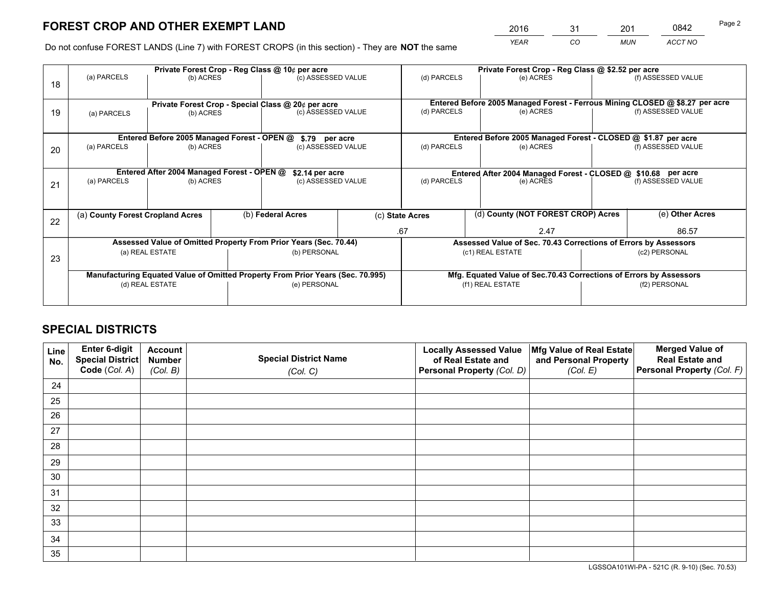*YEAR CO MUN ACCT NO* <sup>2016</sup> <sup>31</sup> <sup>201</sup> <sup>0842</sup>

Do not confuse FOREST LANDS (Line 7) with FOREST CROPS (in this section) - They are **NOT** the same

|    | Private Forest Crop - Reg Class @ 10¢ per acre                                 |                                             |  |                                                                  |                    | Private Forest Crop - Reg Class @ \$2.52 per acre             |                                                                              |                                                                    |                    |  |
|----|--------------------------------------------------------------------------------|---------------------------------------------|--|------------------------------------------------------------------|--------------------|---------------------------------------------------------------|------------------------------------------------------------------------------|--------------------------------------------------------------------|--------------------|--|
| 18 | (a) PARCELS                                                                    | (c) ASSESSED VALUE<br>(b) ACRES             |  | (d) PARCELS                                                      | (e) ACRES          |                                                               | (f) ASSESSED VALUE                                                           |                                                                    |                    |  |
|    |                                                                                |                                             |  |                                                                  |                    |                                                               |                                                                              |                                                                    |                    |  |
|    |                                                                                |                                             |  | Private Forest Crop - Special Class @ 20¢ per acre               |                    |                                                               | Entered Before 2005 Managed Forest - Ferrous Mining CLOSED @ \$8.27 per acre |                                                                    |                    |  |
| 19 | (a) PARCELS                                                                    | (b) ACRES                                   |  | (c) ASSESSED VALUE                                               |                    | (d) PARCELS                                                   | (e) ACRES                                                                    |                                                                    | (f) ASSESSED VALUE |  |
|    |                                                                                |                                             |  |                                                                  |                    |                                                               |                                                                              |                                                                    |                    |  |
|    |                                                                                | Entered Before 2005 Managed Forest - OPEN @ |  | \$.79 per acre                                                   |                    |                                                               | Entered Before 2005 Managed Forest - CLOSED @ \$1.87 per acre                |                                                                    |                    |  |
| 20 | (a) PARCELS                                                                    | (b) ACRES                                   |  | (c) ASSESSED VALUE                                               |                    | (d) PARCELS                                                   | (e) ACRES                                                                    |                                                                    | (f) ASSESSED VALUE |  |
|    |                                                                                |                                             |  |                                                                  |                    |                                                               |                                                                              |                                                                    |                    |  |
|    | Entered After 2004 Managed Forest - OPEN @<br>\$2.14 per acre                  |                                             |  |                                                                  |                    | Entered After 2004 Managed Forest - CLOSED @ \$10.68 per acre |                                                                              |                                                                    |                    |  |
| 21 | (a) PARCELS                                                                    | (b) ACRES                                   |  |                                                                  | (c) ASSESSED VALUE |                                                               | (d) PARCELS<br>(e) ACRES                                                     |                                                                    | (f) ASSESSED VALUE |  |
|    |                                                                                |                                             |  |                                                                  |                    |                                                               |                                                                              |                                                                    |                    |  |
|    | (a) County Forest Cropland Acres                                               |                                             |  | (b) Federal Acres                                                |                    | (c) State Acres                                               | (d) County (NOT FOREST CROP) Acres                                           |                                                                    | (e) Other Acres    |  |
| 22 |                                                                                |                                             |  |                                                                  |                    |                                                               |                                                                              |                                                                    |                    |  |
|    |                                                                                |                                             |  |                                                                  |                    | .67<br>2.47                                                   |                                                                              | 86.57                                                              |                    |  |
|    |                                                                                |                                             |  | Assessed Value of Omitted Property From Prior Years (Sec. 70.44) |                    |                                                               |                                                                              | Assessed Value of Sec. 70.43 Corrections of Errors by Assessors    |                    |  |
| 23 | (a) REAL ESTATE                                                                |                                             |  | (b) PERSONAL                                                     |                    | (c1) REAL ESTATE                                              |                                                                              | (c2) PERSONAL                                                      |                    |  |
|    |                                                                                |                                             |  |                                                                  |                    |                                                               |                                                                              |                                                                    |                    |  |
|    | Manufacturing Equated Value of Omitted Property From Prior Years (Sec. 70.995) |                                             |  |                                                                  |                    |                                                               |                                                                              | Mfg. Equated Value of Sec.70.43 Corrections of Errors by Assessors |                    |  |
|    |                                                                                | (d) REAL ESTATE                             |  | (e) PERSONAL                                                     |                    |                                                               | (f1) REAL ESTATE                                                             | (f2) PERSONAL                                                      |                    |  |
|    |                                                                                |                                             |  |                                                                  |                    |                                                               |                                                                              |                                                                    |                    |  |

## **SPECIAL DISTRICTS**

| Line<br>No. | Enter 6-digit<br>Special District<br>Code (Col. A) | <b>Account</b><br><b>Number</b> | <b>Special District Name</b> | <b>Locally Assessed Value</b><br>of Real Estate and | Mfg Value of Real Estate<br>and Personal Property | <b>Merged Value of</b><br><b>Real Estate and</b><br>Personal Property (Col. F) |
|-------------|----------------------------------------------------|---------------------------------|------------------------------|-----------------------------------------------------|---------------------------------------------------|--------------------------------------------------------------------------------|
|             |                                                    | (Col. B)                        | (Col. C)                     | Personal Property (Col. D)                          | (Col. E)                                          |                                                                                |
| 24          |                                                    |                                 |                              |                                                     |                                                   |                                                                                |
| 25          |                                                    |                                 |                              |                                                     |                                                   |                                                                                |
| 26          |                                                    |                                 |                              |                                                     |                                                   |                                                                                |
| 27          |                                                    |                                 |                              |                                                     |                                                   |                                                                                |
| 28          |                                                    |                                 |                              |                                                     |                                                   |                                                                                |
| 29          |                                                    |                                 |                              |                                                     |                                                   |                                                                                |
| 30          |                                                    |                                 |                              |                                                     |                                                   |                                                                                |
| 31          |                                                    |                                 |                              |                                                     |                                                   |                                                                                |
| 32          |                                                    |                                 |                              |                                                     |                                                   |                                                                                |
| 33          |                                                    |                                 |                              |                                                     |                                                   |                                                                                |
| 34          |                                                    |                                 |                              |                                                     |                                                   |                                                                                |
| 35          |                                                    |                                 |                              |                                                     |                                                   |                                                                                |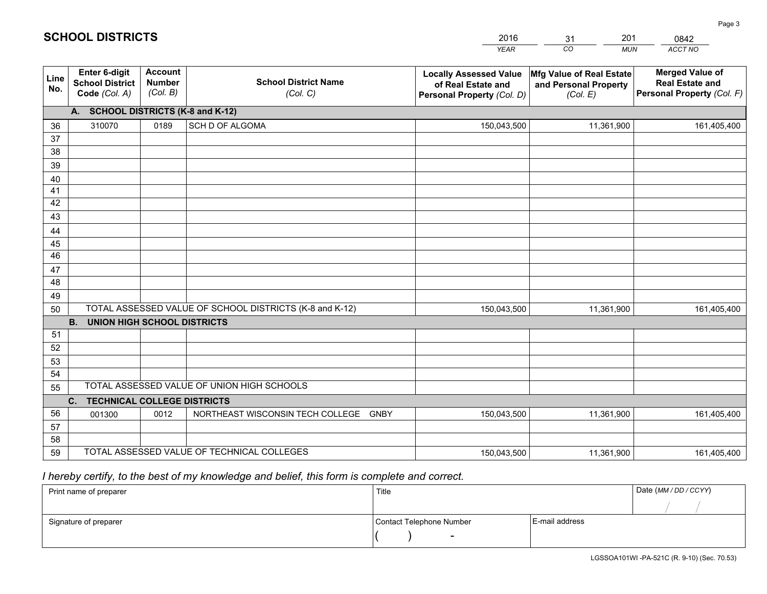|             |                                                          |                                             |                                                         | YEAR                                                                              | CO.<br><b>MUN</b>                                             | ACCT NO                                                                        |
|-------------|----------------------------------------------------------|---------------------------------------------|---------------------------------------------------------|-----------------------------------------------------------------------------------|---------------------------------------------------------------|--------------------------------------------------------------------------------|
| Line<br>No. | Enter 6-digit<br><b>School District</b><br>Code (Col. A) | <b>Account</b><br><b>Number</b><br>(Col. B) | <b>School District Name</b><br>(Col. C)                 | <b>Locally Assessed Value</b><br>of Real Estate and<br>Personal Property (Col. D) | Mfg Value of Real Estate<br>and Personal Property<br>(Col. E) | <b>Merged Value of</b><br><b>Real Estate and</b><br>Personal Property (Col. F) |
|             | A. SCHOOL DISTRICTS (K-8 and K-12)                       |                                             |                                                         |                                                                                   |                                                               |                                                                                |
| 36          | 310070                                                   | 0189                                        | SCH D OF ALGOMA                                         | 150,043,500                                                                       | 11,361,900                                                    | 161,405,400                                                                    |
| 37          |                                                          |                                             |                                                         |                                                                                   |                                                               |                                                                                |
| 38          |                                                          |                                             |                                                         |                                                                                   |                                                               |                                                                                |
| 39          |                                                          |                                             |                                                         |                                                                                   |                                                               |                                                                                |
| 40          |                                                          |                                             |                                                         |                                                                                   |                                                               |                                                                                |
| 41<br>42    |                                                          |                                             |                                                         |                                                                                   |                                                               |                                                                                |
| 43          |                                                          |                                             |                                                         |                                                                                   |                                                               |                                                                                |
| 44          |                                                          |                                             |                                                         |                                                                                   |                                                               |                                                                                |
| 45          |                                                          |                                             |                                                         |                                                                                   |                                                               |                                                                                |
| 46          |                                                          |                                             |                                                         |                                                                                   |                                                               |                                                                                |
| 47          |                                                          |                                             |                                                         |                                                                                   |                                                               |                                                                                |
| 48          |                                                          |                                             |                                                         |                                                                                   |                                                               |                                                                                |
| 49          |                                                          |                                             |                                                         |                                                                                   |                                                               |                                                                                |
| 50          |                                                          |                                             | TOTAL ASSESSED VALUE OF SCHOOL DISTRICTS (K-8 and K-12) | 150,043,500                                                                       | 11,361,900                                                    | 161,405,400                                                                    |
|             | <b>B.</b><br>UNION HIGH SCHOOL DISTRICTS                 |                                             |                                                         |                                                                                   |                                                               |                                                                                |
| 51          |                                                          |                                             |                                                         |                                                                                   |                                                               |                                                                                |
| 52          |                                                          |                                             |                                                         |                                                                                   |                                                               |                                                                                |
| 53<br>54    |                                                          |                                             |                                                         |                                                                                   |                                                               |                                                                                |
| 55          |                                                          |                                             | TOTAL ASSESSED VALUE OF UNION HIGH SCHOOLS              |                                                                                   |                                                               |                                                                                |
|             | C.<br><b>TECHNICAL COLLEGE DISTRICTS</b>                 |                                             |                                                         |                                                                                   |                                                               |                                                                                |
| 56          | 001300                                                   | 0012                                        | NORTHEAST WISCONSIN TECH COLLEGE<br><b>GNBY</b>         | 150,043,500                                                                       | 11,361,900                                                    | 161,405,400                                                                    |
| 57          |                                                          |                                             |                                                         |                                                                                   |                                                               |                                                                                |
| 58          |                                                          |                                             |                                                         |                                                                                   |                                                               |                                                                                |
| 59          |                                                          |                                             | TOTAL ASSESSED VALUE OF TECHNICAL COLLEGES              | 150,043,500                                                                       | 11,361,900                                                    | 161,405,400                                                                    |

31

201

 *I hereby certify, to the best of my knowledge and belief, this form is complete and correct.*

**SCHOOL DISTRICTS**

| Print name of preparer | Title                    | Date (MM/DD/CCYY) |  |
|------------------------|--------------------------|-------------------|--|
|                        |                          |                   |  |
| Signature of preparer  | Contact Telephone Number | E-mail address    |  |
|                        | $\overline{\phantom{a}}$ |                   |  |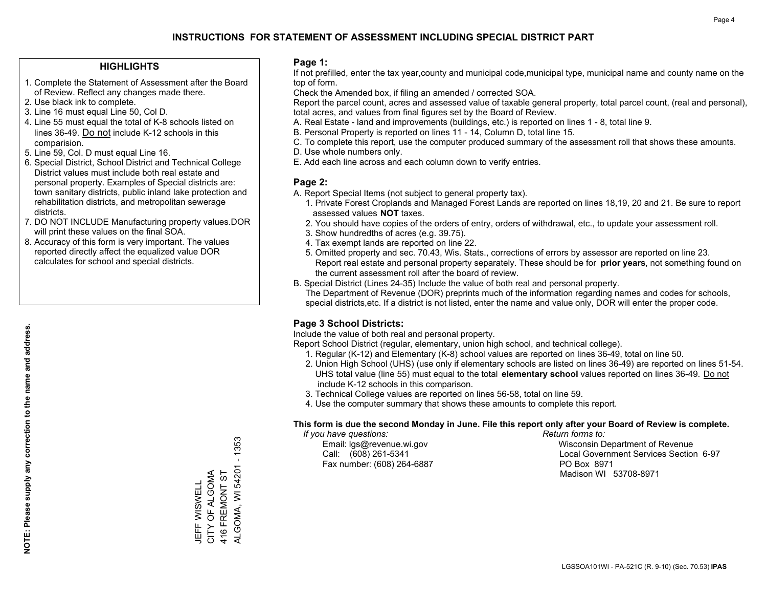## **HIGHLIGHTS**

- 1. Complete the Statement of Assessment after the Board of Review. Reflect any changes made there.
- 2. Use black ink to complete.
- 3. Line 16 must equal Line 50, Col D.
- 4. Line 55 must equal the total of K-8 schools listed on lines 36-49. Do not include K-12 schools in this comparision.
- 5. Line 59, Col. D must equal Line 16.
- 6. Special District, School District and Technical College District values must include both real estate and personal property. Examples of Special districts are: town sanitary districts, public inland lake protection and rehabilitation districts, and metropolitan sewerage districts.
- 7. DO NOT INCLUDE Manufacturing property values.DOR will print these values on the final SOA.

JEFF WISWELL CITY OF ALGOMA 416 FREMONT ST

JEFF WISWELL<br>CITY OF ALGOMA 416 FREMONT ST ALGOMA, WI 54201 - 1353

ALGOMA, WI 54201

 $-1353$ 

 8. Accuracy of this form is very important. The values reported directly affect the equalized value DOR calculates for school and special districts.

### **Page 1:**

 If not prefilled, enter the tax year,county and municipal code,municipal type, municipal name and county name on the top of form.

Check the Amended box, if filing an amended / corrected SOA.

 Report the parcel count, acres and assessed value of taxable general property, total parcel count, (real and personal), total acres, and values from final figures set by the Board of Review.

- A. Real Estate land and improvements (buildings, etc.) is reported on lines 1 8, total line 9.
- B. Personal Property is reported on lines 11 14, Column D, total line 15.
- C. To complete this report, use the computer produced summary of the assessment roll that shows these amounts.
- D. Use whole numbers only.
- E. Add each line across and each column down to verify entries.

### **Page 2:**

- A. Report Special Items (not subject to general property tax).
- 1. Private Forest Croplands and Managed Forest Lands are reported on lines 18,19, 20 and 21. Be sure to report assessed values **NOT** taxes.
- 2. You should have copies of the orders of entry, orders of withdrawal, etc., to update your assessment roll.
	- 3. Show hundredths of acres (e.g. 39.75).
- 4. Tax exempt lands are reported on line 22.
- 5. Omitted property and sec. 70.43, Wis. Stats., corrections of errors by assessor are reported on line 23. Report real estate and personal property separately. These should be for **prior years**, not something found on the current assessment roll after the board of review.
- B. Special District (Lines 24-35) Include the value of both real and personal property.
- The Department of Revenue (DOR) preprints much of the information regarding names and codes for schools, special districts,etc. If a district is not listed, enter the name and value only, DOR will enter the proper code.

## **Page 3 School Districts:**

Include the value of both real and personal property.

Report School District (regular, elementary, union high school, and technical college).

- 1. Regular (K-12) and Elementary (K-8) school values are reported on lines 36-49, total on line 50.
- 2. Union High School (UHS) (use only if elementary schools are listed on lines 36-49) are reported on lines 51-54. UHS total value (line 55) must equal to the total **elementary school** values reported on lines 36-49. Do notinclude K-12 schools in this comparison.
- 3. Technical College values are reported on lines 56-58, total on line 59.
- 4. Use the computer summary that shows these amounts to complete this report.

#### **This form is due the second Monday in June. File this report only after your Board of Review is complete.**

 *If you have questions: Return forms to:*

Fax number: (608) 264-6887 PO Box 8971

 Email: lgs@revenue.wi.gov Wisconsin Department of Revenue Call: (608) 261-5341 Local Government Services Section 6-97Madison WI 53708-8971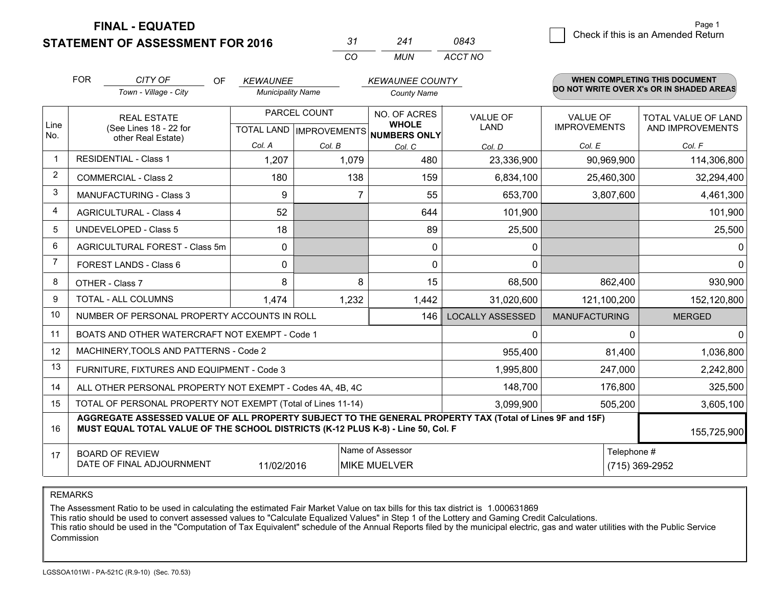**STATEMENT OF ASSESSMENT FOR 2016** 

| -31 | 241 | 0843    |
|-----|-----|---------|
| CO. | MUN | ACCT NO |

|                | <b>FOR</b><br>CITY OF<br>OF                                                                                                                                                                                 |                                                              | <b>KEWAUNEE</b> |                          | <b>KEWAUNEE COUNTY</b>              |                         | <b>WHEN COMPLETING THIS DOCUMENT</b><br>DO NOT WRITE OVER X's OR IN SHADED AREAS |                                         |  |
|----------------|-------------------------------------------------------------------------------------------------------------------------------------------------------------------------------------------------------------|--------------------------------------------------------------|-----------------|--------------------------|-------------------------------------|-------------------------|----------------------------------------------------------------------------------|-----------------------------------------|--|
|                | Town - Village - City                                                                                                                                                                                       |                                                              |                 | <b>Municipality Name</b> |                                     | <b>County Name</b>      |                                                                                  |                                         |  |
| Line           |                                                                                                                                                                                                             | <b>REAL ESTATE</b><br>(See Lines 18 - 22 for                 |                 | PARCEL COUNT             | NO. OF ACRES<br><b>WHOLE</b>        | <b>VALUE OF</b><br>LAND | <b>VALUE OF</b><br><b>IMPROVEMENTS</b>                                           | TOTAL VALUE OF LAND<br>AND IMPROVEMENTS |  |
| No.            |                                                                                                                                                                                                             | other Real Estate)                                           | Col. A          | Col. B                   | TOTAL LAND MPROVEMENTS NUMBERS ONLY |                         | Col. E                                                                           | Col. F                                  |  |
| $\overline{1}$ |                                                                                                                                                                                                             | <b>RESIDENTIAL - Class 1</b>                                 | 1,207           | 1,079                    | Col. C<br>480                       | Col. D<br>23,336,900    | 90,969,900                                                                       | 114,306,800                             |  |
| 2              |                                                                                                                                                                                                             | <b>COMMERCIAL - Class 2</b>                                  | 180             | 138                      | 159                                 | 6,834,100               | 25,460,300                                                                       | 32,294,400                              |  |
| 3              |                                                                                                                                                                                                             | <b>MANUFACTURING - Class 3</b>                               | 9               | 7                        | 55                                  | 653,700                 | 3,807,600                                                                        | 4,461,300                               |  |
| 4              |                                                                                                                                                                                                             | <b>AGRICULTURAL - Class 4</b>                                | 52              |                          | 644                                 | 101,900                 |                                                                                  | 101,900                                 |  |
| 5              |                                                                                                                                                                                                             | <b>UNDEVELOPED - Class 5</b>                                 | 18              |                          | 89                                  | 25,500                  |                                                                                  | 25,500                                  |  |
| 6              |                                                                                                                                                                                                             | AGRICULTURAL FOREST - Class 5m                               | 0               |                          | $\mathbf 0$                         | 0                       |                                                                                  | 0                                       |  |
| $\overline{7}$ | FOREST LANDS - Class 6                                                                                                                                                                                      |                                                              | 0               |                          | $\mathbf{0}$                        | $\Omega$                |                                                                                  | 0                                       |  |
| 8              |                                                                                                                                                                                                             | OTHER - Class 7                                              | 8               | 8                        | 15                                  | 68,500                  | 862,400                                                                          | 930,900                                 |  |
| 9              |                                                                                                                                                                                                             | TOTAL - ALL COLUMNS                                          | 1,474           | 1,232                    | 1,442                               | 31,020,600              | 121,100,200                                                                      | 152,120,800                             |  |
| 10             |                                                                                                                                                                                                             | NUMBER OF PERSONAL PROPERTY ACCOUNTS IN ROLL                 |                 |                          | 146                                 | <b>LOCALLY ASSESSED</b> | <b>MANUFACTURING</b>                                                             | <b>MERGED</b>                           |  |
| 11             |                                                                                                                                                                                                             | BOATS AND OTHER WATERCRAFT NOT EXEMPT - Code 1               |                 |                          |                                     | 0                       | 0                                                                                | 0                                       |  |
| 12             |                                                                                                                                                                                                             | MACHINERY, TOOLS AND PATTERNS - Code 2                       |                 |                          |                                     | 955,400                 | 81,400                                                                           | 1,036,800                               |  |
| 13             |                                                                                                                                                                                                             | FURNITURE, FIXTURES AND EQUIPMENT - Code 3                   |                 |                          | 1,995,800                           | 247,000                 | 2,242,800                                                                        |                                         |  |
| 14             |                                                                                                                                                                                                             | ALL OTHER PERSONAL PROPERTY NOT EXEMPT - Codes 4A, 4B, 4C    |                 |                          | 148,700                             | 176,800                 | 325,500                                                                          |                                         |  |
| 15             |                                                                                                                                                                                                             | TOTAL OF PERSONAL PROPERTY NOT EXEMPT (Total of Lines 11-14) |                 |                          | 3,099,900                           | 505,200                 | 3,605,100                                                                        |                                         |  |
| 16             | AGGREGATE ASSESSED VALUE OF ALL PROPERTY SUBJECT TO THE GENERAL PROPERTY TAX (Total of Lines 9F and 15F)<br>MUST EQUAL TOTAL VALUE OF THE SCHOOL DISTRICTS (K-12 PLUS K-8) - Line 50, Col. F<br>155,725,900 |                                                              |                 |                          |                                     |                         |                                                                                  |                                         |  |
| 17             | Name of Assessor<br><b>BOARD OF REVIEW</b><br>DATE OF FINAL ADJOURNMENT<br>11/02/2016<br><b>MIKE MUELVER</b>                                                                                                |                                                              |                 |                          |                                     |                         | Telephone #                                                                      | (715) 369-2952                          |  |

REMARKS

The Assessment Ratio to be used in calculating the estimated Fair Market Value on tax bills for this tax district is 1.000631869

This ratio should be used to convert assessed values to "Calculate Equalized Values" in Step 1 of the Lottery and Gaming Credit Calculations.<br>This ratio should be used in the "Computation of Tax Equivalent" schedule of the Commission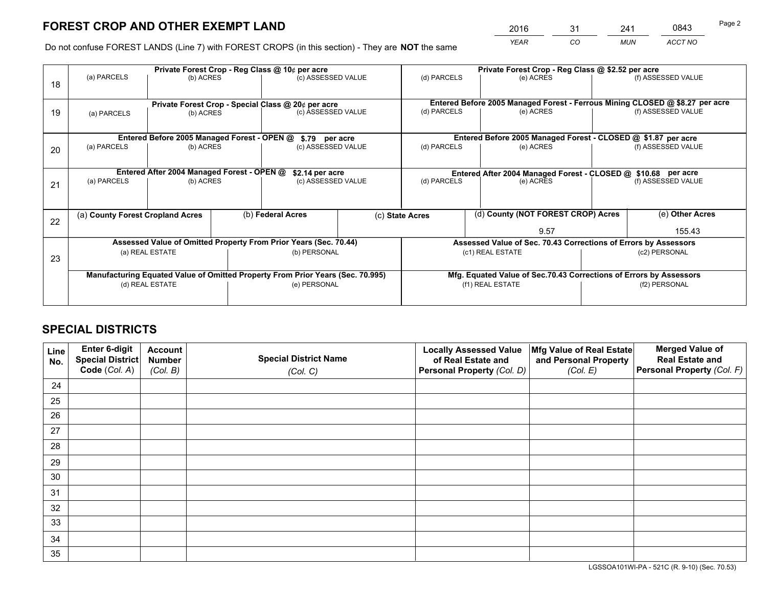*YEAR CO MUN ACCT NO* <sup>2016</sup> <sup>31</sup> <sup>241</sup> <sup>0843</sup>

Do not confuse FOREST LANDS (Line 7) with FOREST CROPS (in this section) - They are **NOT** the same

|    | Private Forest Crop - Reg Class @ 10¢ per acre                                 |                                             |  |                                                                  |  | Private Forest Crop - Reg Class @ \$2.52 per acre                  |                                                                              |                    |                    |  |
|----|--------------------------------------------------------------------------------|---------------------------------------------|--|------------------------------------------------------------------|--|--------------------------------------------------------------------|------------------------------------------------------------------------------|--------------------|--------------------|--|
| 18 | (a) PARCELS                                                                    | (b) ACRES                                   |  | (c) ASSESSED VALUE                                               |  | (d) PARCELS                                                        | (e) ACRES                                                                    |                    | (f) ASSESSED VALUE |  |
|    |                                                                                |                                             |  | Private Forest Crop - Special Class @ 20¢ per acre               |  |                                                                    | Entered Before 2005 Managed Forest - Ferrous Mining CLOSED @ \$8.27 per acre |                    |                    |  |
| 19 | (a) PARCELS<br>(b) ACRES                                                       |                                             |  | (c) ASSESSED VALUE                                               |  | (d) PARCELS                                                        | (e) ACRES                                                                    |                    | (f) ASSESSED VALUE |  |
|    |                                                                                | Entered Before 2005 Managed Forest - OPEN @ |  |                                                                  |  |                                                                    | Entered Before 2005 Managed Forest - CLOSED @ \$1.87 per acre                |                    |                    |  |
| 20 | (a) PARCELS<br>(b) ACRES                                                       |                                             |  | \$.79 per acre<br>(c) ASSESSED VALUE                             |  | (d) PARCELS<br>(e) ACRES                                           |                                                                              |                    | (f) ASSESSED VALUE |  |
|    |                                                                                | Entered After 2004 Managed Forest - OPEN @  |  | \$2.14 per acre                                                  |  | Entered After 2004 Managed Forest - CLOSED @ \$10.68 per acre      |                                                                              |                    |                    |  |
| 21 | (a) PARCELS<br>(b) ACRES                                                       |                                             |  | (c) ASSESSED VALUE                                               |  | (d) PARCELS<br>(e) ACRES                                           |                                                                              | (f) ASSESSED VALUE |                    |  |
|    | (a) County Forest Cropland Acres                                               |                                             |  | (b) Federal Acres                                                |  | (c) State Acres                                                    | (d) County (NOT FOREST CROP) Acres                                           |                    | (e) Other Acres    |  |
| 22 |                                                                                |                                             |  |                                                                  |  |                                                                    | 9.57                                                                         |                    | 155.43             |  |
|    |                                                                                |                                             |  | Assessed Value of Omitted Property From Prior Years (Sec. 70.44) |  | Assessed Value of Sec. 70.43 Corrections of Errors by Assessors    |                                                                              |                    |                    |  |
| 23 | (a) REAL ESTATE                                                                |                                             |  | (b) PERSONAL                                                     |  | (c1) REAL ESTATE                                                   |                                                                              | (c2) PERSONAL      |                    |  |
|    | Manufacturing Equated Value of Omitted Property From Prior Years (Sec. 70.995) |                                             |  |                                                                  |  | Mfg. Equated Value of Sec.70.43 Corrections of Errors by Assessors |                                                                              |                    |                    |  |
|    | (d) REAL ESTATE                                                                |                                             |  | (e) PERSONAL                                                     |  | (f1) REAL ESTATE                                                   |                                                                              | (f2) PERSONAL      |                    |  |
|    |                                                                                |                                             |  |                                                                  |  |                                                                    |                                                                              |                    |                    |  |

## **SPECIAL DISTRICTS**

| Line<br>No. | Enter 6-digit<br>Special District<br>Code (Col. A) | <b>Account</b><br><b>Number</b> | <b>Special District Name</b> | <b>Locally Assessed Value</b><br>of Real Estate and | Mfg Value of Real Estate<br>and Personal Property | <b>Merged Value of</b><br><b>Real Estate and</b><br>Personal Property (Col. F) |
|-------------|----------------------------------------------------|---------------------------------|------------------------------|-----------------------------------------------------|---------------------------------------------------|--------------------------------------------------------------------------------|
|             |                                                    | (Col. B)                        | (Col. C)                     | Personal Property (Col. D)                          | (Col. E)                                          |                                                                                |
| 24          |                                                    |                                 |                              |                                                     |                                                   |                                                                                |
| 25          |                                                    |                                 |                              |                                                     |                                                   |                                                                                |
| 26          |                                                    |                                 |                              |                                                     |                                                   |                                                                                |
| 27          |                                                    |                                 |                              |                                                     |                                                   |                                                                                |
| 28          |                                                    |                                 |                              |                                                     |                                                   |                                                                                |
| 29          |                                                    |                                 |                              |                                                     |                                                   |                                                                                |
| 30          |                                                    |                                 |                              |                                                     |                                                   |                                                                                |
| 31          |                                                    |                                 |                              |                                                     |                                                   |                                                                                |
| 32          |                                                    |                                 |                              |                                                     |                                                   |                                                                                |
| 33          |                                                    |                                 |                              |                                                     |                                                   |                                                                                |
| 34          |                                                    |                                 |                              |                                                     |                                                   |                                                                                |
| 35          |                                                    |                                 |                              |                                                     |                                                   |                                                                                |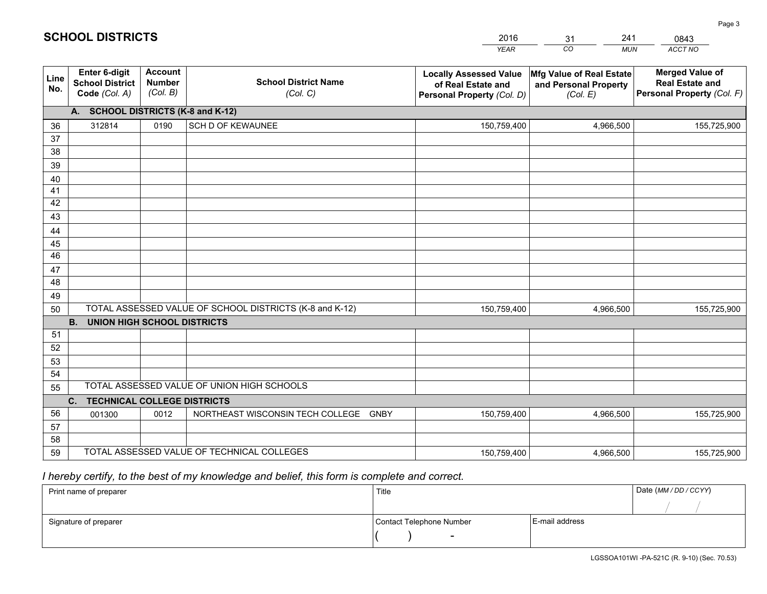|             |                                                                 |                                             |                                                         | <b>YEAR</b>                                                                       | CO<br><b>MUN</b>                                              | ACCT NO                                                                        |
|-------------|-----------------------------------------------------------------|---------------------------------------------|---------------------------------------------------------|-----------------------------------------------------------------------------------|---------------------------------------------------------------|--------------------------------------------------------------------------------|
| Line<br>No. | <b>Enter 6-digit</b><br><b>School District</b><br>Code (Col. A) | <b>Account</b><br><b>Number</b><br>(Col. B) | <b>School District Name</b><br>(Col. C)                 | <b>Locally Assessed Value</b><br>of Real Estate and<br>Personal Property (Col. D) | Mfg Value of Real Estate<br>and Personal Property<br>(Col. E) | <b>Merged Value of</b><br><b>Real Estate and</b><br>Personal Property (Col. F) |
|             | A. SCHOOL DISTRICTS (K-8 and K-12)                              |                                             |                                                         |                                                                                   |                                                               |                                                                                |
| 36          | 312814                                                          | 0190                                        | SCH D OF KEWAUNEE                                       | 150,759,400                                                                       | 4,966,500                                                     | 155,725,900                                                                    |
| 37          |                                                                 |                                             |                                                         |                                                                                   |                                                               |                                                                                |
| 38          |                                                                 |                                             |                                                         |                                                                                   |                                                               |                                                                                |
| 39          |                                                                 |                                             |                                                         |                                                                                   |                                                               |                                                                                |
| 40          |                                                                 |                                             |                                                         |                                                                                   |                                                               |                                                                                |
| 41<br>42    |                                                                 |                                             |                                                         |                                                                                   |                                                               |                                                                                |
| 43          |                                                                 |                                             |                                                         |                                                                                   |                                                               |                                                                                |
|             |                                                                 |                                             |                                                         |                                                                                   |                                                               |                                                                                |
| 44<br>45    |                                                                 |                                             |                                                         |                                                                                   |                                                               |                                                                                |
| 46          |                                                                 |                                             |                                                         |                                                                                   |                                                               |                                                                                |
| 47          |                                                                 |                                             |                                                         |                                                                                   |                                                               |                                                                                |
| 48          |                                                                 |                                             |                                                         |                                                                                   |                                                               |                                                                                |
| 49          |                                                                 |                                             |                                                         |                                                                                   |                                                               |                                                                                |
| 50          |                                                                 |                                             | TOTAL ASSESSED VALUE OF SCHOOL DISTRICTS (K-8 and K-12) | 150,759,400                                                                       | 4,966,500                                                     | 155,725,900                                                                    |
|             | <b>B.</b><br><b>UNION HIGH SCHOOL DISTRICTS</b>                 |                                             |                                                         |                                                                                   |                                                               |                                                                                |
| 51          |                                                                 |                                             |                                                         |                                                                                   |                                                               |                                                                                |
| 52          |                                                                 |                                             |                                                         |                                                                                   |                                                               |                                                                                |
| 53          |                                                                 |                                             |                                                         |                                                                                   |                                                               |                                                                                |
| 54          |                                                                 |                                             |                                                         |                                                                                   |                                                               |                                                                                |
| 55          |                                                                 |                                             | TOTAL ASSESSED VALUE OF UNION HIGH SCHOOLS              |                                                                                   |                                                               |                                                                                |
|             | C.<br><b>TECHNICAL COLLEGE DISTRICTS</b>                        |                                             |                                                         |                                                                                   |                                                               |                                                                                |
| 56          | 001300                                                          | 0012                                        | NORTHEAST WISCONSIN TECH COLLEGE<br><b>GNBY</b>         | 150,759,400                                                                       | 4,966,500                                                     | 155,725,900                                                                    |
| 57          |                                                                 |                                             |                                                         |                                                                                   |                                                               |                                                                                |
| 58<br>59    |                                                                 |                                             | TOTAL ASSESSED VALUE OF TECHNICAL COLLEGES              |                                                                                   | 4,966,500                                                     |                                                                                |
|             |                                                                 |                                             |                                                         | 150,759,400                                                                       |                                                               | 155,725,900                                                                    |

31

241

 *I hereby certify, to the best of my knowledge and belief, this form is complete and correct.*

**SCHOOL DISTRICTS**

| Print name of preparer | Title                    |                | Date (MM / DD / CCYY) |
|------------------------|--------------------------|----------------|-----------------------|
|                        |                          |                |                       |
| Signature of preparer  | Contact Telephone Number | E-mail address |                       |
|                        |                          |                |                       |